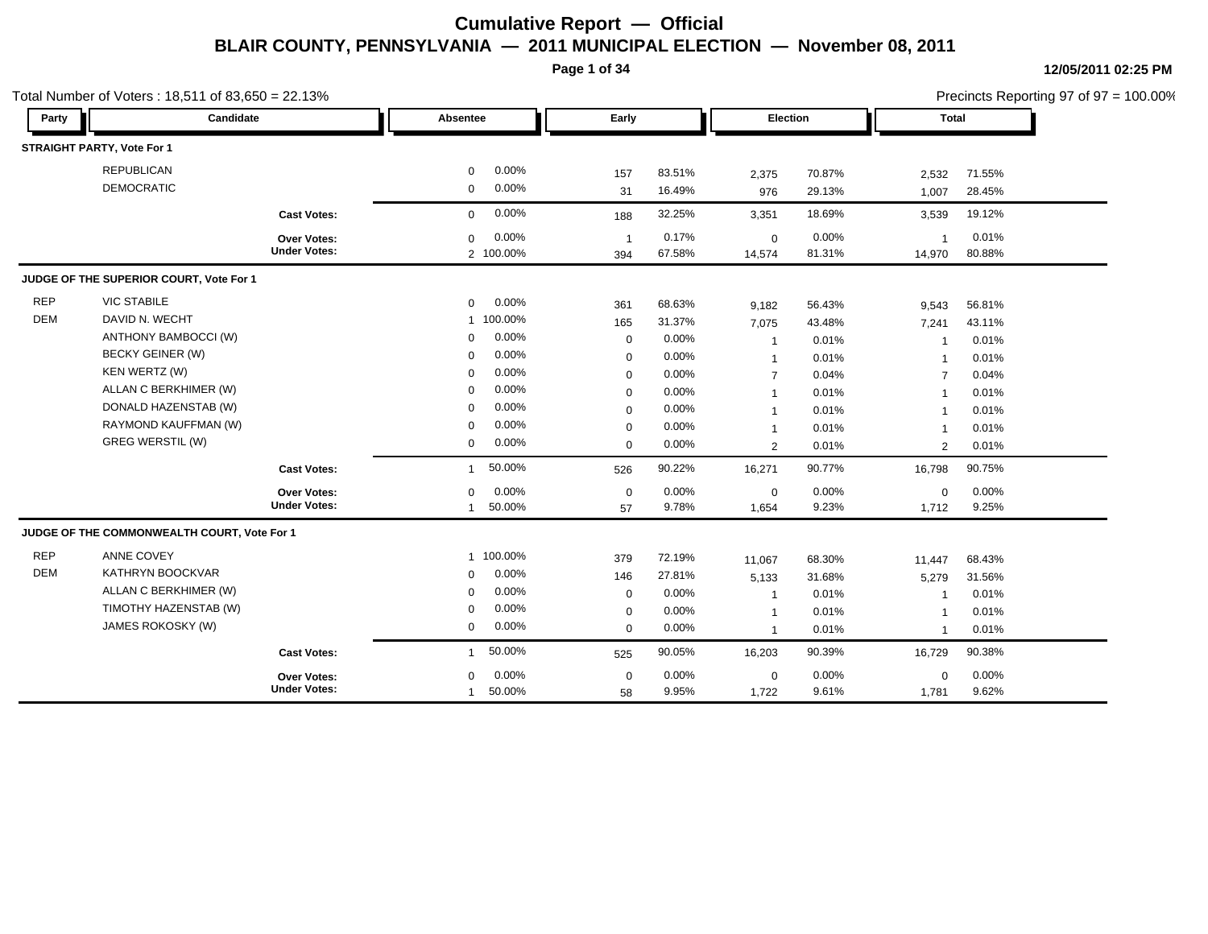**Page 1 of 34**

|            | Total Number of Voters: 18,511 of 83,650 = 22.13% |                     |              |           |                |        |                 |        |                         |        | Precincts Reporting 97 of 97 = 100.00% |
|------------|---------------------------------------------------|---------------------|--------------|-----------|----------------|--------|-----------------|--------|-------------------------|--------|----------------------------------------|
| Party      | Candidate                                         |                     | Absentee     |           | Early          |        | <b>Election</b> |        | Total                   |        |                                        |
|            | STRAIGHT PARTY, Vote For 1                        |                     |              |           |                |        |                 |        |                         |        |                                        |
|            | <b>REPUBLICAN</b>                                 |                     | 0            | 0.00%     | 157            | 83.51% | 2,375           | 70.87% | 2,532                   | 71.55% |                                        |
|            | <b>DEMOCRATIC</b>                                 |                     | $\mathbf 0$  | 0.00%     | 31             | 16.49% | 976             | 29.13% | 1,007                   | 28.45% |                                        |
|            |                                                   | <b>Cast Votes:</b>  | $\Omega$     | 0.00%     | 188            | 32.25% | 3,351           | 18.69% | 3,539                   | 19.12% |                                        |
|            |                                                   | <b>Over Votes:</b>  | $\mathbf 0$  | 0.00%     | $\overline{1}$ | 0.17%  | $\mathbf 0$     | 0.00%  | $\overline{1}$          | 0.01%  |                                        |
|            |                                                   | <b>Under Votes:</b> |              | 2 100.00% | 394            | 67.58% | 14,574          | 81.31% | 14,970                  | 80.88% |                                        |
|            | JUDGE OF THE SUPERIOR COURT, Vote For 1           |                     |              |           |                |        |                 |        |                         |        |                                        |
| <b>REP</b> | <b>VIC STABILE</b>                                |                     | 0            | 0.00%     | 361            | 68.63% | 9,182           | 56.43% | 9,543                   | 56.81% |                                        |
| <b>DEM</b> | DAVID N. WECHT                                    |                     |              | 1 100.00% | 165            | 31.37% | 7,075           | 43.48% | 7,241                   | 43.11% |                                        |
|            | ANTHONY BAMBOCCI (W)                              |                     | $\mathbf 0$  | 0.00%     | $\mathbf 0$    | 0.00%  | $\mathbf{1}$    | 0.01%  | -1                      | 0.01%  |                                        |
|            | <b>BECKY GEINER (W)</b>                           |                     | $\Omega$     | 0.00%     | $\mathbf 0$    | 0.00%  | $\mathbf{1}$    | 0.01%  | $\overline{1}$          | 0.01%  |                                        |
|            | KEN WERTZ (W)                                     |                     | $\Omega$     | 0.00%     | $\mathbf 0$    | 0.00%  | $\overline{7}$  | 0.04%  | $\overline{7}$          | 0.04%  |                                        |
|            | ALLAN C BERKHIMER (W)                             |                     | $\Omega$     | 0.00%     | $\mathbf 0$    | 0.00%  | $\mathbf{1}$    | 0.01%  | $\overline{1}$          | 0.01%  |                                        |
|            | DONALD HAZENSTAB (W)                              |                     | $\Omega$     | 0.00%     | $\mathbf 0$    | 0.00%  | $\mathbf{1}$    | 0.01%  | $\overline{\mathbf{1}}$ | 0.01%  |                                        |
|            | RAYMOND KAUFFMAN (W)                              |                     | $\Omega$     | 0.00%     | $\mathbf 0$    | 0.00%  | $\overline{1}$  | 0.01%  |                         | 0.01%  |                                        |
|            | <b>GREG WERSTIL (W)</b>                           |                     | $\mathbf 0$  | 0.00%     | $\mathbf 0$    | 0.00%  | 2               | 0.01%  | 2                       | 0.01%  |                                        |
|            |                                                   | <b>Cast Votes:</b>  | $\mathbf{1}$ | 50.00%    | 526            | 90.22% | 16,271          | 90.77% | 16,798                  | 90.75% |                                        |
|            |                                                   | Over Votes:         | $\mathbf 0$  | 0.00%     | $\mathbf 0$    | 0.00%  | $\mathbf 0$     | 0.00%  | $\mathbf 0$             | 0.00%  |                                        |
|            |                                                   | <b>Under Votes:</b> | $\mathbf{1}$ | 50.00%    | 57             | 9.78%  | 1,654           | 9.23%  | 1,712                   | 9.25%  |                                        |
|            | JUDGE OF THE COMMONWEALTH COURT, Vote For 1       |                     |              |           |                |        |                 |        |                         |        |                                        |
| <b>REP</b> | ANNE COVEY                                        |                     |              | 1 100.00% | 379            | 72.19% | 11,067          | 68.30% | 11,447                  | 68.43% |                                        |
| <b>DEM</b> | KATHRYN BOOCKVAR                                  |                     | $\mathbf 0$  | 0.00%     | 146            | 27.81% | 5,133           | 31.68% | 5,279                   | 31.56% |                                        |
|            | ALLAN C BERKHIMER (W)                             |                     | $\Omega$     | 0.00%     | $\mathbf 0$    | 0.00%  | $\overline{1}$  | 0.01%  | -1                      | 0.01%  |                                        |
|            | TIMOTHY HAZENSTAB (W)                             |                     | $\mathbf 0$  | 0.00%     | $\mathbf 0$    | 0.00%  | $\mathbf{1}$    | 0.01%  | -1                      | 0.01%  |                                        |
|            | JAMES ROKOSKY (W)                                 |                     | 0            | 0.00%     | $\mathbf 0$    | 0.00%  | $\mathbf{1}$    | 0.01%  | $\overline{1}$          | 0.01%  |                                        |
|            |                                                   | <b>Cast Votes:</b>  | $\mathbf{1}$ | 50.00%    | 525            | 90.05% | 16,203          | 90.39% | 16,729                  | 90.38% |                                        |
|            |                                                   | <b>Over Votes:</b>  | $\Omega$     | 0.00%     | $\mathbf 0$    | 0.00%  | $\mathbf 0$     | 0.00%  | $\mathbf 0$             | 0.00%  |                                        |
|            |                                                   | <b>Under Votes:</b> | $\mathbf{1}$ | 50.00%    | 58             | 9.95%  | 1,722           | 9.61%  | 1,781                   | 9.62%  |                                        |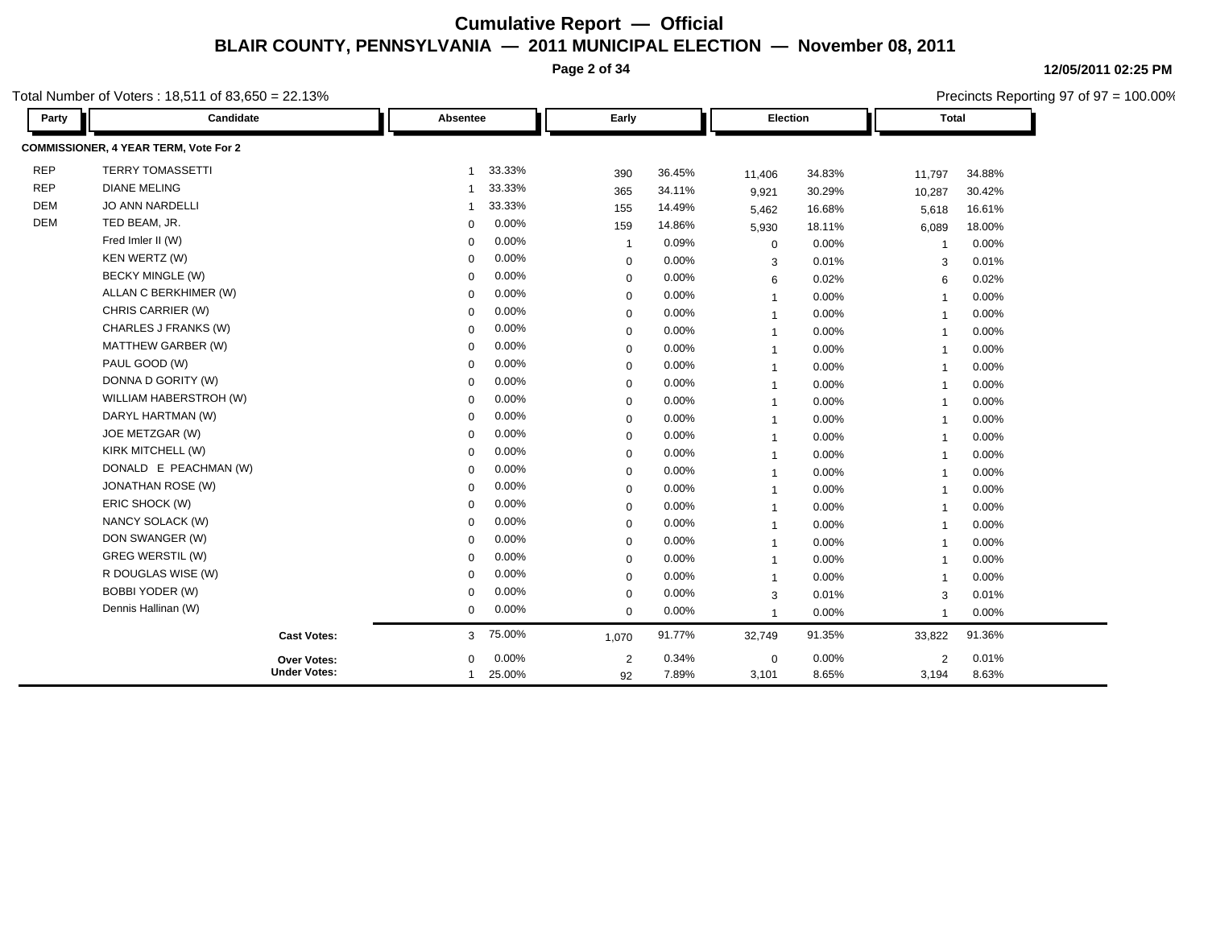**Page 2 of 34**

**12/05/2011 02:25 PM** Precincts Reporting 97 of 97 = 100.00%

| Party      | Candidate                             | Absentee    | Early                   |        | Election       |          | <b>Total</b>            |          |  |
|------------|---------------------------------------|-------------|-------------------------|--------|----------------|----------|-------------------------|----------|--|
|            | COMMISSIONER, 4 YEAR TERM, Vote For 2 |             |                         |        |                |          |                         |          |  |
| <b>REP</b> | <b>TERRY TOMASSETTI</b>               | 1           | 33.33%<br>390           | 36.45% | 11,406         | 34.83%   | 11,797                  | 34.88%   |  |
| <b>REP</b> | <b>DIANE MELING</b>                   | 1           | 33.33%<br>365           | 34.11% | 9,921          | 30.29%   | 10,287                  | 30.42%   |  |
| <b>DEM</b> | JO ANN NARDELLI                       | 1           | 33.33%<br>155           | 14.49% | 5,462          | 16.68%   | 5,618                   | 16.61%   |  |
| <b>DEM</b> | TED BEAM, JR.                         | $\Omega$    | 0.00%<br>159            | 14.86% | 5,930          | 18.11%   | 6,089                   | 18.00%   |  |
|            | Fred Imler II (W)                     | $\Omega$    | 0.00%<br>-1             | 0.09%  | $\mathbf 0$    | 0.00%    | $\overline{\mathbf{1}}$ | 0.00%    |  |
|            | <b>KEN WERTZ (W)</b>                  | $\Omega$    | 0.00%<br>$\mathbf 0$    | 0.00%  | 3              | 0.01%    | 3                       | 0.01%    |  |
|            | <b>BECKY MINGLE (W)</b>               | $\Omega$    | 0.00%<br>$\mathbf 0$    | 0.00%  | 6              | 0.02%    | 6                       | 0.02%    |  |
|            | ALLAN C BERKHIMER (W)                 | $\Omega$    | 0.00%<br>$\mathbf 0$    | 0.00%  | $\overline{1}$ | 0.00%    | $\overline{1}$          | 0.00%    |  |
|            | CHRIS CARRIER (W)                     | $\Omega$    | 0.00%<br>$\mathbf 0$    | 0.00%  | $\mathbf{1}$   | 0.00%    | $\overline{1}$          | $0.00\%$ |  |
|            | CHARLES J FRANKS (W)                  | $\Omega$    | 0.00%<br>$\Omega$       | 0.00%  | $\overline{1}$ | 0.00%    | $\overline{1}$          | $0.00\%$ |  |
|            | MATTHEW GARBER (W)                    | $\Omega$    | 0.00%<br>$\mathbf 0$    | 0.00%  | $\mathbf{1}$   | 0.00%    | $\overline{1}$          | $0.00\%$ |  |
|            | PAUL GOOD (W)                         | $\Omega$    | 0.00%<br>$\mathbf 0$    | 0.00%  | $\overline{1}$ | 0.00%    | $\overline{1}$          | $0.00\%$ |  |
|            | DONNA D GORITY (W)                    | $\Omega$    | 0.00%<br>$\mathbf 0$    | 0.00%  | $\mathbf{1}$   | $0.00\%$ | $\overline{\mathbf{1}}$ | $0.00\%$ |  |
|            | WILLIAM HABERSTROH (W)                | $\Omega$    | 0.00%<br>$\mathbf 0$    | 0.00%  | $\overline{1}$ | 0.00%    | $\overline{1}$          | $0.00\%$ |  |
|            | DARYL HARTMAN (W)                     | $\Omega$    | 0.00%<br>$\mathbf 0$    | 0.00%  | $\overline{1}$ | $0.00\%$ | $\overline{\mathbf{1}}$ | $0.00\%$ |  |
|            | JOE METZGAR (W)                       | $\mathbf 0$ | 0.00%<br>$\mathbf 0$    | 0.00%  | $\mathbf{1}$   | 0.00%    | $\overline{1}$          | $0.00\%$ |  |
|            | KIRK MITCHELL (W)                     | $\Omega$    | 0.00%<br>$\mathbf 0$    | 0.00%  | $\overline{1}$ | $0.00\%$ | $\overline{\mathbf{1}}$ | $0.00\%$ |  |
|            | DONALD E PEACHMAN (W)                 | $\mathbf 0$ | 0.00%<br>$\mathbf 0$    | 0.00%  | $\overline{1}$ | 0.00%    | $\overline{1}$          | $0.00\%$ |  |
|            | <b>JONATHAN ROSE (W)</b>              | $\Omega$    | 0.00%<br>$\mathbf 0$    | 0.00%  | $\overline{1}$ | 0.00%    | -1                      | $0.00\%$ |  |
|            | ERIC SHOCK (W)                        | $\Omega$    | 0.00%<br>$\mathbf 0$    | 0.00%  | $\overline{1}$ | 0.00%    | $\overline{1}$          | $0.00\%$ |  |
|            | NANCY SOLACK (W)                      | $\Omega$    | 0.00%<br>$\mathbf 0$    | 0.00%  | $\overline{1}$ | 0.00%    | -1                      | $0.00\%$ |  |
|            | DON SWANGER (W)                       | $\mathbf 0$ | 0.00%<br>0              | 0.00%  | $\overline{1}$ | 0.00%    | $\overline{1}$          | 0.00%    |  |
|            | <b>GREG WERSTIL (W)</b>               | $\Omega$    | 0.00%<br>$\mathbf 0$    | 0.00%  | $\overline{1}$ | 0.00%    | $\overline{1}$          | 0.00%    |  |
|            | R DOUGLAS WISE (W)                    | $\mathbf 0$ | 0.00%<br>$\mathbf 0$    | 0.00%  | $\mathbf{1}$   | 0.00%    | $\overline{1}$          | $0.00\%$ |  |
|            | <b>BOBBI YODER (W)</b>                | $\Omega$    | 0.00%<br>$\mathbf 0$    | 0.00%  | 3              | 0.01%    | 3                       | 0.01%    |  |
|            | Dennis Hallinan (W)                   | $\mathbf 0$ | 0.00%<br>$\mathbf 0$    | 0.00%  | $\overline{1}$ | 0.00%    | $\overline{1}$          | 0.00%    |  |
|            | <b>Cast Votes:</b>                    | 3           | 75.00%<br>1,070         | 91.77% | 32,749         | 91.35%   | 33,822                  | 91.36%   |  |
|            | Over Votes:                           | $\Omega$    | 0.00%<br>$\overline{2}$ | 0.34%  | $\mathbf 0$    | 0.00%    | $\overline{2}$          | 0.01%    |  |
|            | <b>Under Votes:</b>                   | 1           | 25.00%<br>92            | 7.89%  | 3,101          | 8.65%    | 3,194                   | 8.63%    |  |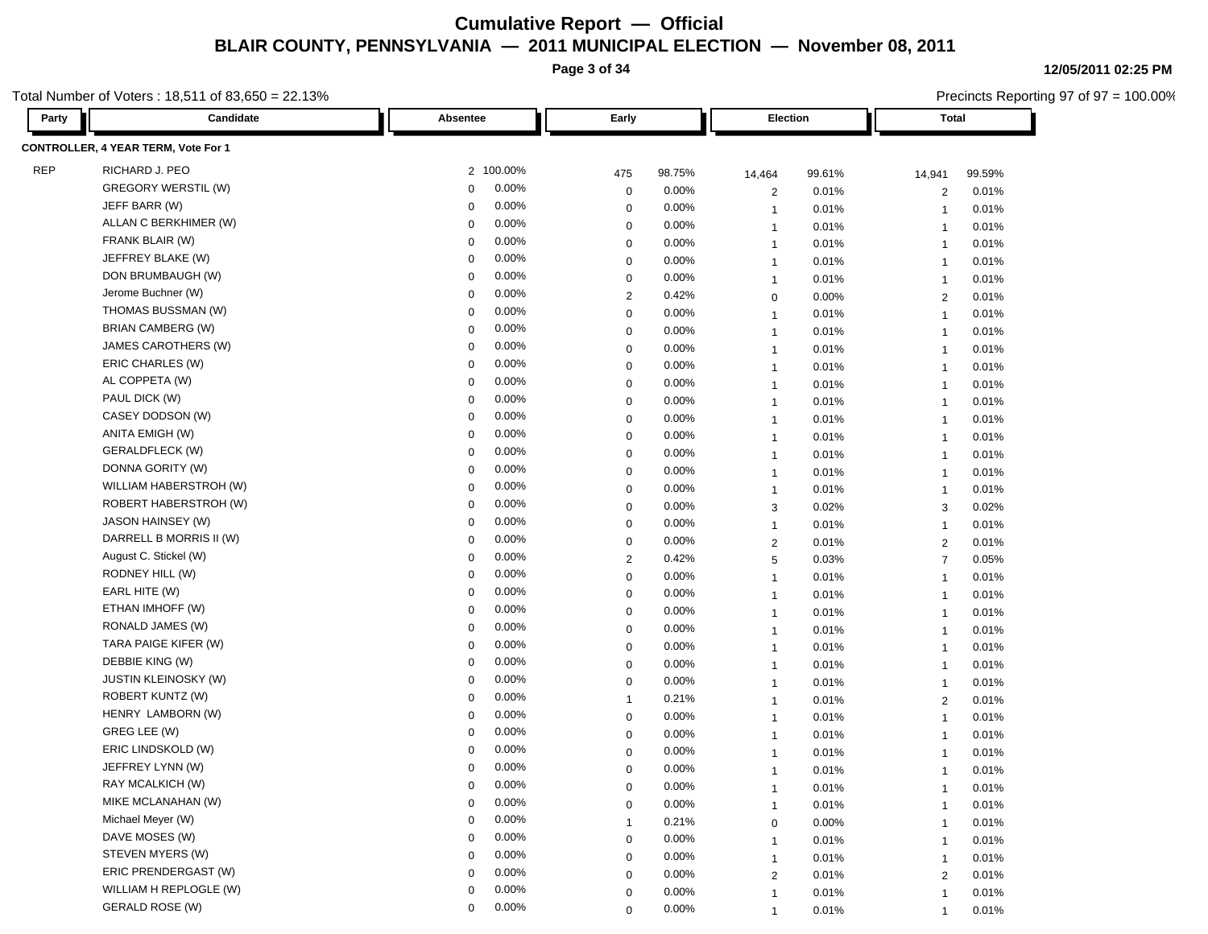**Page 3 of 34**

**12/05/2011 02:25 PM**

Precincts Reporting 97 of 97 = 100.00%

| Party      | Candidate                           | Absentee             | Early          |        | Election                |        | Total  |                         |        |  |  |
|------------|-------------------------------------|----------------------|----------------|--------|-------------------------|--------|--------|-------------------------|--------|--|--|
|            | CONTROLLER, 4 YEAR TERM, Vote For 1 |                      |                |        |                         |        |        |                         |        |  |  |
| <b>REP</b> | RICHARD J. PEO                      | 2 100.00%            | 475            | 98.75% | 14,464                  | 99.61% | 14,941 |                         | 99.59% |  |  |
|            | <b>GREGORY WERSTIL (W)</b>          | 0.00%<br>0           | 0              | 0.00%  | $\overline{\mathbf{c}}$ | 0.01%  |        | $\overline{2}$          | 0.01%  |  |  |
|            | JEFF BARR (W)                       | 0.00%<br>$\mathbf 0$ | 0              | 0.00%  | $\overline{1}$          | 0.01%  |        | $\overline{1}$          | 0.01%  |  |  |
|            | ALLAN C BERKHIMER (W)               | 0.00%<br>0           | 0              | 0.00%  | $\overline{1}$          | 0.01%  |        | $\overline{1}$          | 0.01%  |  |  |
|            | FRANK BLAIR (W)                     | 0.00%<br>0           | $\mathbf 0$    | 0.00%  | $\overline{1}$          | 0.01%  |        | $\overline{1}$          | 0.01%  |  |  |
|            | JEFFREY BLAKE (W)                   | 0.00%<br>$\mathbf 0$ | $\mathbf 0$    | 0.00%  | $\overline{1}$          | 0.01%  |        | $\overline{1}$          | 0.01%  |  |  |
|            | DON BRUMBAUGH (W)                   | 0.00%<br>$\mathbf 0$ | 0              | 0.00%  | $\mathbf{1}$            | 0.01%  |        | $\overline{1}$          | 0.01%  |  |  |
|            | Jerome Buchner (W)                  | 0.00%<br>$\mathbf 0$ | $\overline{2}$ | 0.42%  | $\mathbf 0$             | 0.00%  |        | 2                       | 0.01%  |  |  |
|            | THOMAS BUSSMAN (W)                  | 0.00%<br>$\mathbf 0$ | $\mathbf 0$    | 0.00%  | $\overline{1}$          | 0.01%  |        | $\overline{1}$          | 0.01%  |  |  |
|            | BRIAN CAMBERG (W)                   | 0.00%<br>$\mathbf 0$ | $\mathbf 0$    | 0.00%  | $\overline{1}$          | 0.01%  |        | $\overline{1}$          | 0.01%  |  |  |
|            | JAMES CAROTHERS (W)                 | 0.00%<br>0           | $\mathbf 0$    | 0.00%  | $\overline{1}$          | 0.01%  |        | $\overline{1}$          | 0.01%  |  |  |
|            | ERIC CHARLES (W)                    | 0.00%<br>0           | $\mathbf 0$    | 0.00%  | $\overline{1}$          | 0.01%  |        | $\overline{1}$          | 0.01%  |  |  |
|            | AL COPPETA (W)                      | 0.00%<br>$\mathbf 0$ | 0              | 0.00%  | $\overline{1}$          | 0.01%  |        | $\overline{1}$          | 0.01%  |  |  |
|            | PAUL DICK (W)                       | 0.00%<br>0           | $\mathbf 0$    | 0.00%  | $\mathbf{1}$            | 0.01%  |        | $\overline{1}$          | 0.01%  |  |  |
|            | CASEY DODSON (W)                    | 0.00%<br>0           | $\mathbf 0$    | 0.00%  | $\overline{1}$          | 0.01%  |        | $\overline{1}$          | 0.01%  |  |  |
|            | ANITA EMIGH (W)                     | 0.00%<br>$\mathbf 0$ | $\mathbf 0$    | 0.00%  | $\overline{1}$          | 0.01%  |        | $\overline{1}$          | 0.01%  |  |  |
|            | GERALDFLECK (W)                     | 0.00%<br>$\mathbf 0$ | $\mathbf 0$    | 0.00%  | $\overline{1}$          | 0.01%  |        | $\overline{1}$          | 0.01%  |  |  |
|            | DONNA GORITY (W)                    | 0.00%<br>0           | $\mathbf 0$    | 0.00%  | $\overline{1}$          | 0.01%  |        | $\overline{1}$          | 0.01%  |  |  |
|            | WILLIAM HABERSTROH (W)              | 0.00%<br>$\mathbf 0$ | 0              | 0.00%  | $\mathbf{1}$            | 0.01%  |        | $\overline{1}$          | 0.01%  |  |  |
|            | ROBERT HABERSTROH (W)               | 0.00%<br>$\mathbf 0$ | $\mathbf 0$    | 0.00%  | 3                       | 0.02%  |        | 3                       | 0.02%  |  |  |
|            | JASON HAINSEY (W)                   | 0.00%<br>$\mathbf 0$ | $\mathbf 0$    | 0.00%  | $\overline{1}$          | 0.01%  |        | $\overline{1}$          | 0.01%  |  |  |
|            | DARRELL B MORRIS II (W)             | 0.00%<br>$\Omega$    | $\mathbf 0$    | 0.00%  | $\overline{2}$          | 0.01%  |        | 2                       | 0.01%  |  |  |
|            | August C. Stickel (W)               | 0.00%<br>0           | $\overline{2}$ | 0.42%  | 5                       | 0.03%  |        | $\overline{7}$          | 0.05%  |  |  |
|            | RODNEY HILL (W)                     | 0.00%<br>0           | $\mathbf 0$    | 0.00%  | $\overline{1}$          | 0.01%  |        | $\overline{\mathbf{1}}$ | 0.01%  |  |  |
|            | EARL HITE (W)                       | 0.00%<br>$\mathbf 0$ | 0              | 0.00%  | $\mathbf{1}$            | 0.01%  |        | $\overline{1}$          | 0.01%  |  |  |
|            | ETHAN IMHOFF (W)                    | 0.00%<br>0           | $\mathbf 0$    | 0.00%  | $\mathbf{1}$            | 0.01%  |        | $\overline{1}$          | 0.01%  |  |  |
|            | RONALD JAMES (W)                    | 0.00%<br>$\mathbf 0$ | 0              | 0.00%  | $\overline{1}$          | 0.01%  |        | $\overline{1}$          | 0.01%  |  |  |
|            | TARA PAIGE KIFER (W)                | 0.00%<br>$\mathbf 0$ | $\mathbf 0$    | 0.00%  | $\overline{1}$          | 0.01%  |        | $\overline{1}$          | 0.01%  |  |  |
|            | DEBBIE KING (W)                     | 0.00%<br>0           | $\mathbf 0$    | 0.00%  | $\overline{1}$          | 0.01%  |        | $\overline{1}$          | 0.01%  |  |  |
|            | <b>JUSTIN KLEINOSKY (W)</b>         | 0.00%<br>$\mathbf 0$ | $\mathbf 0$    | 0.00%  | $\overline{1}$          | 0.01%  |        | $\overline{1}$          | 0.01%  |  |  |
|            | ROBERT KUNTZ (W)                    | 0.00%<br>$\Omega$    | $\mathbf{1}$   | 0.21%  | $\overline{1}$          | 0.01%  |        | $\overline{2}$          | 0.01%  |  |  |
|            | HENRY LAMBORN (W)                   | 0.00%<br>$\mathbf 0$ | $\mathbf 0$    | 0.00%  | $\overline{1}$          | 0.01%  |        | $\overline{1}$          | 0.01%  |  |  |
|            | GREG LEE (W)                        | 0.00%<br>$\mathbf 0$ | $\mathbf 0$    | 0.00%  | $\overline{1}$          | 0.01%  |        | $\overline{1}$          | 0.01%  |  |  |
|            | ERIC LINDSKOLD (W)                  | 0.00%<br>$\mathbf 0$ | $\mathbf 0$    | 0.00%  | $\overline{1}$          | 0.01%  |        | $\overline{1}$          | 0.01%  |  |  |
|            | JEFFREY LYNN (W)                    | 0.00%<br>0           | $\mathbf 0$    | 0.00%  | $\overline{1}$          | 0.01%  |        | $\overline{\mathbf{1}}$ | 0.01%  |  |  |
|            | RAY MCALKICH (W)                    | 0.00%<br>0           | $\mathbf 0$    | 0.00%  | 1                       | 0.01%  |        |                         | 0.01%  |  |  |
|            | MIKE MCLANAHAN (W)                  | 0.00%<br>$\mathbf 0$ | $\mathbf 0$    | 0.00%  | $\overline{1}$          | 0.01%  |        | $\mathbf{1}$            | 0.01%  |  |  |
|            | Michael Meyer (W)                   | 0.00%<br>0           |                | 0.21%  | 0                       | 0.00%  |        | $\overline{1}$          | 0.01%  |  |  |
|            | DAVE MOSES (W)                      | 0.00%<br>0           | $\mathbf 0$    | 0.00%  | $\mathbf{1}$            | 0.01%  |        | $\overline{1}$          | 0.01%  |  |  |
|            | STEVEN MYERS (W)                    | 0.00%<br>$\Omega$    | $\mathbf 0$    | 0.00%  | $\mathbf{1}$            | 0.01%  |        | $\overline{1}$          | 0.01%  |  |  |
|            | ERIC PRENDERGAST (W)                | 0.00%<br>$\Omega$    | $\mathbf 0$    | 0.00%  | $\overline{2}$          | 0.01%  |        | $\overline{2}$          | 0.01%  |  |  |
|            | WILLIAM H REPLOGLE (W)              | 0.00%<br>0           | $\mathbf 0$    | 0.00%  | $\overline{1}$          | 0.01%  |        | $\overline{1}$          | 0.01%  |  |  |
|            | GERALD ROSE (W)                     | 0.00%<br>0           | $\mathbf 0$    | 0.00%  | $\mathbf{1}$            | 0.01%  |        | $\overline{1}$          | 0.01%  |  |  |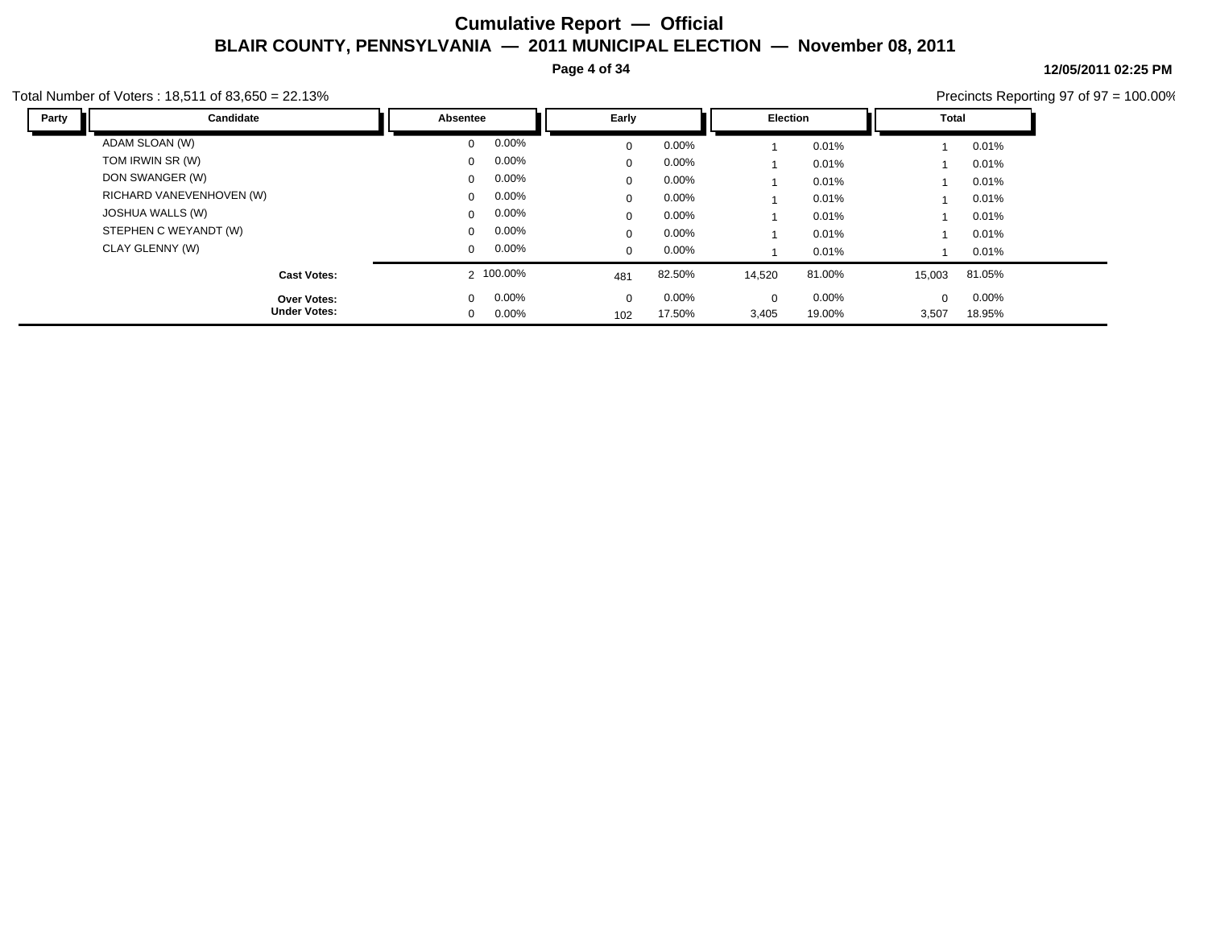**Page 4 of 34**

**12/05/2011 02:25 PM**

|       | otal Number of Voters: 18,511 of 83,650 = 22.13% |                                        |                 |                               |                 |                   |                    | Precincts Reporting 97 of 97 = 100.00% |
|-------|--------------------------------------------------|----------------------------------------|-----------------|-------------------------------|-----------------|-------------------|--------------------|----------------------------------------|
| Party | Candidate                                        | Absentee                               | Early           |                               | Election        | Total             |                    |                                        |
|       | ADAM SLOAN (W)                                   | $0.00\%$<br>$\Omega$                   | $\Omega$        | 0.00%                         | 0.01%           |                   | 0.01%              |                                        |
|       | TOM IRWIN SR (W)                                 | 0.00%<br>$^{\circ}$                    | $\Omega$        | $0.00\%$                      | 0.01%           |                   | 0.01%              |                                        |
|       | DON SWANGER (W)                                  | $0.00\%$<br>$\mathbf{0}$               | $\Omega$        | 0.00%                         | 0.01%           |                   | 0.01%              |                                        |
|       | RICHARD VANEVENHOVEN (W)                         | $0.00\%$<br>$\Omega$                   | $\mathbf 0$     | $0.00\%$                      | 0.01%           |                   | 0.01%              |                                        |
|       | JOSHUA WALLS (W)                                 | $0.00\%$<br>$\mathbf{0}$               | $\Omega$        | $0.00\%$                      | 0.01%           |                   | 0.01%              |                                        |
|       | STEPHEN C WEYANDT (W)                            | $0.00\%$<br>$\Omega$                   | $\Omega$        | $0.00\%$                      | 0.01%           |                   | 0.01%              |                                        |
|       | CLAY GLENNY (W)                                  | $0.00\%$<br>$^{\circ}$                 | $\mathbf{0}$    | $0.00\%$                      | 0.01%           |                   | 0.01%              |                                        |
|       | <b>Cast Votes:</b>                               | 2 100.00%                              | 481             | 82.50%<br>14,520              | 81.00%          | 15,003            | 81.05%             |                                        |
|       | <b>Over Votes:</b><br><b>Under Votes:</b>        | 0.00%<br>$\Omega$<br>0.00%<br>$\Omega$ | $\Omega$<br>102 | 0.00%<br>0<br>17.50%<br>3,405 | 0.00%<br>19.00% | $\Omega$<br>3,507 | $0.00\%$<br>18.95% |                                        |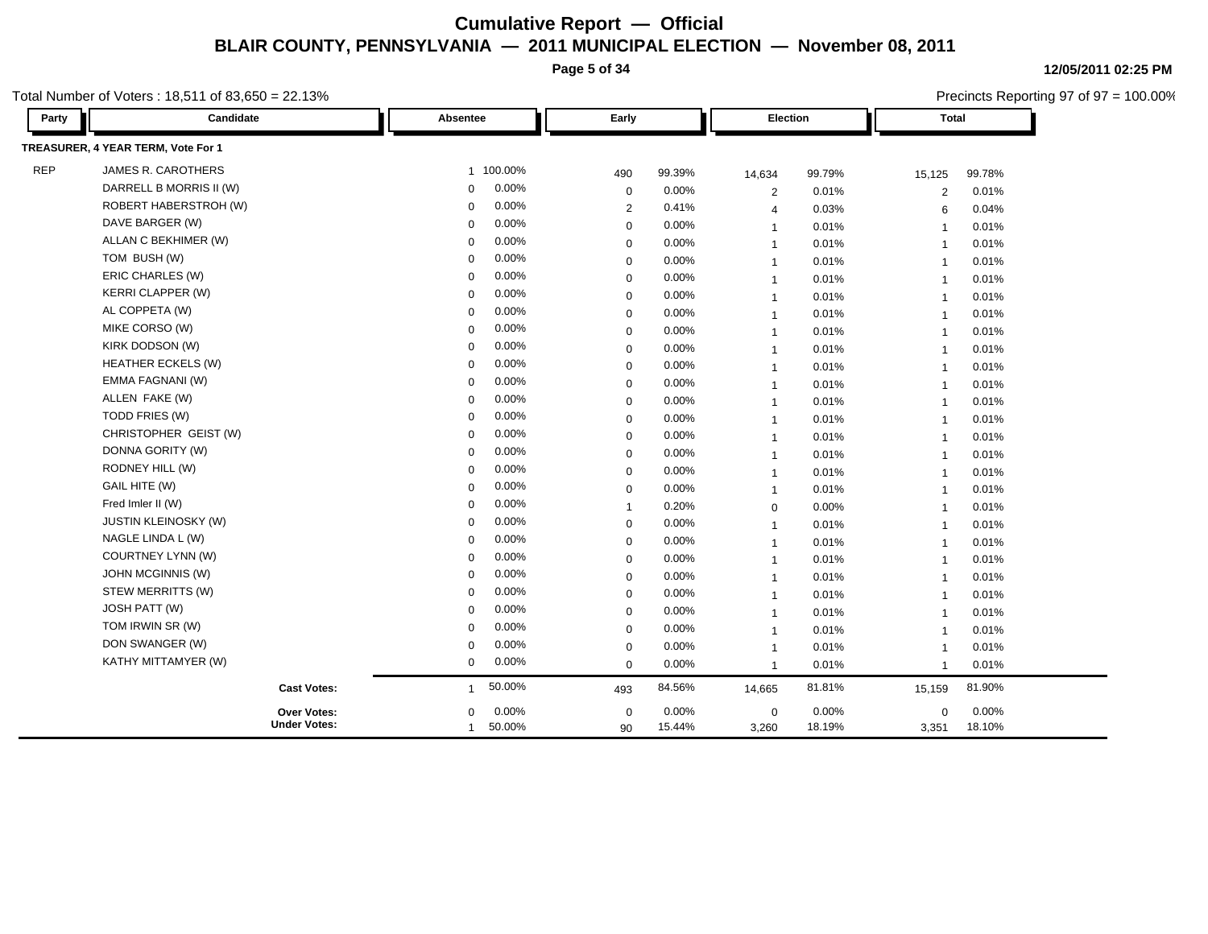**Page 5 of 34**

**12/05/2011 02:25 PM** Precincts Reporting 97 of 97 = 100.00%

| Party      | Candidate                          | Absentee               | Early          |        |                | Election |                | <b>Total</b> |  |
|------------|------------------------------------|------------------------|----------------|--------|----------------|----------|----------------|--------------|--|
|            | TREASURER, 4 YEAR TERM, Vote For 1 |                        |                |        |                |          |                |              |  |
| <b>REP</b> | JAMES R. CAROTHERS                 | 1 100.00%              | 490            | 99.39% | 14,634         | 99.79%   | 15,125         | 99.78%       |  |
|            | DARRELL B MORRIS II (W)            | 0.00%<br>$\Omega$      | $\mathbf 0$    | 0.00%  | $\overline{2}$ | 0.01%    | $\sqrt{2}$     | 0.01%        |  |
|            | ROBERT HABERSTROH (W)              | 0.00%<br>$\Omega$      | 2              | 0.41%  | $\overline{4}$ | 0.03%    | 6              | 0.04%        |  |
|            | DAVE BARGER (W)                    | 0.00%<br>0             | $\mathbf 0$    | 0.00%  | $\overline{1}$ | 0.01%    | $\overline{1}$ | 0.01%        |  |
|            | ALLAN C BEKHIMER (W)               | 0.00%<br>$\Omega$      | $\mathbf 0$    | 0.00%  | $\mathbf{1}$   | 0.01%    | $\overline{1}$ | 0.01%        |  |
|            | TOM BUSH (W)                       | 0.00%<br>0             | $\mathbf 0$    | 0.00%  | $\overline{1}$ | 0.01%    | $\overline{1}$ | 0.01%        |  |
|            | ERIC CHARLES (W)                   | 0.00%<br>0             | $\mathbf 0$    | 0.00%  | $\overline{1}$ | 0.01%    | $\overline{1}$ | 0.01%        |  |
|            | <b>KERRI CLAPPER (W)</b>           | 0.00%<br>$\Omega$      | $\mathbf 0$    | 0.00%  | $\overline{1}$ | 0.01%    | $\overline{1}$ | 0.01%        |  |
|            | AL COPPETA (W)                     | 0.00%<br>$\Omega$      | $\mathbf 0$    | 0.00%  | $\overline{1}$ | 0.01%    | $\overline{1}$ | 0.01%        |  |
|            | MIKE CORSO (W)                     | 0.00%<br>$\mathbf 0$   | $\mathbf 0$    | 0.00%  | $\overline{1}$ | 0.01%    | $\overline{1}$ | 0.01%        |  |
|            | KIRK DODSON (W)                    | 0.00%<br>$\Omega$      | $\mathbf 0$    | 0.00%  | $\mathbf{1}$   | 0.01%    | $\overline{1}$ | 0.01%        |  |
|            | <b>HEATHER ECKELS (W)</b>          | 0.00%<br>$\Omega$      | $\mathbf 0$    | 0.00%  | $\overline{1}$ | 0.01%    | $\overline{1}$ | 0.01%        |  |
|            | EMMA FAGNANI (W)                   | 0.00%<br>$\Omega$      | $\mathbf 0$    | 0.00%  | $\overline{1}$ | 0.01%    | $\overline{1}$ | 0.01%        |  |
|            | ALLEN FAKE (W)                     | 0.00%<br>$\Omega$      | $\mathbf 0$    | 0.00%  | $\overline{1}$ | 0.01%    | $\overline{1}$ | 0.01%        |  |
|            | TODD FRIES (W)                     | 0.00%<br>$\mathbf 0$   | $\mathbf 0$    | 0.00%  | $\overline{1}$ | 0.01%    | $\overline{1}$ | 0.01%        |  |
|            | CHRISTOPHER GEIST (W)              | 0.00%<br>$\Omega$      | $\mathbf 0$    | 0.00%  | $\mathbf{1}$   | 0.01%    | $\overline{1}$ | 0.01%        |  |
|            | DONNA GORITY (W)                   | 0.00%<br>$\Omega$      | $\mathbf 0$    | 0.00%  | $\overline{1}$ | 0.01%    | $\overline{1}$ | 0.01%        |  |
|            | RODNEY HILL (W)                    | 0.00%<br>$\Omega$      | $\mathbf 0$    | 0.00%  | $\overline{1}$ | 0.01%    | $\overline{1}$ | 0.01%        |  |
|            | <b>GAIL HITE (W)</b>               | 0.00%<br>$\Omega$      | $\mathbf 0$    | 0.00%  | $\mathbf{1}$   | 0.01%    | $\overline{1}$ | 0.01%        |  |
|            | Fred Imler II (W)                  | 0.00%<br>$\Omega$      | $\overline{1}$ | 0.20%  | $\mathbf 0$    | $0.00\%$ | $\overline{1}$ | 0.01%        |  |
|            | <b>JUSTIN KLEINOSKY (W)</b>        | 0.00%<br>$\Omega$      | $\mathbf 0$    | 0.00%  | $\overline{1}$ | 0.01%    | $\overline{1}$ | 0.01%        |  |
|            | NAGLE LINDA L (W)                  | 0.00%<br>$\Omega$      | $\mathbf 0$    | 0.00%  | $\overline{1}$ | 0.01%    | $\overline{1}$ | 0.01%        |  |
|            | COURTNEY LYNN (W)                  | 0.00%<br>$\Omega$      | $\mathbf 0$    | 0.00%  | $\mathbf{1}$   | 0.01%    | $\overline{1}$ | 0.01%        |  |
|            | JOHN MCGINNIS (W)                  | 0.00%<br>$\Omega$      | $\mathbf 0$    | 0.00%  | $\overline{1}$ | 0.01%    | $\overline{1}$ | 0.01%        |  |
|            | STEW MERRITTS (W)                  | 0.00%<br>$\Omega$      | $\mathbf 0$    | 0.00%  | $\overline{1}$ | 0.01%    | $\overline{1}$ | 0.01%        |  |
|            | JOSH PATT (W)                      | 0.00%<br>$\Omega$      | $\mathbf 0$    | 0.00%  | $\overline{1}$ | 0.01%    | $\overline{1}$ | 0.01%        |  |
|            | TOM IRWIN SR (W)                   | 0.00%<br>$\mathbf 0$   | $\mathbf 0$    | 0.00%  | $\overline{1}$ | 0.01%    | $\overline{1}$ | 0.01%        |  |
|            | DON SWANGER (W)                    | 0.00%<br>$\mathbf 0$   | $\mathbf 0$    | 0.00%  | $\overline{1}$ | 0.01%    | $\overline{1}$ | 0.01%        |  |
|            | KATHY MITTAMYER (W)                | 0.00%<br>0             | $\mathbf 0$    | 0.00%  | $\mathbf{1}$   | 0.01%    | $\overline{1}$ | 0.01%        |  |
|            | <b>Cast Votes:</b>                 | 50.00%<br>-1           | 493            | 84.56% | 14,665         | 81.81%   | 15,159         | 81.90%       |  |
|            | Over Votes:                        | 0.00%<br>$\mathbf 0$   | $\mathbf 0$    | 0.00%  | $\mathbf 0$    | 0.00%    | $\mathbf 0$    | 0.00%        |  |
|            | <b>Under Votes:</b>                | 50.00%<br>$\mathbf{1}$ | 90             | 15.44% | 3,260          | 18.19%   | 3,351          | 18.10%       |  |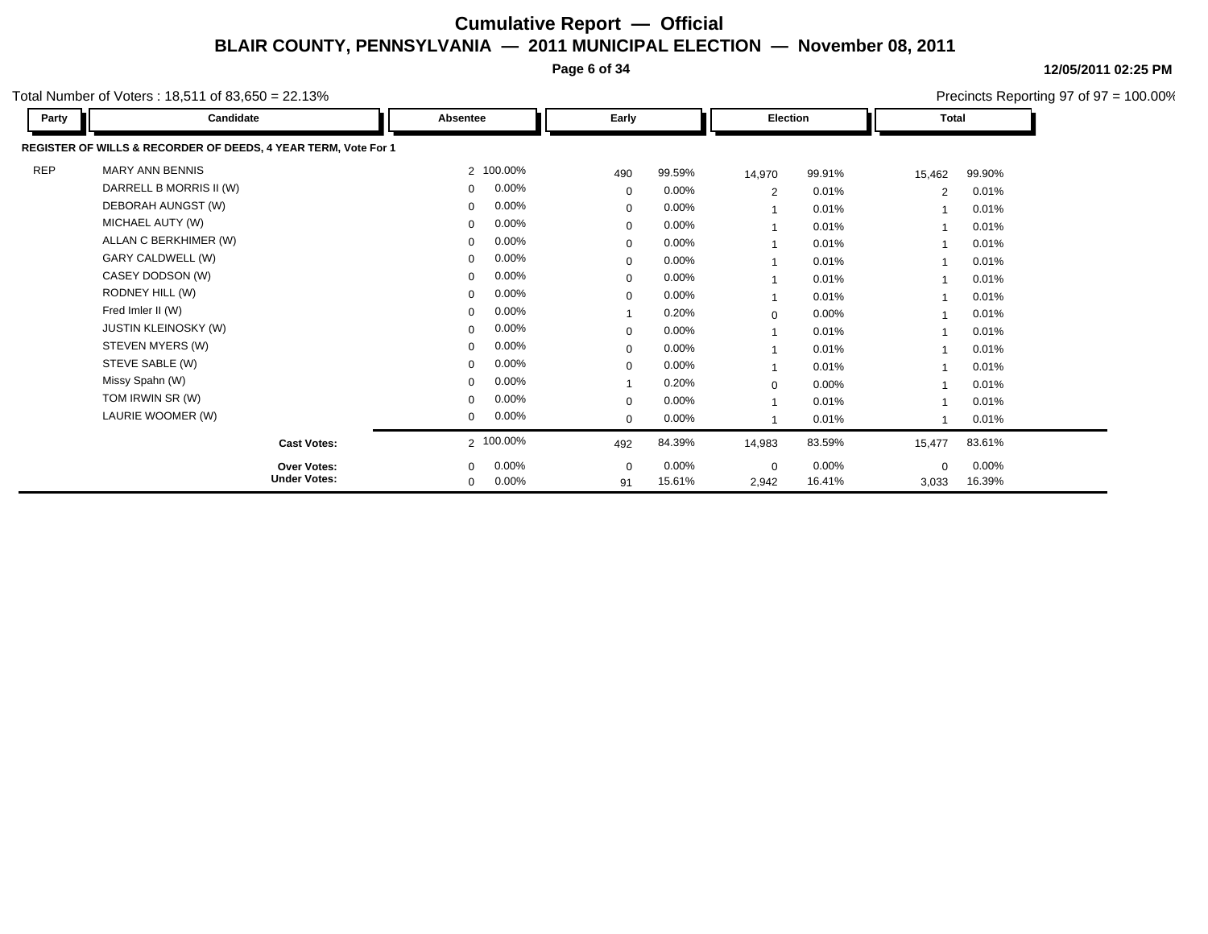**Page 6 of 34**

Precincts Reporting 97 of 97 = 100.00%

**12/05/2011 02:25 PM**

| Party      | Candidate                                                      | Absentee      | Early        |          | Election       |          |          | <b>Total</b> |  |
|------------|----------------------------------------------------------------|---------------|--------------|----------|----------------|----------|----------|--------------|--|
|            | REGISTER OF WILLS & RECORDER OF DEEDS, 4 YEAR TERM, Vote For 1 |               |              |          |                |          |          |              |  |
| <b>REP</b> | <b>MARY ANN BENNIS</b>                                         | 2 100.00%     | 490          | 99.59%   | 14,970         | 99.91%   | 15,462   | 99.90%       |  |
|            | DARRELL B MORRIS II (W)                                        | $0.00\%$<br>0 | $\mathbf 0$  | 0.00%    | $\overline{2}$ | 0.01%    | 2        | 0.01%        |  |
|            | DEBORAH AUNGST (W)                                             | 0.00%<br>0    | $\mathbf 0$  | $0.00\%$ |                | 0.01%    |          | 0.01%        |  |
|            | MICHAEL AUTY (W)                                               | $0.00\%$<br>0 | $\mathbf 0$  | 0.00%    |                | 0.01%    |          | 0.01%        |  |
|            | ALLAN C BERKHIMER (W)                                          | $0.00\%$<br>0 | $\mathbf{0}$ | 0.00%    |                | 0.01%    |          | 0.01%        |  |
|            | GARY CALDWELL (W)                                              | $0.00\%$<br>0 | $\mathbf 0$  | 0.00%    |                | 0.01%    |          | 0.01%        |  |
|            | CASEY DODSON (W)                                               | 0.00%<br>0    | $\Omega$     | $0.00\%$ |                | 0.01%    |          | 0.01%        |  |
|            | RODNEY HILL (W)                                                | $0.00\%$<br>0 | $\mathbf 0$  | 0.00%    |                | 0.01%    |          | 0.01%        |  |
|            | Fred Imler II (W)                                              | 0.00%<br>0    |              | 0.20%    | $\mathbf 0$    | $0.00\%$ |          | 0.01%        |  |
|            | <b>JUSTIN KLEINOSKY (W)</b>                                    | $0.00\%$<br>0 | $\mathbf 0$  | $0.00\%$ |                | 0.01%    |          | 0.01%        |  |
|            | STEVEN MYERS (W)                                               | 0.00%<br>0    | $\Omega$     | $0.00\%$ |                | 0.01%    |          | 0.01%        |  |
|            | STEVE SABLE (W)                                                | 0.00%<br>0    | $\mathbf 0$  | 0.00%    |                | 0.01%    |          | 0.01%        |  |
|            | Missy Spahn (W)                                                | 0.00%<br>0    |              | 0.20%    | $\mathbf 0$    | 0.00%    |          | 0.01%        |  |
|            | TOM IRWIN SR (W)                                               | 0.00%<br>0    | $\Omega$     | 0.00%    |                | 0.01%    |          | 0.01%        |  |
|            | LAURIE WOOMER (W)                                              | $0.00\%$<br>0 | $\Omega$     | 0.00%    |                | 0.01%    |          | 0.01%        |  |
|            | <b>Cast Votes:</b>                                             | 2 100.00%     | 492          | 84.39%   | 14,983         | 83.59%   | 15,477   | 83.61%       |  |
|            | <b>Over Votes:</b>                                             | $0.00\%$<br>0 | $\Omega$     | $0.00\%$ | $\mathbf 0$    | $0.00\%$ | $\Omega$ | $0.00\%$     |  |
|            | <b>Under Votes:</b>                                            | 0.00%<br>0    | 91           | 15.61%   | 2,942          | 16.41%   | 3,033    | 16.39%       |  |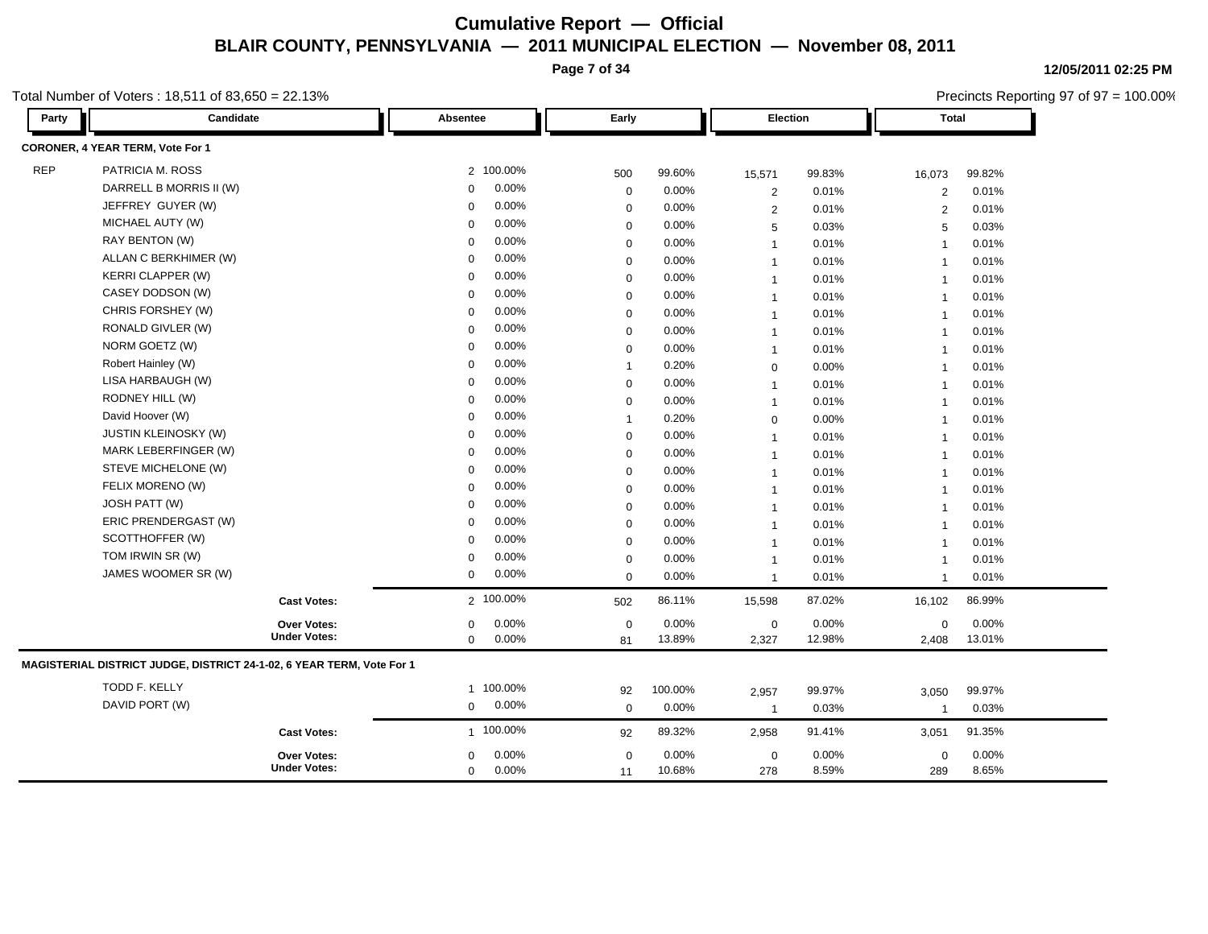**Page 7 of 34**

**12/05/2011 02:25 PM**

Total Number of Voters : 18,511 of 83,650 = 22.13%

| Party      | Candidate                                                             |                     | Absentee     |       |              | Early    |                | Election |                         | <b>Total</b> |  |
|------------|-----------------------------------------------------------------------|---------------------|--------------|-------|--------------|----------|----------------|----------|-------------------------|--------------|--|
|            | CORONER, 4 YEAR TERM, Vote For 1                                      |                     |              |       |              |          |                |          |                         |              |  |
| <b>REP</b> | PATRICIA M. ROSS                                                      |                     | 2 100.00%    |       | 500          | 99.60%   | 15,571         | 99.83%   | 16,073                  | 99.82%       |  |
|            | DARRELL B MORRIS II (W)                                               |                     | $\mathbf 0$  | 0.00% | 0            | 0.00%    | $\overline{2}$ | 0.01%    | 2                       | 0.01%        |  |
|            | JEFFREY GUYER (W)                                                     |                     | 0            | 0.00% | 0            | 0.00%    | $\overline{c}$ | 0.01%    | $\overline{2}$          | 0.01%        |  |
|            | MICHAEL AUTY (W)                                                      |                     | $\mathbf 0$  | 0.00% | 0            | 0.00%    | 5              | 0.03%    | 5                       | 0.03%        |  |
|            | RAY BENTON (W)                                                        |                     | $\Omega$     | 0.00% | 0            | 0.00%    | $\mathbf{1}$   | 0.01%    | $\overline{1}$          | 0.01%        |  |
|            | ALLAN C BERKHIMER (W)                                                 |                     | $\mathbf 0$  | 0.00% | 0            | $0.00\%$ | $\mathbf{1}$   | 0.01%    | $\overline{1}$          | 0.01%        |  |
|            | <b>KERRI CLAPPER (W)</b>                                              |                     | $\mathbf 0$  | 0.00% | 0            | 0.00%    | 1              | 0.01%    | $\overline{\mathbf{1}}$ | 0.01%        |  |
|            | CASEY DODSON (W)                                                      |                     | $\Omega$     | 0.00% | $\mathbf 0$  | 0.00%    | 1              | 0.01%    | $\overline{\mathbf{1}}$ | 0.01%        |  |
|            | CHRIS FORSHEY (W)                                                     |                     | $\mathbf 0$  | 0.00% | $\mathsf 0$  | 0.00%    | $\mathbf{1}$   | 0.01%    | $\overline{\mathbf{1}}$ | 0.01%        |  |
|            | RONALD GIVLER (W)                                                     |                     | $\Omega$     | 0.00% | $\mathbf 0$  | $0.00\%$ | -1             | 0.01%    | -1                      | 0.01%        |  |
|            | NORM GOETZ (W)                                                        |                     | $\mathbf 0$  | 0.00% | $\mathbf 0$  | 0.00%    | $\mathbf{1}$   | 0.01%    | $\overline{\mathbf{1}}$ | 0.01%        |  |
|            | Robert Hainley (W)                                                    |                     | $\Omega$     | 0.00% | $\mathbf{1}$ | 0.20%    | 0              | 0.00%    | $\overline{1}$          | 0.01%        |  |
|            | LISA HARBAUGH (W)                                                     |                     | $\Omega$     | 0.00% | $\mathsf 0$  | 0.00%    | $\overline{1}$ | 0.01%    | $\overline{1}$          | 0.01%        |  |
|            | RODNEY HILL (W)                                                       |                     | $\Omega$     | 0.00% | 0            | 0.00%    | $\mathbf{1}$   | 0.01%    | $\overline{1}$          | 0.01%        |  |
|            | David Hoover (W)                                                      |                     | $\Omega$     | 0.00% | $\mathbf{1}$ | 0.20%    | $\mathbf 0$    | 0.00%    | $\overline{1}$          | 0.01%        |  |
|            | <b>JUSTIN KLEINOSKY (W)</b>                                           |                     | $\mathbf 0$  | 0.00% | 0            | 0.00%    | $\mathbf{1}$   | 0.01%    | $\overline{1}$          | 0.01%        |  |
|            | MARK LEBERFINGER (W)                                                  |                     | $\Omega$     | 0.00% | $\mathsf 0$  | 0.00%    | $\mathbf{1}$   | 0.01%    | $\overline{1}$          | 0.01%        |  |
|            | STEVE MICHELONE (W)                                                   |                     | $\mathbf 0$  | 0.00% | $\mathsf 0$  | 0.00%    | $\mathbf{1}$   | 0.01%    | $\overline{1}$          | 0.01%        |  |
|            | FELIX MORENO (W)                                                      |                     | $\Omega$     | 0.00% | $\mathbf 0$  | 0.00%    | $\overline{1}$ | 0.01%    | $\overline{1}$          | 0.01%        |  |
|            | <b>JOSH PATT (W)</b>                                                  |                     | $\Omega$     | 0.00% | $\mathsf 0$  | 0.00%    | $\mathbf{1}$   | 0.01%    | $\overline{\mathbf{1}}$ | 0.01%        |  |
|            | ERIC PRENDERGAST (W)                                                  |                     | $\Omega$     | 0.00% | $\mathbf 0$  | $0.00\%$ | $\mathbf{1}$   | 0.01%    | $\overline{1}$          | 0.01%        |  |
|            | SCOTTHOFFER (W)                                                       |                     | $\Omega$     | 0.00% | 0            | 0.00%    | $\mathbf{1}$   | 0.01%    | $\overline{1}$          | 0.01%        |  |
|            | TOM IRWIN SR (W)                                                      |                     | $\Omega$     | 0.00% | 0            | $0.00\%$ | -1             | 0.01%    | $\overline{1}$          | 0.01%        |  |
|            | JAMES WOOMER SR (W)                                                   |                     | $\mathbf 0$  | 0.00% | $\mathsf 0$  | 0.00%    | 1              | 0.01%    | $\overline{1}$          | 0.01%        |  |
|            |                                                                       | <b>Cast Votes:</b>  | 2 100.00%    |       | 502          | 86.11%   | 15,598         | 87.02%   | 16,102                  | 86.99%       |  |
|            |                                                                       | Over Votes:         | $\mathbf 0$  | 0.00% | $\mathsf 0$  | 0.00%    | $\mathbf 0$    | 0.00%    | 0                       | 0.00%        |  |
|            |                                                                       | <b>Under Votes:</b> | $\mathbf 0$  | 0.00% | 81           | 13.89%   | 2,327          | 12.98%   | 2,408                   | 13.01%       |  |
|            | MAGISTERIAL DISTRICT JUDGE, DISTRICT 24-1-02, 6 YEAR TERM, Vote For 1 |                     |              |       |              |          |                |          |                         |              |  |
|            | TODD F. KELLY                                                         |                     | 1 100.00%    |       | 92           | 100.00%  | 2,957          | 99.97%   | 3,050                   | 99.97%       |  |
|            | DAVID PORT (W)                                                        |                     | $\mathbf{0}$ | 0.00% | $\mathbf 0$  | 0.00%    | $\overline{1}$ | 0.03%    | $\overline{1}$          | 0.03%        |  |
|            |                                                                       | <b>Cast Votes:</b>  | 1 100.00%    |       | 92           | 89.32%   | 2,958          | 91.41%   | 3,051                   | 91.35%       |  |
|            |                                                                       | Over Votes:         | $\mathbf 0$  | 0.00% | $\mathsf 0$  | 0.00%    | $\mathbf 0$    | 0.00%    | 0                       | 0.00%        |  |
|            |                                                                       | <b>Under Votes:</b> | $\mathbf 0$  | 0.00% | 11           | 10.68%   | 278            | 8.59%    | 289                     | 8.65%        |  |

Precincts Reporting 97 of 97 = 100.00%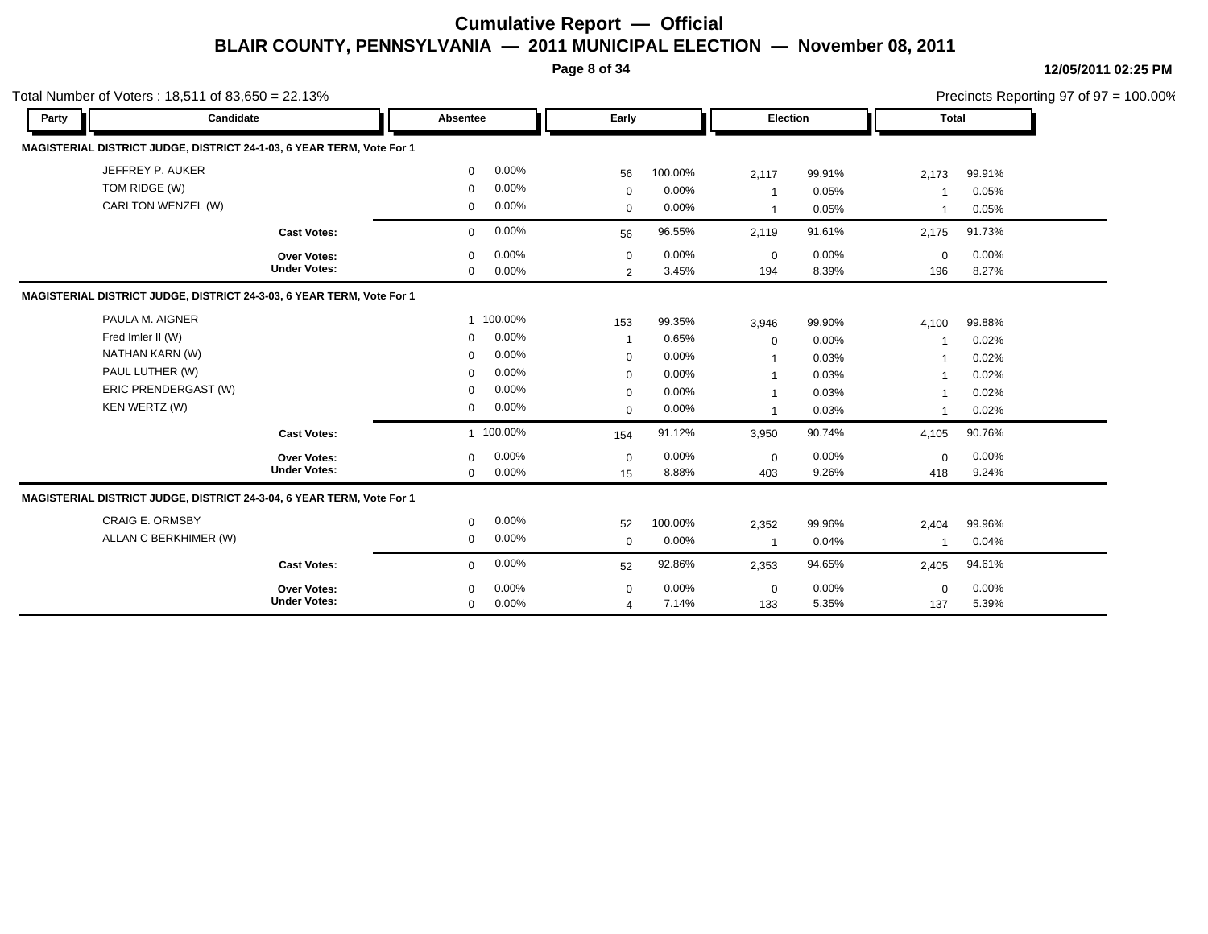**Page 8 of 34**

|                        | Total Number of Voters: $18,511$ of $83,650 = 22.13\%$                |              |          |                |          |                |        |                         |        | Precincts Reporting 97 of $97 = 100.00\%$ |
|------------------------|-----------------------------------------------------------------------|--------------|----------|----------------|----------|----------------|--------|-------------------------|--------|-------------------------------------------|
| Party                  | Candidate                                                             | Absentee     |          | Early          |          | Election       |        | <b>Total</b>            |        |                                           |
|                        | MAGISTERIAL DISTRICT JUDGE, DISTRICT 24-1-03, 6 YEAR TERM, Vote For 1 |              |          |                |          |                |        |                         |        |                                           |
| JEFFREY P. AUKER       |                                                                       | $\mathbf 0$  | $0.00\%$ | 56             | 100.00%  | 2,117          | 99.91% | 2,173                   | 99.91% |                                           |
| TOM RIDGE (W)          |                                                                       | $\mathbf 0$  | 0.00%    | $\mathbf 0$    | $0.00\%$ | $\mathbf{1}$   | 0.05%  |                         | 0.05%  |                                           |
|                        | CARLTON WENZEL (W)                                                    | 0            | 0.00%    | $\mathbf 0$    | $0.00\%$ | $\mathbf{1}$   | 0.05%  | -1                      | 0.05%  |                                           |
|                        | <b>Cast Votes:</b>                                                    | $\mathbf 0$  | 0.00%    | 56             | 96.55%   | 2,119          | 91.61% | 2,175                   | 91.73% |                                           |
|                        | <b>Over Votes:</b>                                                    | $\mathbf 0$  | $0.00\%$ | $\mathbf 0$    | $0.00\%$ | $\mathbf 0$    | 0.00%  | $\mathbf 0$             | 0.00%  |                                           |
|                        | <b>Under Votes:</b>                                                   | $\Omega$     | $0.00\%$ | $\overline{2}$ | 3.45%    | 194            | 8.39%  | 196                     | 8.27%  |                                           |
|                        | MAGISTERIAL DISTRICT JUDGE, DISTRICT 24-3-03, 6 YEAR TERM, Vote For 1 |              |          |                |          |                |        |                         |        |                                           |
| PAULA M. AIGNER        |                                                                       | $\mathbf{1}$ | 100.00%  | 153            | 99.35%   | 3,946          | 99.90% | 4,100                   | 99.88% |                                           |
| Fred Imler II (W)      |                                                                       | $\mathbf 0$  | 0.00%    | $\mathbf{1}$   | 0.65%    | $\mathbf 0$    | 0.00%  | -1                      | 0.02%  |                                           |
| NATHAN KARN (W)        |                                                                       | $\Omega$     | 0.00%    | $\mathbf 0$    | $0.00\%$ | $\mathbf{1}$   | 0.03%  |                         | 0.02%  |                                           |
| PAUL LUTHER (W)        |                                                                       | $\Omega$     | 0.00%    | $\mathbf 0$    | $0.00\%$ | $\mathbf{1}$   | 0.03%  | $\overline{\mathbf{1}}$ | 0.02%  |                                           |
|                        | ERIC PRENDERGAST (W)                                                  | $\mathbf 0$  | $0.00\%$ | $\mathbf 0$    | $0.00\%$ | $\mathbf{1}$   | 0.03%  |                         | 0.02%  |                                           |
| KEN WERTZ (W)          |                                                                       | 0            | 0.00%    | $\mathbf 0$    | 0.00%    | $\mathbf{1}$   | 0.03%  | $\overline{\mathbf{1}}$ | 0.02%  |                                           |
|                        | <b>Cast Votes:</b>                                                    | $\mathbf{1}$ | 100.00%  | 154            | 91.12%   | 3,950          | 90.74% | 4,105                   | 90.76% |                                           |
|                        | Over Votes:                                                           | $\Omega$     | 0.00%    | $\mathbf 0$    | $0.00\%$ | $\mathbf 0$    | 0.00%  | $\mathbf 0$             | 0.00%  |                                           |
|                        | <b>Under Votes:</b>                                                   | $\mathbf 0$  | 0.00%    | 15             | 8.88%    | 403            | 9.26%  | 418                     | 9.24%  |                                           |
|                        | MAGISTERIAL DISTRICT JUDGE, DISTRICT 24-3-04, 6 YEAR TERM, Vote For 1 |              |          |                |          |                |        |                         |        |                                           |
| <b>CRAIG E. ORMSBY</b> |                                                                       | 0            | 0.00%    | 52             | 100.00%  | 2,352          | 99.96% | 2,404                   | 99.96% |                                           |
|                        | ALLAN C BERKHIMER (W)                                                 | 0            | 0.00%    | $\mathbf 0$    | $0.00\%$ | $\overline{1}$ | 0.04%  | -1                      | 0.04%  |                                           |
|                        | <b>Cast Votes:</b>                                                    | $\mathbf 0$  | 0.00%    | 52             | 92.86%   | 2,353          | 94.65% | 2,405                   | 94.61% |                                           |
|                        | Over Votes:                                                           | $\Omega$     | $0.00\%$ | $\mathbf 0$    | 0.00%    | $\mathbf 0$    | 0.00%  | $\mathbf 0$             | 0.00%  |                                           |
|                        | <b>Under Votes:</b>                                                   | $\mathbf 0$  | 0.00%    | $\overline{4}$ | 7.14%    | 133            | 5.35%  | 137                     | 5.39%  |                                           |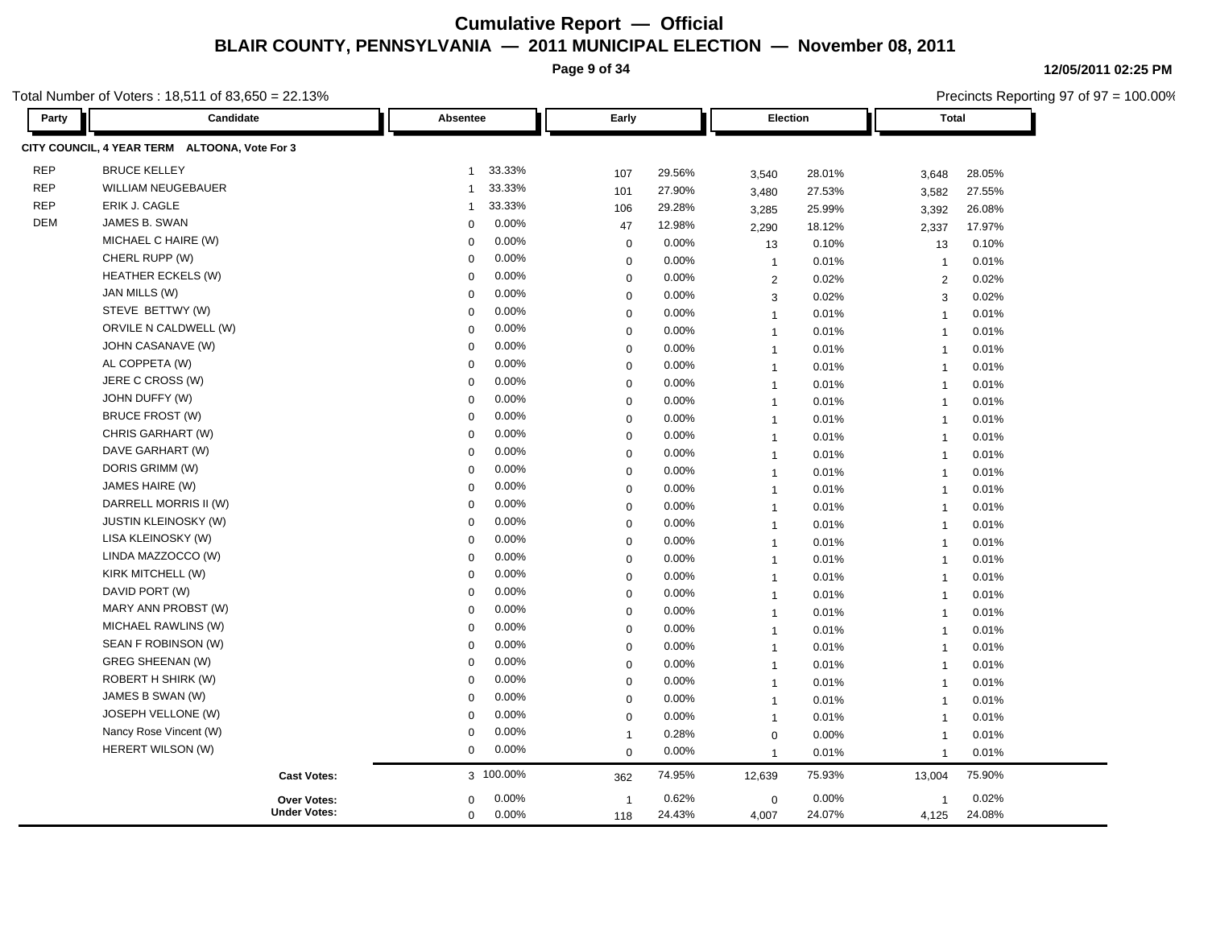**Page 9 of 34**

Precincts Reporting 97 of 97 = 100.00%

**12/05/2011 02:25 PM**

| Party      | Candidate                                     | Absentee                 | Early        |        |                | Election |                         | <b>Total</b> |  |
|------------|-----------------------------------------------|--------------------------|--------------|--------|----------------|----------|-------------------------|--------------|--|
|            | CITY COUNCIL, 4 YEAR TERM ALTOONA, Vote For 3 |                          |              |        |                |          |                         |              |  |
| <b>REP</b> | <b>BRUCE KELLEY</b>                           | 33.33%<br>1              | 107          | 29.56% | 3,540          | 28.01%   | 3,648                   | 28.05%       |  |
| <b>REP</b> | <b>WILLIAM NEUGEBAUER</b>                     | 33.33%<br>$\overline{1}$ | 101          | 27.90% | 3,480          | 27.53%   | 3,582                   | 27.55%       |  |
| <b>REP</b> | ERIK J. CAGLE                                 | 33.33%<br>1              | 106          | 29.28% | 3,285          | 25.99%   | 3,392                   | 26.08%       |  |
| <b>DEM</b> | JAMES B. SWAN                                 | 0.00%<br>$\Omega$        | 47           | 12.98% | 2,290          | 18.12%   | 2,337                   | 17.97%       |  |
|            | MICHAEL C HAIRE (W)                           | 0.00%<br>$\mathbf 0$     | $\mathbf 0$  | 0.00%  | 13             | 0.10%    | 13                      | 0.10%        |  |
|            | CHERL RUPP (W)                                | 0.00%<br>$\Omega$        | $\mathbf 0$  | 0.00%  | $\overline{1}$ | 0.01%    | $\overline{1}$          | 0.01%        |  |
|            | <b>HEATHER ECKELS (W)</b>                     | 0.00%<br>$\Omega$        | $\mathbf 0$  | 0.00%  | $\overline{2}$ | 0.02%    | 2                       | 0.02%        |  |
|            | JAN MILLS (W)                                 | 0.00%<br>$\mathbf 0$     | $\mathbf 0$  | 0.00%  | 3              | 0.02%    | 3                       | 0.02%        |  |
|            | STEVE BETTWY (W)                              | 0.00%<br>$\mathbf 0$     | $\mathbf 0$  | 0.00%  | $\overline{1}$ | 0.01%    | $\overline{1}$          | 0.01%        |  |
|            | ORVILE N CALDWELL (W)                         | 0.00%<br>$\mathbf 0$     | $\mathbf 0$  | 0.00%  | $\mathbf{1}$   | 0.01%    | $\overline{1}$          | 0.01%        |  |
|            | JOHN CASANAVE (W)                             | 0.00%<br>0               | $\mathbf 0$  | 0.00%  | $\mathbf{1}$   | 0.01%    | $\overline{1}$          | 0.01%        |  |
|            | AL COPPETA (W)                                | 0.00%<br>$\mathbf 0$     | $\mathbf 0$  | 0.00%  | $\overline{1}$ | 0.01%    | $\overline{1}$          | 0.01%        |  |
|            | JERE C CROSS (W)                              | 0.00%<br>$\Omega$        | $\mathbf 0$  | 0.00%  | $\mathbf{1}$   | 0.01%    | $\overline{1}$          | 0.01%        |  |
|            | JOHN DUFFY (W)                                | 0.00%<br>$\overline{0}$  | $\mathbf 0$  | 0.00%  | $\overline{1}$ | 0.01%    | $\overline{1}$          | 0.01%        |  |
|            | <b>BRUCE FROST (W)</b>                        | 0.00%<br>0               | $\mathbf 0$  | 0.00%  | $\overline{1}$ | 0.01%    | $\overline{1}$          | 0.01%        |  |
|            | CHRIS GARHART (W)                             | 0.00%<br>$\mathbf 0$     | $\mathbf 0$  | 0.00%  | $\overline{1}$ | 0.01%    | $\overline{1}$          | 0.01%        |  |
|            | DAVE GARHART (W)                              | 0.00%<br>$\mathbf 0$     | $\mathbf 0$  | 0.00%  | $\mathbf{1}$   | 0.01%    | $\overline{1}$          | 0.01%        |  |
|            | DORIS GRIMM (W)                               | 0.00%<br>$\Omega$        | $\mathbf 0$  | 0.00%  | $\mathbf{1}$   | 0.01%    | $\overline{1}$          | 0.01%        |  |
|            | JAMES HAIRE (W)                               | 0.00%<br>$\mathbf 0$     | $\mathbf 0$  | 0.00%  | $\mathbf{1}$   | 0.01%    | $\overline{1}$          | 0.01%        |  |
|            | DARRELL MORRIS II (W)                         | 0.00%<br>$\Omega$        | $\mathbf 0$  | 0.00%  | $\overline{1}$ | 0.01%    | $\overline{1}$          | 0.01%        |  |
|            | <b>JUSTIN KLEINOSKY (W)</b>                   | 0.00%<br>0               | $\mathbf 0$  | 0.00%  | $\overline{1}$ | 0.01%    | $\overline{1}$          | 0.01%        |  |
|            | LISA KLEINOSKY (W)                            | 0.00%<br>0               | $\mathbf 0$  | 0.00%  | $\mathbf{1}$   | 0.01%    | $\overline{1}$          | 0.01%        |  |
|            | LINDA MAZZOCCO (W)                            | 0.00%<br>$\mathbf 0$     | $\mathbf 0$  | 0.00%  | $\overline{1}$ | 0.01%    | $\overline{1}$          | 0.01%        |  |
|            | KIRK MITCHELL (W)                             | 0.00%<br>$\Omega$        | $\mathbf 0$  | 0.00%  | $\mathbf{1}$   | 0.01%    | $\overline{1}$          | 0.01%        |  |
|            | DAVID PORT (W)                                | 0.00%<br>$\Omega$        | $\mathbf 0$  | 0.00%  | $\overline{1}$ | 0.01%    | $\overline{1}$          | 0.01%        |  |
|            | MARY ANN PROBST (W)                           | 0.00%<br>$\mathbf 0$     | $\mathbf 0$  | 0.00%  | $\overline{1}$ | 0.01%    | $\overline{1}$          | 0.01%        |  |
|            | MICHAEL RAWLINS (W)                           | 0.00%<br>$\mathbf 0$     | $\mathbf 0$  | 0.00%  | $\overline{1}$ | 0.01%    | $\overline{1}$          | 0.01%        |  |
|            | SEAN F ROBINSON (W)                           | 0.00%<br>$\mathbf 0$     | $\mathbf 0$  | 0.00%  | $\mathbf{1}$   | 0.01%    | $\overline{1}$          | 0.01%        |  |
|            | <b>GREG SHEENAN (W)</b>                       | 0.00%<br>$\Omega$        | $\mathbf 0$  | 0.00%  | $\mathbf{1}$   | 0.01%    | $\overline{1}$          | 0.01%        |  |
|            | ROBERT H SHIRK (W)                            | 0.00%<br>$\mathbf 0$     | $\mathbf 0$  | 0.00%  | $\overline{1}$ | 0.01%    | $\overline{1}$          | 0.01%        |  |
|            | JAMES B SWAN (W)                              | 0.00%<br>$\Omega$        | $\mathbf 0$  | 0.00%  | $\overline{1}$ | 0.01%    | $\overline{1}$          | 0.01%        |  |
|            | JOSEPH VELLONE (W)                            | 0.00%<br>0               | $\mathbf 0$  | 0.00%  | $\overline{1}$ | 0.01%    | $\overline{1}$          | 0.01%        |  |
|            | Nancy Rose Vincent (W)                        | 0.00%<br>0               | $\mathbf{1}$ | 0.28%  | $\mathbf 0$    | $0.00\%$ | $\overline{1}$          | 0.01%        |  |
|            | HERERT WILSON (W)                             | 0.00%<br>$\mathbf 0$     | $\mathbf 0$  | 0.00%  | $\overline{1}$ | 0.01%    | $\overline{1}$          | 0.01%        |  |
|            | <b>Cast Votes:</b>                            | 3 100.00%                | 362          | 74.95% | 12,639         | 75.93%   | 13,004                  | 75.90%       |  |
|            | <b>Over Votes:</b>                            | 0.00%<br>$\Omega$        | -1           | 0.62%  | 0              | 0.00%    | $\overline{\mathbf{1}}$ | 0.02%        |  |
|            | <b>Under Votes:</b>                           | 0.00%<br>0               | 118          | 24.43% | 4,007          | 24.07%   | 4,125                   | 24.08%       |  |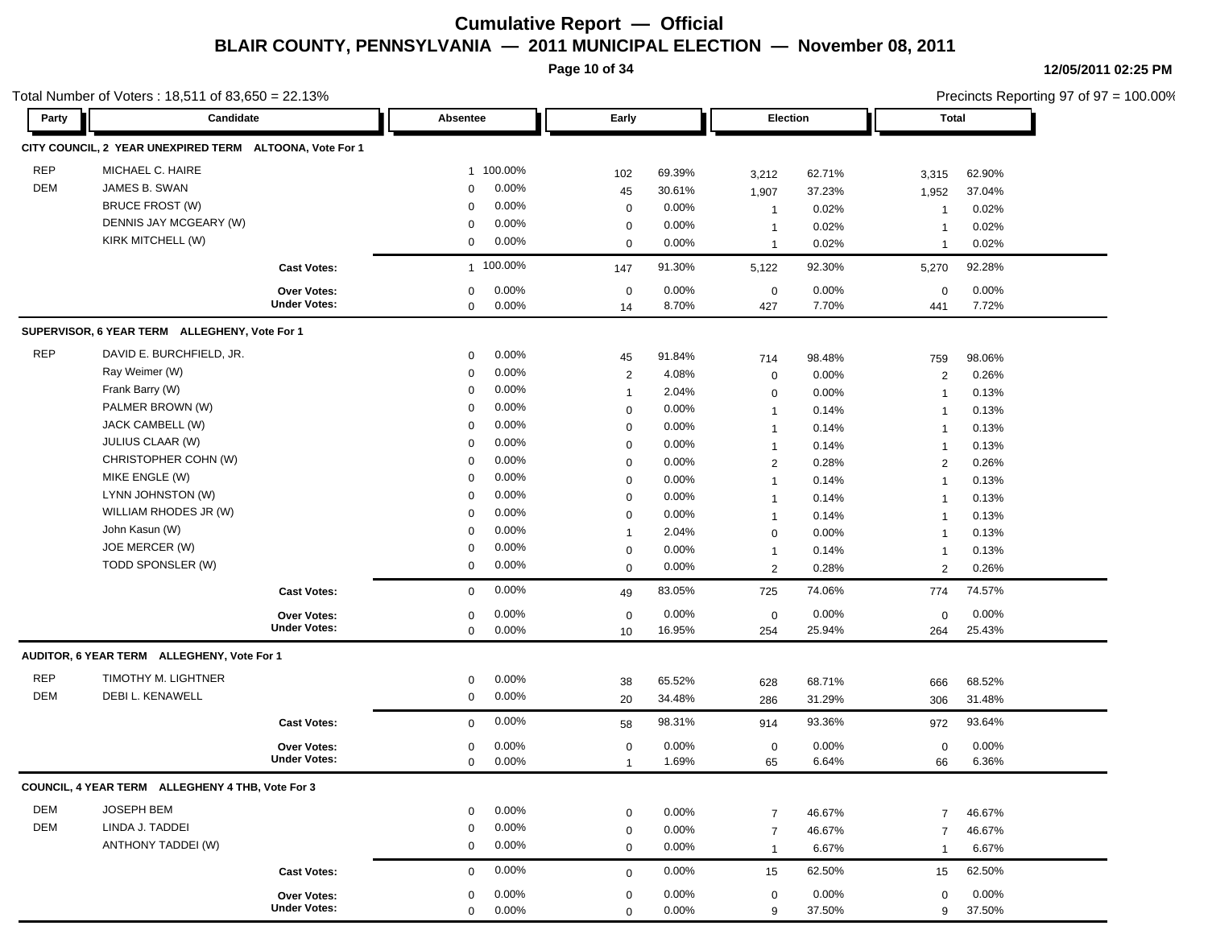**Page 10 of 34**

| Total Number of Voters: $18,511$ of $83,650 = 22.13\%$ |                                                         |                                           |                                       |                   |                 |                    |                 |                    | Precincts Reporting 97 of 97 = 100.00% |  |
|--------------------------------------------------------|---------------------------------------------------------|-------------------------------------------|---------------------------------------|-------------------|-----------------|--------------------|-----------------|--------------------|----------------------------------------|--|
| Party                                                  | Candidate                                               |                                           | Absentee                              | Early             |                 | Election           |                 | Total              |                                        |  |
|                                                        | CITY COUNCIL, 2 YEAR UNEXPIRED TERM ALTOONA, Vote For 1 |                                           |                                       |                   |                 |                    |                 |                    |                                        |  |
| <b>REP</b>                                             | MICHAEL C. HAIRE                                        |                                           | 1 100.00%                             | 102               | 69.39%          | 3,212              | 62.71%          | 3,315              | 62.90%                                 |  |
| <b>DEM</b>                                             | JAMES B. SWAN                                           |                                           | 0.00%<br>0                            | 45                | 30.61%          | 1,907              | 37.23%          | 1,952              | 37.04%                                 |  |
|                                                        | <b>BRUCE FROST (W)</b>                                  |                                           | 0.00%<br>$\mathbf 0$                  | $\mathbf 0$       | $0.00\%$        | $\mathbf{1}$       | 0.02%           | $\overline{1}$     | 0.02%                                  |  |
|                                                        | DENNIS JAY MCGEARY (W)                                  |                                           | 0.00%<br>$\mathbf 0$                  | $\mathbf 0$       | $0.00\%$        | $\mathbf{1}$       | 0.02%           | -1                 | 0.02%                                  |  |
|                                                        | KIRK MITCHELL (W)                                       |                                           | 0.00%<br>0                            | $\mathbf 0$       | 0.00%           | $\mathbf{1}$       | 0.02%           | -1                 | 0.02%                                  |  |
|                                                        |                                                         | <b>Cast Votes:</b>                        | 1 100.00%                             | 147               | 91.30%          | 5,122              | 92.30%          | 5,270              | 92.28%                                 |  |
|                                                        |                                                         | <b>Over Votes:</b><br><b>Under Votes:</b> | 0.00%<br>0<br>0.00%<br>0              | $\mathbf 0$<br>14 | 0.00%<br>8.70%  | $\mathbf 0$<br>427 | 0.00%<br>7.70%  | $\mathbf 0$<br>441 | 0.00%<br>7.72%                         |  |
|                                                        | SUPERVISOR, 6 YEAR TERM ALLEGHENY, Vote For 1           |                                           |                                       |                   |                 |                    |                 |                    |                                        |  |
| <b>REP</b>                                             | DAVID E. BURCHFIELD, JR.                                |                                           | 0.00%<br>0                            | 45                | 91.84%          | 714                | 98.48%          | 759                | 98.06%                                 |  |
|                                                        | Ray Weimer (W)                                          |                                           | 0.00%<br>0                            | $\overline{2}$    | 4.08%           | 0                  | 0.00%           | $\overline{2}$     | 0.26%                                  |  |
|                                                        | Frank Barry (W)                                         |                                           | 0.00%<br>$\mathbf 0$                  | $\mathbf{1}$      | 2.04%           | 0                  | 0.00%           | $\mathbf 1$        | 0.13%                                  |  |
|                                                        | PALMER BROWN (W)                                        |                                           | 0.00%<br>$\mathbf 0$                  | $\mathbf 0$       | $0.00\%$        | $\mathbf{1}$       | 0.14%           | $\mathbf 1$        | 0.13%                                  |  |
|                                                        | JACK CAMBELL (W)                                        |                                           | 0.00%<br>$\mathbf 0$                  | $\mathbf 0$       | 0.00%           | $\mathbf{1}$       | 0.14%           | -1                 | 0.13%                                  |  |
|                                                        | <b>JULIUS CLAAR (W)</b>                                 |                                           | 0.00%<br>$\mathbf 0$                  | $\mathbf 0$       | 0.00%           | $\mathbf{1}$       | 0.14%           | $\overline{1}$     | 0.13%                                  |  |
|                                                        | CHRISTOPHER COHN (W)                                    |                                           | 0.00%<br>$\mathbf 0$                  | $\mathbf 0$       | 0.00%           | $\overline{2}$     | 0.28%           | $\overline{2}$     | 0.26%                                  |  |
|                                                        | MIKE ENGLE (W)                                          |                                           | 0.00%<br>$\mathbf 0$                  | $\mathbf 0$       | 0.00%           | $\mathbf{1}$       | 0.14%           | $\overline{1}$     | 0.13%                                  |  |
|                                                        | LYNN JOHNSTON (W)                                       |                                           | 0.00%<br>$\mathbf 0$                  | $\mathbf 0$       | 0.00%           | $\mathbf{1}$       | 0.14%           | $\mathbf 1$        | 0.13%                                  |  |
|                                                        | WILLIAM RHODES JR (W)                                   |                                           | 0.00%<br>$\mathbf 0$                  | $\mathbf 0$       | $0.00\%$        | $\mathbf{1}$       | 0.14%           | $\mathbf 1$        | 0.13%                                  |  |
|                                                        | John Kasun (W)                                          |                                           | 0.00%<br>0                            | $\mathbf{1}$      | 2.04%           | $\mathbf 0$        | 0.00%           | -1                 | 0.13%                                  |  |
|                                                        | JOE MERCER (W)                                          |                                           | 0.00%<br>0                            | 0                 | 0.00%           |                    |                 |                    |                                        |  |
|                                                        | TODD SPONSLER (W)                                       |                                           | 0.00%<br>0                            | $\mathbf 0$       | 0.00%           | $\mathbf{1}$<br>2  | 0.14%<br>0.28%  | $\mathbf 1$<br>2   | 0.13%<br>0.26%                         |  |
|                                                        |                                                         | <b>Cast Votes:</b>                        | 0.00%<br>0                            |                   | 83.05%          | 725                | 74.06%          | 774                | 74.57%                                 |  |
|                                                        |                                                         |                                           |                                       | 49                |                 |                    |                 |                    |                                        |  |
|                                                        |                                                         | <b>Over Votes:</b><br><b>Under Votes:</b> | 0.00%<br>0<br>0.00%<br>0              | 0<br>10           | 0.00%<br>16.95% | 0<br>254           | 0.00%<br>25.94% | $\mathbf 0$<br>264 | 0.00%<br>25.43%                        |  |
|                                                        | AUDITOR, 6 YEAR TERM ALLEGHENY, Vote For 1              |                                           |                                       |                   |                 |                    |                 |                    |                                        |  |
| <b>REP</b>                                             | TIMOTHY M. LIGHTNER                                     |                                           | $0.00\%$<br>0                         |                   |                 |                    |                 |                    |                                        |  |
| <b>DEM</b>                                             | DEBI L. KENAWELL                                        |                                           | 0.00%<br>0                            | 38                | 65.52%          | 628                | 68.71%          | 666                | 68.52%                                 |  |
|                                                        |                                                         |                                           | 0.00%                                 | 20                | 34.48%          | 286                | 31.29%          | 306                | 31.48%                                 |  |
|                                                        |                                                         | <b>Cast Votes:</b>                        | $\mathbf 0$                           | 58                | 98.31%          | 914                | 93.36%          | 972                | 93.64%                                 |  |
|                                                        |                                                         | <b>Over Votes:</b><br><b>Under Votes:</b> | 0.00%<br>0<br>$\mathbf 0$<br>$0.00\%$ | $\mathbf 0$       | 0.00%           | $\mathbf 0$        | 0.00%<br>6.64%  | $\mathbf 0$        | 0.00%<br>6.36%                         |  |
|                                                        |                                                         |                                           |                                       | 1                 | 1.69%           | 65                 |                 | 66                 |                                        |  |
|                                                        | COUNCIL, 4 YEAR TERM ALLEGHENY 4 THB, Vote For 3        |                                           |                                       |                   |                 |                    |                 |                    |                                        |  |
| DEM                                                    | <b>JOSEPH BEM</b>                                       |                                           | $0.00\%$<br>0                         | $\mathbf 0$       | 0.00%           | $\overline{7}$     | 46.67%          | $\overline{7}$     | 46.67%                                 |  |
| DEM                                                    | LINDA J. TADDEI                                         |                                           | 0.00%<br>$\mathbf 0$                  | $\mathbf 0$       | 0.00%           | $\overline{7}$     | 46.67%          | $\overline{7}$     | 46.67%                                 |  |
|                                                        | ANTHONY TADDEI (W)                                      |                                           | $0.00\%$<br>0                         | $\mathbf 0$       | 0.00%           | $\mathbf{1}$       | 6.67%           | $\overline{1}$     | 6.67%                                  |  |
|                                                        |                                                         | <b>Cast Votes:</b>                        | 0.00%<br>$\mathbf 0$                  | $\mathbf 0$       | 0.00%           | 15                 | 62.50%          | 15                 | 62.50%                                 |  |
|                                                        |                                                         | Over Votes:                               | 0.00%<br>$\mathbf 0$                  | $\mathbf 0$       | 0.00%           | $\boldsymbol{0}$   | 0.00%           | $\mathbf 0$        | 0.00%                                  |  |
|                                                        |                                                         | <b>Under Votes:</b>                       | 0.00%<br>$\mathbf 0$                  | $\Omega$          | 0.00%           | 9                  | 37.50%          | 9                  | 37.50%                                 |  |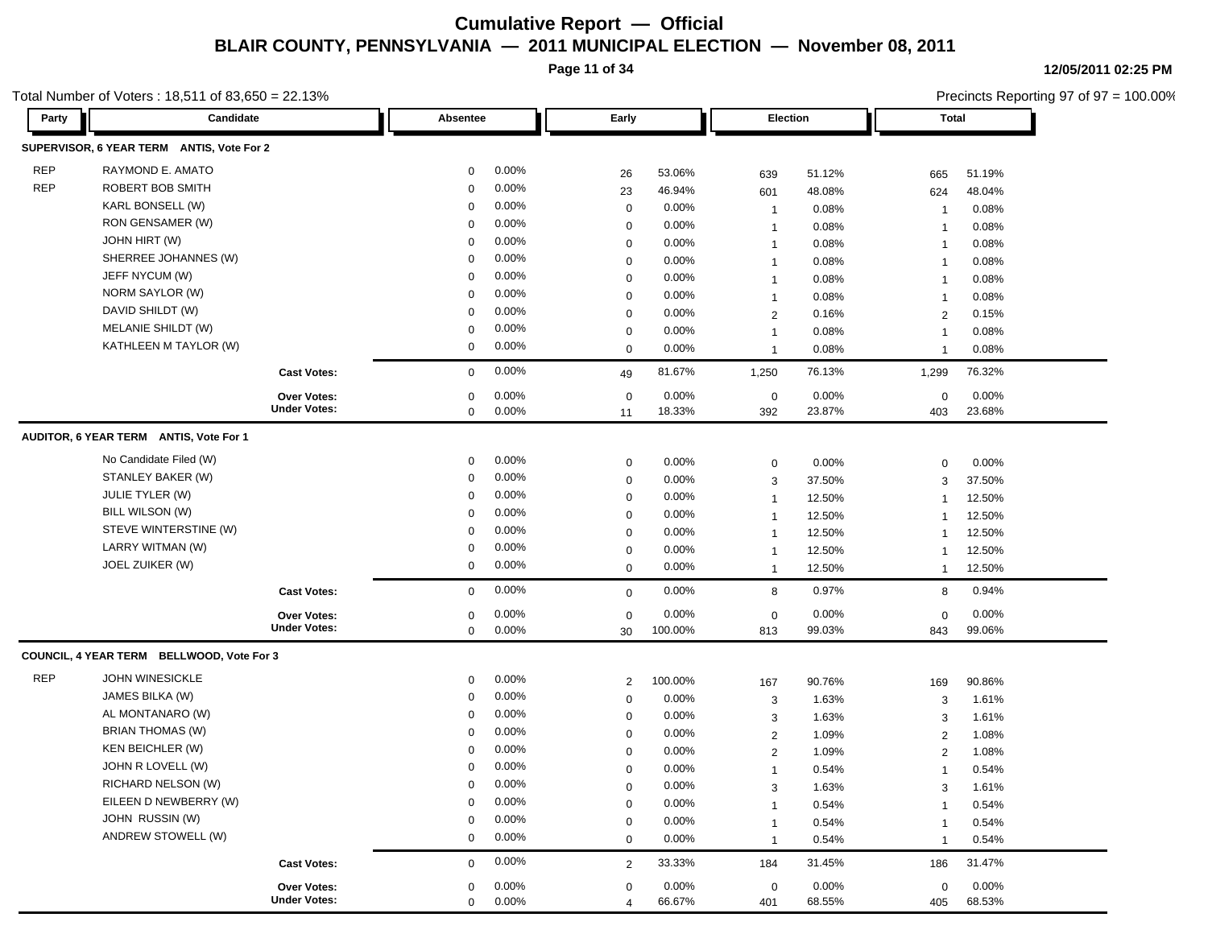**Page 11 of 34**

Total Number of Voters : 18,511 of 83,650 = 22.13%

Precincts Reporting 97 of 97 = 100.00%

| Party      | Candidate                                 |                                    | Absentee                   |                | Early                         |                 |                | Election        |                    | <b>Total</b>    |  |
|------------|-------------------------------------------|------------------------------------|----------------------------|----------------|-------------------------------|-----------------|----------------|-----------------|--------------------|-----------------|--|
|            | SUPERVISOR, 6 YEAR TERM ANTIS, Vote For 2 |                                    |                            |                |                               |                 |                |                 |                    |                 |  |
| <b>REP</b> | RAYMOND E. AMATO                          |                                    | $\mathbf 0$                | 0.00%          | 26                            | 53.06%          | 639            | 51.12%          | 665                | 51.19%          |  |
| <b>REP</b> | ROBERT BOB SMITH                          |                                    | $\mathbf 0$                | 0.00%          | 23                            | 46.94%          | 601            | 48.08%          | 624                | 48.04%          |  |
|            | KARL BONSELL (W)                          |                                    | $\mathbf 0$                | 0.00%          | $\mathbf 0$                   | 0.00%           | $\overline{1}$ | 0.08%           | $\mathbf{1}$       | 0.08%           |  |
|            | RON GENSAMER (W)                          |                                    | $\mathbf 0$                | 0.00%          | $\mathbf 0$                   | $0.00\%$        | $\overline{1}$ | 0.08%           | -1                 | 0.08%           |  |
|            | JOHN HIRT (W)                             |                                    | $\mathbf 0$                | 0.00%          | $\mathbf 0$                   | 0.00%           | $\mathbf{1}$   | 0.08%           | $\overline{1}$     | 0.08%           |  |
|            | SHERREE JOHANNES (W)                      |                                    | $\mathbf 0$                | 0.00%          | $\mathbf 0$                   | 0.00%           | $\mathbf{1}$   | 0.08%           | $\overline{1}$     | 0.08%           |  |
|            | JEFF NYCUM (W)                            |                                    | $\mathbf 0$                | 0.00%          | $\mathbf 0$                   | $0.00\%$        | $\mathbf{1}$   | 0.08%           | $\mathbf{1}$       | 0.08%           |  |
|            | NORM SAYLOR (W)                           |                                    | $\mathbf 0$                | 0.00%          | $\mathbf 0$                   | 0.00%           | $\overline{1}$ | 0.08%           | $\mathbf{1}$       | 0.08%           |  |
|            | DAVID SHILDT (W)                          |                                    | $\mathbf 0$                | 0.00%          | $\mathbf 0$                   | 0.00%           | $\overline{c}$ | 0.16%           | 2                  | 0.15%           |  |
|            | MELANIE SHILDT (W)                        |                                    | 0                          | 0.00%          | $\mathbf 0$                   | $0.00\%$        | $\mathbf{1}$   | 0.08%           | $\overline{1}$     | 0.08%           |  |
|            | KATHLEEN M TAYLOR (W)                     |                                    | $\mathbf 0$                | 0.00%          | 0                             | 0.00%           | $\mathbf{1}$   | 0.08%           | $\overline{1}$     | 0.08%           |  |
|            |                                           | <b>Cast Votes:</b>                 | $\mathbf 0$                | 0.00%          | 49                            | 81.67%          | 1,250          | 76.13%          | 1,299              | 76.32%          |  |
|            |                                           | <b>Over Votes:</b>                 | $\mathbf 0$                | 0.00%          | $\mathbf 0$                   | 0.00%           | $\mathbf 0$    | 0.00%           | $\mathbf 0$        | 0.00%           |  |
|            |                                           | <b>Under Votes:</b>                | $\mathbf 0$                | 0.00%          | 11                            | 18.33%          | 392            | 23.87%          | 403                | 23.68%          |  |
|            | AUDITOR, 6 YEAR TERM ANTIS, Vote For 1    |                                    |                            |                |                               |                 |                |                 |                    |                 |  |
|            | No Candidate Filed (W)                    |                                    | $\mathbf 0$                | 0.00%          | $\mathbf 0$                   | 0.00%           |                | 0.00%           |                    | 0.00%           |  |
|            | STANLEY BAKER (W)                         |                                    | $\mathbf 0$                | 0.00%          | $\mathbf 0$                   | $0.00\%$        | 0              |                 | $\mathbf 0$        |                 |  |
|            | <b>JULIE TYLER (W)</b>                    |                                    | $\mathbf 0$                | 0.00%          |                               |                 | 3              | 37.50%          | 3                  | 37.50%          |  |
|            | BILL WILSON (W)                           |                                    | $\mathbf 0$                | 0.00%          | $\mathbf 0$                   | 0.00%           | $\overline{1}$ | 12.50%          | $\mathbf{1}$       | 12.50%          |  |
|            | STEVE WINTERSTINE (W)                     |                                    |                            |                | $\mathbf 0$                   | 0.00%           | $\overline{1}$ | 12.50%          | $\overline{1}$     | 12.50%          |  |
|            |                                           |                                    | 0                          | 0.00%          | $\mathbf 0$                   | $0.00\%$        | $\mathbf{1}$   | 12.50%          | $\overline{1}$     | 12.50%          |  |
|            | LARRY WITMAN (W)                          |                                    | 0                          | 0.00%          | 0                             | $0.00\%$        | $\mathbf{1}$   | 12.50%          | -1                 | 12.50%          |  |
|            | JOEL ZUIKER (W)                           |                                    | $\mathbf 0$                | 0.00%          | $\mathbf 0$                   | 0.00%           | $\mathbf{1}$   | 12.50%          | $\overline{1}$     | 12.50%          |  |
|            |                                           | <b>Cast Votes:</b>                 | $\mathbf{0}$               | 0.00%          | $\mathbf 0$                   | $0.00\%$        | 8              | 0.97%           | 8                  | 0.94%           |  |
|            |                                           | Over Votes:                        | $\mathbf 0$                | 0.00%          | $\mathbf 0$                   | $0.00\%$        | $\mathbf 0$    | 0.00%           | $\mathbf 0$        | 0.00%           |  |
|            |                                           | <b>Under Votes:</b>                | $\mathbf 0$                | 0.00%          | 30                            | 100.00%         | 813            | 99.03%          | 843                | 99.06%          |  |
|            | COUNCIL, 4 YEAR TERM BELLWOOD, Vote For 3 |                                    |                            |                |                               |                 |                |                 |                    |                 |  |
| <b>REP</b> | JOHN WINESICKLE                           |                                    | $\mathbf 0$                | 0.00%          | $\overline{\mathbf{c}}$       | 100.00%         | 167            | 90.76%          | 169                | 90.86%          |  |
|            | JAMES BILKA (W)                           |                                    | 0                          | 0.00%          | 0                             | 0.00%           | 3              | 1.63%           | 3                  | 1.61%           |  |
|            | AL MONTANARO (W)                          |                                    | 0                          | 0.00%          | $\mathbf 0$                   | 0.00%           | 3              | 1.63%           | 3                  | 1.61%           |  |
|            | <b>BRIAN THOMAS (W)</b>                   |                                    | 0                          | 0.00%          | $\mathbf 0$                   | $0.00\%$        | $\overline{2}$ | 1.09%           | $\overline{2}$     | 1.08%           |  |
|            | KEN BEICHLER (W)                          |                                    | 0                          | 0.00%          | 0                             | $0.00\%$        | 2              | 1.09%           | $\overline{2}$     | 1.08%           |  |
|            | JOHN R LOVELL (W)                         |                                    | $\mathbf 0$                | 0.00%          | 0                             | 0.00%           | 1              | 0.54%           | -1                 | 0.54%           |  |
|            | RICHARD NELSON (W)                        |                                    | $\mathbf 0$                | 0.00%          | $\mathbf 0$                   | 0.00%           | 3              | 1.63%           | 3                  | 1.61%           |  |
|            | EILEEN D NEWBERRY (W)                     |                                    | 0                          | 0.00%          | $\mathbf 0$                   | 0.00%           | $\mathbf{1}$   | 0.54%           | $\mathbf{1}$       | 0.54%           |  |
|            | JOHN RUSSIN (W)                           |                                    | $\Omega$                   | 0.00%          | 0                             | 0.00%           | 1              | 0.54%           |                    | 0.54%           |  |
|            | ANDREW STOWELL (W)                        |                                    | $\mathbf 0$                | 0.00%          | $\mathbf 0$                   | $0.00\%$        | $\mathbf{1}$   | 0.54%           | $\overline{1}$     | 0.54%           |  |
|            |                                           | <b>Cast Votes:</b>                 | $\mathbf 0$                | $0.00\%$       | $\overline{2}$                | 33.33%          | 184            | 31.45%          | 186                | 31.47%          |  |
|            |                                           |                                    |                            |                |                               |                 |                |                 |                    |                 |  |
|            |                                           | Over Votes:<br><b>Under Votes:</b> | $\mathbf 0$<br>$\mathbf 0$ | 0.00%<br>0.00% | $\mathbf 0$<br>$\overline{4}$ | 0.00%<br>66.67% | 0<br>401       | 0.00%<br>68.55% | $\mathbf 0$<br>405 | 0.00%<br>68.53% |  |
|            |                                           |                                    |                            |                |                               |                 |                |                 |                    |                 |  |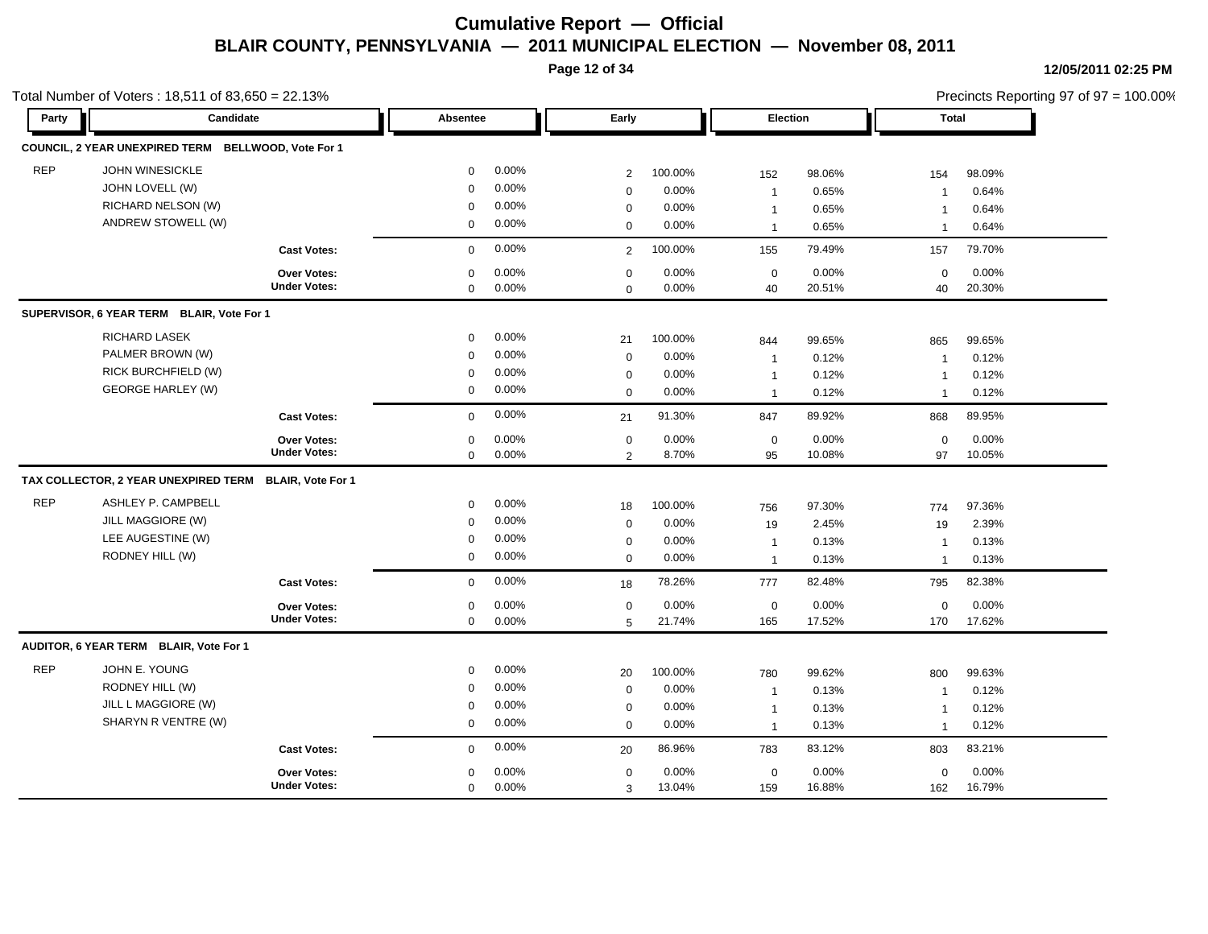**Page 12 of 34**

|            | Total Number of Voters: 18,511 of 83,650 = 22.13%   |                          |             |          |                  |         |              |        |                | Precincts Reporting 97 of 97 = 100.00% |
|------------|-----------------------------------------------------|--------------------------|-------------|----------|------------------|---------|--------------|--------|----------------|----------------------------------------|
| Party      | Candidate                                           |                          | Absentee    |          | Early            |         | Election     |        | Total          |                                        |
|            | COUNCIL, 2 YEAR UNEXPIRED TERM BELLWOOD, Vote For 1 |                          |             |          |                  |         |              |        |                |                                        |
| <b>REP</b> | <b>JOHN WINESICKLE</b>                              |                          | 0           | $0.00\%$ | $\overline{2}$   | 100.00% | 152          | 98.06% | 154            | 98.09%                                 |
|            | JOHN LOVELL (W)                                     |                          | $\mathbf 0$ | 0.00%    | $\mathbf 0$      | 0.00%   | $\mathbf{1}$ | 0.65%  | $\overline{1}$ | 0.64%                                  |
|            | RICHARD NELSON (W)                                  |                          | 0           | $0.00\%$ | $\mathbf 0$      | 0.00%   | $\mathbf{1}$ | 0.65%  | $\mathbf{1}$   | 0.64%                                  |
|            | ANDREW STOWELL (W)                                  |                          | $\mathbf 0$ | $0.00\%$ | $\mathbf 0$      | 0.00%   | $\mathbf{1}$ | 0.65%  | $\overline{1}$ | 0.64%                                  |
|            |                                                     | <b>Cast Votes:</b>       | $\mathbf 0$ | 0.00%    | $\overline{2}$   | 100.00% | 155          | 79.49% | 157            | 79.70%                                 |
|            |                                                     | <b>Over Votes:</b>       | $\mathbf 0$ | 0.00%    | $\mathbf 0$      | 0.00%   | $\mathbf 0$  | 0.00%  | $\mathbf 0$    | 0.00%                                  |
|            |                                                     | <b>Under Votes:</b>      | 0           | 0.00%    | $\mathbf 0$      | 0.00%   | 40           | 20.51% | 40             | 20.30%                                 |
|            | SUPERVISOR, 6 YEAR TERM BLAIR, Vote For 1           |                          |             |          |                  |         |              |        |                |                                        |
|            | RICHARD LASEK                                       |                          | 0           | 0.00%    | 21               | 100.00% | 844          | 99.65% | 865            | 99.65%                                 |
|            | PALMER BROWN (W)                                    |                          | $\mathbf 0$ | 0.00%    | $\mathbf 0$      | 0.00%   | $\mathbf{1}$ | 0.12%  | $\overline{1}$ | 0.12%                                  |
|            | RICK BURCHFIELD (W)                                 |                          | 0           | 0.00%    | $\mathbf 0$      | 0.00%   | $\mathbf{1}$ | 0.12%  | $\overline{1}$ | 0.12%                                  |
|            | <b>GEORGE HARLEY (W)</b>                            |                          | 0           | 0.00%    | $\mathbf 0$      | 0.00%   | $\mathbf{1}$ | 0.12%  | $\mathbf{1}$   | 0.12%                                  |
|            |                                                     | <b>Cast Votes:</b>       | $\mathbf 0$ | 0.00%    | 21               | 91.30%  | 847          | 89.92% | 868            | 89.95%                                 |
|            |                                                     | <b>Over Votes:</b>       | $\mathbf 0$ | 0.00%    | $\mathbf 0$      | 0.00%   | $\mathbf 0$  | 0.00%  | $\mathbf 0$    | 0.00%                                  |
|            |                                                     | <b>Under Votes:</b>      | 0           | $0.00\%$ | 2                | 8.70%   | 95           | 10.08% | 97             | 10.05%                                 |
|            | TAX COLLECTOR, 2 YEAR UNEXPIRED TERM                | <b>BLAIR, Vote For 1</b> |             |          |                  |         |              |        |                |                                        |
| <b>REP</b> | ASHLEY P. CAMPBELL                                  |                          | 0           | 0.00%    | 18               | 100.00% | 756          | 97.30% | 774            | 97.36%                                 |
|            | JILL MAGGIORE (W)                                   |                          | $\mathbf 0$ | 0.00%    | $\mathbf 0$      | 0.00%   | 19           | 2.45%  | 19             | 2.39%                                  |
|            | LEE AUGESTINE (W)                                   |                          | 0           | 0.00%    | $\mathbf 0$      | 0.00%   | $\mathbf{1}$ | 0.13%  | $\overline{1}$ | 0.13%                                  |
|            | RODNEY HILL (W)                                     |                          | $\mathbf 0$ | $0.00\%$ | $\mathbf 0$      | 0.00%   | $\mathbf{1}$ | 0.13%  | $\overline{1}$ | 0.13%                                  |
|            |                                                     | <b>Cast Votes:</b>       | $\mathbf 0$ | 0.00%    | 18               | 78.26%  | 777          | 82.48% | 795            | 82.38%                                 |
|            |                                                     | <b>Over Votes:</b>       | 0           | 0.00%    | $\mathbf 0$      | 0.00%   | $\mathbf 0$  | 0.00%  | $\mathbf 0$    | 0.00%                                  |
|            |                                                     | <b>Under Votes:</b>      | 0           | 0.00%    | 5                | 21.74%  | 165          | 17.52% | 170            | 17.62%                                 |
|            | AUDITOR, 6 YEAR TERM BLAIR, Vote For 1              |                          |             |          |                  |         |              |        |                |                                        |
| <b>REP</b> | JOHN E. YOUNG                                       |                          | 0           | $0.00\%$ | 20               | 100.00% | 780          | 99.62% | 800            | 99.63%                                 |
|            | RODNEY HILL (W)                                     |                          | $\mathbf 0$ | 0.00%    | $\boldsymbol{0}$ | 0.00%   | $\mathbf{1}$ | 0.13%  | $\overline{1}$ | 0.12%                                  |
|            | JILL L MAGGIORE (W)                                 |                          | 0           | 0.00%    | 0                | 0.00%   | $\mathbf{1}$ | 0.13%  | $\mathbf{1}$   | 0.12%                                  |
|            | SHARYN R VENTRE (W)                                 |                          | $\Omega$    | $0.00\%$ | $\Omega$         | 0.00%   | $\mathbf{1}$ | 0.13%  | $\mathbf 1$    | 0.12%                                  |
|            |                                                     | <b>Cast Votes:</b>       | $\mathbf 0$ | $0.00\%$ | 20               | 86.96%  | 783          | 83.12% | 803            | 83.21%                                 |
|            |                                                     | <b>Over Votes:</b>       | $\mathbf 0$ | 0.00%    | 0                | 0.00%   | 0            | 0.00%  | $\mathbf 0$    | 0.00%                                  |
|            |                                                     | <b>Under Votes:</b>      | $\mathbf 0$ | $0.00\%$ | 3                | 13.04%  | 159          | 16.88% | 162            | 16.79%                                 |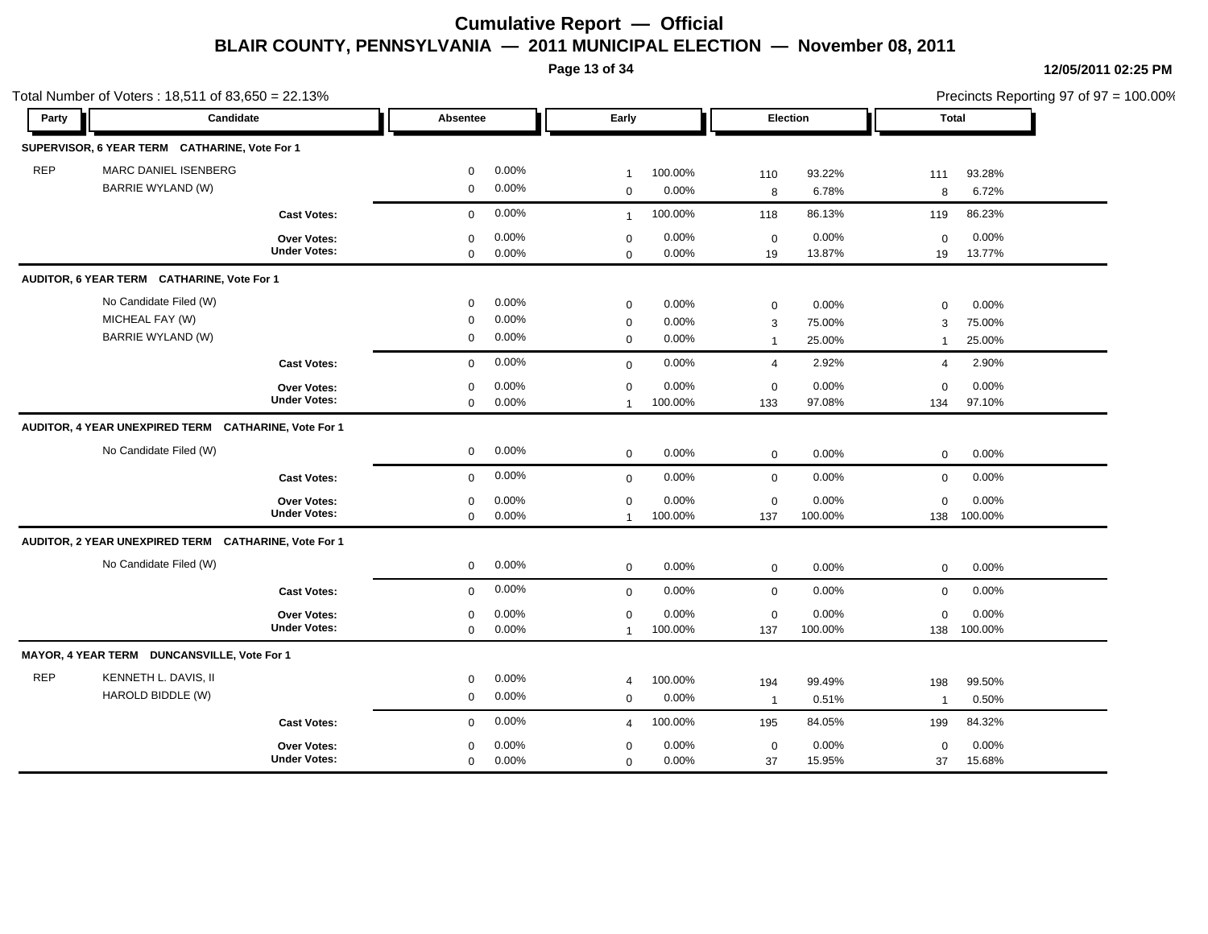**Page 13 of 34**

|            | Total Number of Voters: $18,511$ of $83,650 = 22.13\%$ |                                           |                            |                      |                               |                  |                    |                  |                     |                      | Precincts Reporting 97 of 97 = 100.00% |
|------------|--------------------------------------------------------|-------------------------------------------|----------------------------|----------------------|-------------------------------|------------------|--------------------|------------------|---------------------|----------------------|----------------------------------------|
| Party      | Candidate                                              |                                           | Absentee                   |                      | Early                         |                  |                    | Election         |                     | Total                |                                        |
|            | SUPERVISOR, 6 YEAR TERM CATHARINE, Vote For 1          |                                           |                            |                      |                               |                  |                    |                  |                     |                      |                                        |
| <b>REP</b> | MARC DANIEL ISENBERG<br>BARRIE WYLAND (W)              |                                           | $\mathbf 0$                | $0.00\%$             | $\mathbf{1}$                  | 100.00%          | 110                | 93.22%           | 111                 | 93.28%               |                                        |
|            |                                                        |                                           | 0                          | $0.00\%$             | $\mathbf 0$                   | 0.00%            | 8                  | 6.78%            | 8                   | 6.72%                |                                        |
|            |                                                        | <b>Cast Votes:</b>                        | $\mathbf 0$                | 0.00%                | $\mathbf{1}$                  | 100.00%          | 118                | 86.13%           | 119                 | 86.23%               |                                        |
|            |                                                        | Over Votes:<br><b>Under Votes:</b>        | $\mathbf 0$<br>0           | $0.00\%$<br>0.00%    | $\mathbf 0$<br>$\mathbf 0$    | 0.00%<br>0.00%   | $\mathbf 0$<br>19  | 0.00%<br>13.87%  | $\mathbf 0$<br>19   | 0.00%<br>13.77%      |                                        |
|            | AUDITOR, 6 YEAR TERM CATHARINE, Vote For 1             |                                           |                            |                      |                               |                  |                    |                  |                     |                      |                                        |
|            | No Candidate Filed (W)                                 |                                           | $\mathbf 0$                | $0.00\%$             | $\mathbf 0$                   | 0.00%            | $\mathbf 0$        | 0.00%            | $\mathbf 0$         | 0.00%                |                                        |
|            | MICHEAL FAY (W)<br><b>BARRIE WYLAND (W)</b>            |                                           | 0<br>0                     | $0.00\%$<br>$0.00\%$ | $\mathbf 0$<br>$\mathbf 0$    | 0.00%<br>0.00%   | 3<br>$\mathbf{1}$  | 75.00%<br>25.00% | 3<br>$\overline{1}$ | 75.00%<br>25.00%     |                                        |
|            |                                                        | <b>Cast Votes:</b>                        | $\mathbf 0$                | 0.00%                | $\mathbf 0$                   | 0.00%            | $\overline{4}$     | 2.92%            | $\overline{4}$      | 2.90%                |                                        |
|            |                                                        | Over Votes:<br><b>Under Votes:</b>        | 0<br>$\mathbf 0$           | 0.00%<br>$0.00\%$    | $\mathbf 0$<br>$\overline{1}$ | 0.00%<br>100.00% | 0<br>133           | 0.00%<br>97.08%  | $\mathbf 0$<br>134  | 0.00%<br>97.10%      |                                        |
|            | AUDITOR, 4 YEAR UNEXPIRED TERM CATHARINE, Vote For 1   |                                           |                            |                      |                               |                  |                    |                  |                     |                      |                                        |
|            | No Candidate Filed (W)                                 |                                           | 0                          | $0.00\%$             | $\mathbf 0$                   | 0.00%            | $\mathbf 0$        | 0.00%            | $\mathbf 0$         | 0.00%                |                                        |
|            |                                                        | <b>Cast Votes:</b>                        | $\mathbf 0$                | $0.00\%$             | $\mathbf 0$                   | 0.00%            | $\mathbf 0$        | 0.00%            | $\mathbf 0$         | 0.00%                |                                        |
|            |                                                        | Over Votes:<br><b>Under Votes:</b>        | 0<br>$\mathbf 0$           | 0.00%<br>0.00%       | $\mathbf 0$<br>$\mathbf{1}$   | 0.00%<br>100.00% | $\mathbf 0$<br>137 | 0.00%<br>100.00% | $\mathbf 0$<br>138  | 0.00%<br>100.00%     |                                        |
|            | AUDITOR, 2 YEAR UNEXPIRED TERM CATHARINE, Vote For 1   |                                           |                            |                      |                               |                  |                    |                  |                     |                      |                                        |
|            | No Candidate Filed (W)                                 |                                           | $\mathbf 0$                | $0.00\%$             | $\mathbf 0$                   | 0.00%            | $\mathbf 0$        | 0.00%            | $\mathbf 0$         | 0.00%                |                                        |
|            |                                                        | <b>Cast Votes:</b>                        | $\mathbf 0$                | $0.00\%$             | $\mathbf 0$                   | 0.00%            | $\mathbf 0$        | 0.00%            | $\mathbf 0$         | 0.00%                |                                        |
|            |                                                        | Over Votes:<br><b>Under Votes:</b>        | $\mathbf 0$<br>$\mathbf 0$ | 0.00%<br>0.00%       | $\mathbf 0$<br>$\mathbf{1}$   | 0.00%<br>100.00% | $\mathbf 0$<br>137 | 0.00%<br>100.00% | $\mathbf 0$         | 0.00%<br>138 100.00% |                                        |
|            | MAYOR, 4 YEAR TERM DUNCANSVILLE, Vote For 1            |                                           |                            |                      |                               |                  |                    |                  |                     |                      |                                        |
| <b>REP</b> | KENNETH L. DAVIS, II                                   |                                           | $\mathbf 0$                | 0.00%                | $\overline{4}$                | 100.00%          | 194                | 99.49%           | 198                 | 99.50%               |                                        |
|            | HAROLD BIDDLE (W)                                      |                                           | $\mathbf 0$                | 0.00%                | $\Omega$                      | 0.00%            | $\mathbf{1}$       | 0.51%            | $\overline{1}$      | 0.50%                |                                        |
|            |                                                        | <b>Cast Votes:</b>                        | $\mathbf 0$                | 0.00%                | $\overline{4}$                | 100.00%          | 195                | 84.05%           | 199                 | 84.32%               |                                        |
|            |                                                        | <b>Over Votes:</b><br><b>Under Votes:</b> | $\mathbf 0$<br>$\mathbf 0$ | 0.00%<br>0.00%       | $\mathbf 0$<br>$\Omega$       | 0.00%<br>0.00%   | $\mathbf 0$<br>37  | 0.00%<br>15.95%  | $\mathbf 0$<br>37   | 0.00%<br>15.68%      |                                        |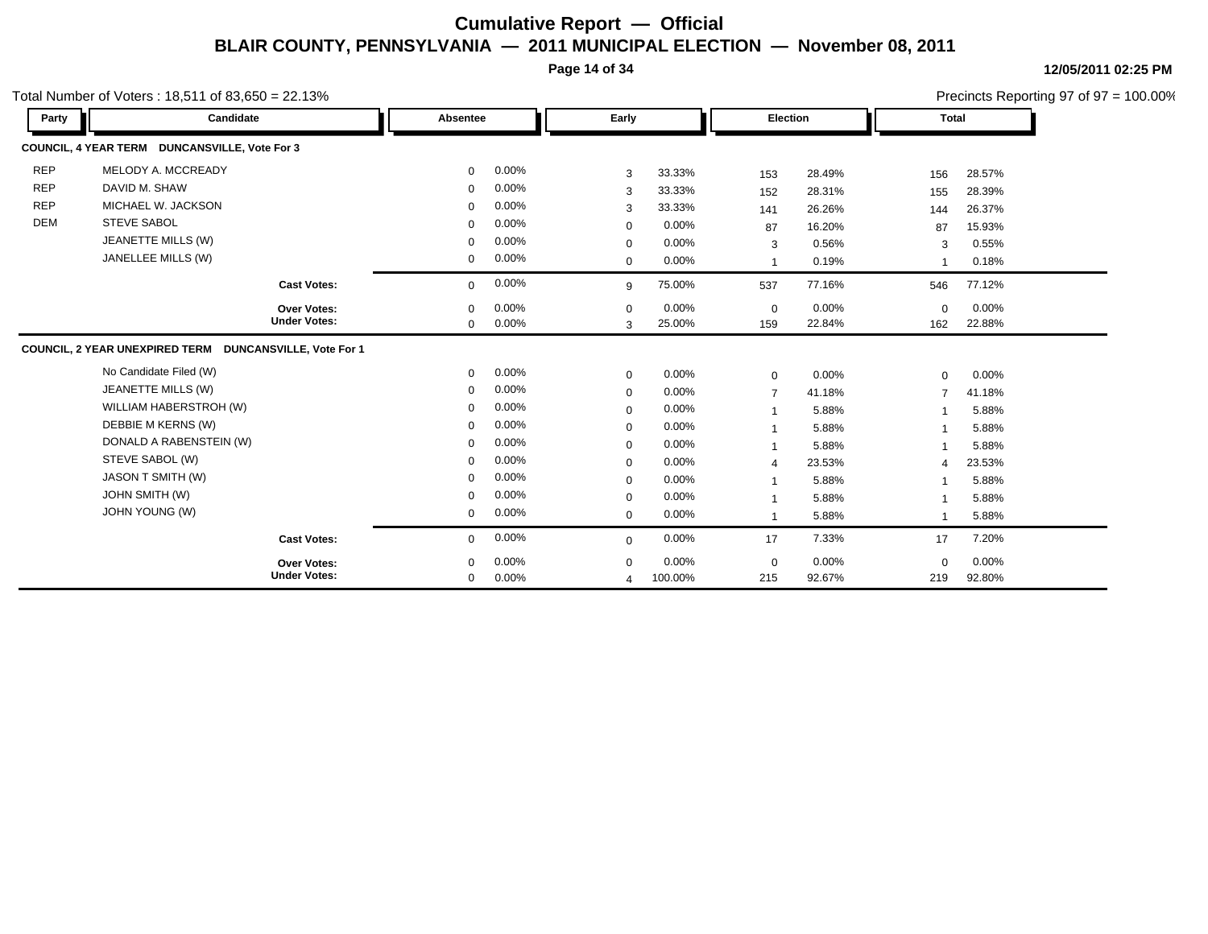**Page 14 of 34**

**12/05/2011 02:25 PM** Precincts Reporting 97 of 97 = 100.00%

| Party      | Candidate                                               | Absentee    |       | Early          |         |                         | Election | <b>Total</b>   |        |  |
|------------|---------------------------------------------------------|-------------|-------|----------------|---------|-------------------------|----------|----------------|--------|--|
|            | COUNCIL, 4 YEAR TERM DUNCANSVILLE, Vote For 3           |             |       |                |         |                         |          |                |        |  |
| <b>REP</b> | MELODY A. MCCREADY                                      | $\Omega$    | 0.00% | 3              | 33.33%  | 153                     | 28.49%   | 156            | 28.57% |  |
| <b>REP</b> | DAVID M. SHAW                                           | $\Omega$    | 0.00% | 3              | 33.33%  | 152                     | 28.31%   | 155            | 28.39% |  |
| <b>REP</b> | MICHAEL W. JACKSON                                      | $\Omega$    | 0.00% | 3              | 33.33%  | 141                     | 26.26%   | 144            | 26.37% |  |
| <b>DEM</b> | <b>STEVE SABOL</b>                                      | $\Omega$    | 0.00% | $\mathbf 0$    | 0.00%   | 87                      | 16.20%   | 87             | 15.93% |  |
|            | JEANETTE MILLS (W)                                      | $\Omega$    | 0.00% | $\mathbf 0$    | 0.00%   | 3                       | 0.56%    | 3              | 0.55%  |  |
|            | JANELLEE MILLS (W)                                      | $\mathbf 0$ | 0.00% | $\mathbf 0$    | 0.00%   | $\overline{\mathbf{1}}$ | 0.19%    | $\overline{1}$ | 0.18%  |  |
|            | <b>Cast Votes:</b>                                      | $\Omega$    | 0.00% | 9              | 75.00%  | 537                     | 77.16%   | 546            | 77.12% |  |
|            | Over Votes:                                             | $\Omega$    | 0.00% | $\mathbf 0$    | 0.00%   | $\mathsf 0$             | 0.00%    | $\mathbf 0$    | 0.00%  |  |
|            | <b>Under Votes:</b>                                     | $\mathbf 0$ | 0.00% | 3              | 25.00%  | 159                     | 22.84%   | 162            | 22.88% |  |
|            | COUNCIL, 2 YEAR UNEXPIRED TERM DUNCANSVILLE, Vote For 1 |             |       |                |         |                         |          |                |        |  |
|            | No Candidate Filed (W)                                  | $\Omega$    | 0.00% | $\mathbf 0$    | 0.00%   | $\mathbf 0$             | 0.00%    | $\mathbf 0$    | 0.00%  |  |
|            | JEANETTE MILLS (W)                                      | $\mathbf 0$ | 0.00% | $\mathbf 0$    | 0.00%   | $\overline{7}$          | 41.18%   | $\overline{7}$ | 41.18% |  |
|            | WILLIAM HABERSTROH (W)                                  | $\Omega$    | 0.00% | $\mathbf 0$    | 0.00%   |                         | 5.88%    |                | 5.88%  |  |
|            | DEBBIE M KERNS (W)                                      | $\mathbf 0$ | 0.00% | $\mathbf 0$    | 0.00%   |                         | 5.88%    |                | 5.88%  |  |
|            | DONALD A RABENSTEIN (W)                                 | $\mathbf 0$ | 0.00% | $\mathbf 0$    | 0.00%   |                         | 5.88%    |                | 5.88%  |  |
|            | STEVE SABOL (W)                                         | $\Omega$    | 0.00% | $\mathbf{0}$   | 0.00%   | $\overline{4}$          | 23.53%   | $\overline{4}$ | 23.53% |  |
|            | JASON T SMITH (W)                                       | $\mathbf 0$ | 0.00% | $\mathbf 0$    | 0.00%   |                         | 5.88%    |                | 5.88%  |  |
|            | <b>JOHN SMITH (W)</b>                                   | $\Omega$    | 0.00% | $\mathbf 0$    | 0.00%   |                         | 5.88%    |                | 5.88%  |  |
|            | <b>JOHN YOUNG (W)</b>                                   | $\mathbf 0$ | 0.00% | $\mathbf 0$    | 0.00%   |                         | 5.88%    | $\overline{1}$ | 5.88%  |  |
|            | <b>Cast Votes:</b>                                      | $\mathbf 0$ | 0.00% | $\mathbf{0}$   | 0.00%   | 17                      | 7.33%    | 17             | 7.20%  |  |
|            | Over Votes:                                             | $\Omega$    | 0.00% | $\mathbf 0$    | 0.00%   | $\mathsf 0$             | 0.00%    | $\Omega$       | 0.00%  |  |
|            | <b>Under Votes:</b>                                     | $\mathbf 0$ | 0.00% | $\overline{4}$ | 100.00% | 215                     | 92.67%   | 219            | 92.80% |  |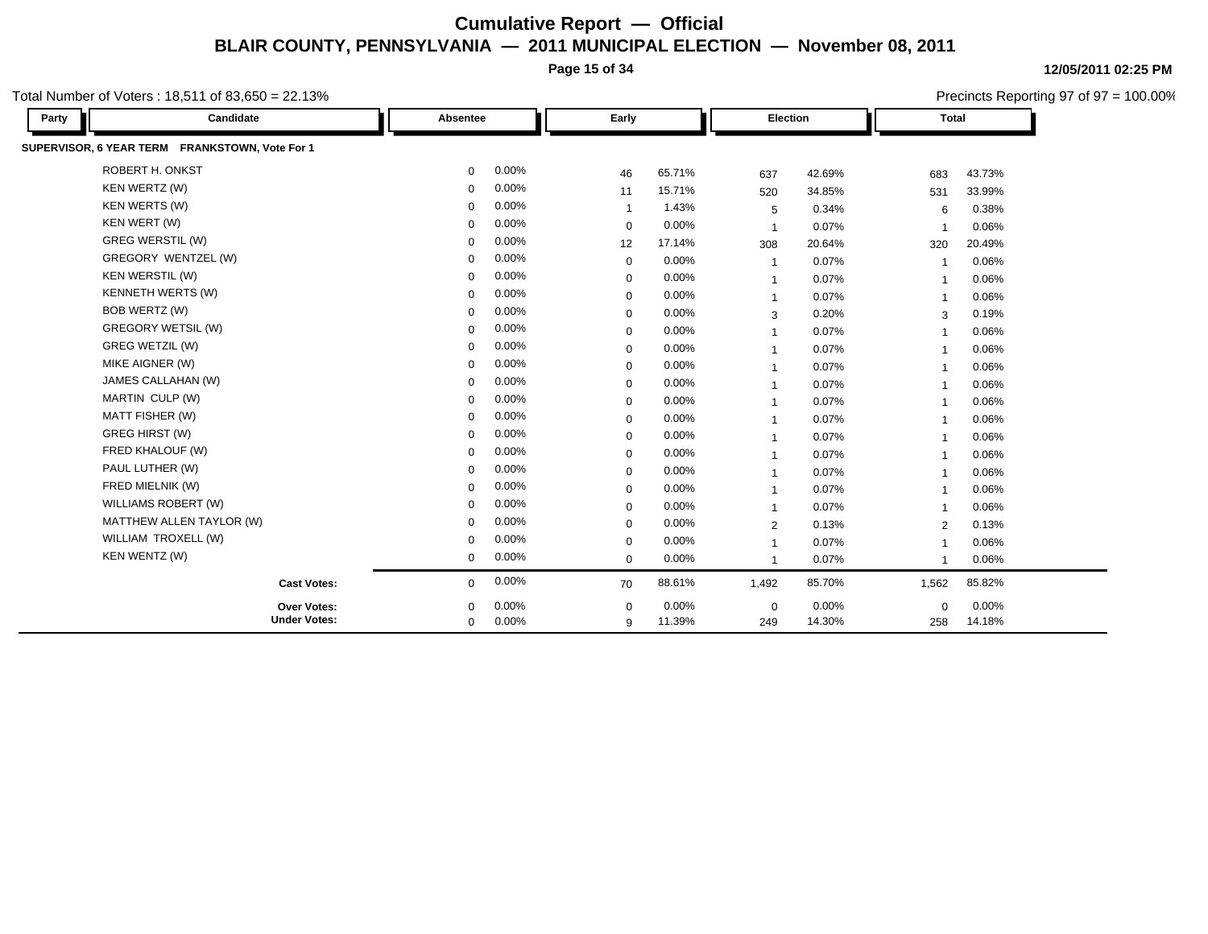**Page 15 of 34**

**12/05/2011 02:25 PM** Precincts Reporting 97 of 97 = 100.00%

| Party | Candidate                                      | Absentee    |       | Early       |        | Election       |        | <b>Total</b>            |        |  |
|-------|------------------------------------------------|-------------|-------|-------------|--------|----------------|--------|-------------------------|--------|--|
|       | SUPERVISOR, 6 YEAR TERM FRANKSTOWN, Vote For 1 |             |       |             |        |                |        |                         |        |  |
|       | ROBERT H. ONKST                                | $\mathbf 0$ | 0.00% | 46          | 65.71% | 637            | 42.69% | 683                     | 43.73% |  |
|       | KEN WERTZ (W)                                  | $\Omega$    | 0.00% | 11          | 15.71% | 520            | 34.85% | 531                     | 33.99% |  |
|       | <b>KEN WERTS (W)</b>                           | $\Omega$    | 0.00% |             | 1.43%  | 5              | 0.34%  | 6                       | 0.38%  |  |
|       | KEN WERT (W)                                   | $\Omega$    | 0.00% | $\Omega$    | 0.00%  | $\overline{1}$ | 0.07%  |                         | 0.06%  |  |
|       | <b>GREG WERSTIL (W)</b>                        | $\Omega$    | 0.00% | 12          | 17.14% | 308            | 20.64% | 320                     | 20.49% |  |
|       | GREGORY WENTZEL (W)                            | $\Omega$    | 0.00% | $\mathbf 0$ | 0.00%  | $\overline{1}$ | 0.07%  |                         | 0.06%  |  |
|       | <b>KEN WERSTIL (W)</b>                         | $\Omega$    | 0.00% | $\mathbf 0$ | 0.00%  | $\mathbf{1}$   | 0.07%  | $\overline{1}$          | 0.06%  |  |
|       | <b>KENNETH WERTS (W)</b>                       | $\Omega$    | 0.00% | $\Omega$    | 0.00%  | $\mathbf{1}$   | 0.07%  | $\overline{\mathbf{1}}$ | 0.06%  |  |
|       | BOB WERTZ (W)                                  | $\Omega$    | 0.00% | $\mathbf 0$ | 0.00%  | 3              | 0.20%  | 3                       | 0.19%  |  |
|       | <b>GREGORY WETSIL (W)</b>                      | $\Omega$    | 0.00% | $\mathbf 0$ | 0.00%  | $\mathbf{1}$   | 0.07%  | -1                      | 0.06%  |  |
|       | <b>GREG WETZIL (W)</b>                         | $\Omega$    | 0.00% | $\mathbf 0$ | 0.00%  | 1              | 0.07%  | $\overline{\mathbf{1}}$ | 0.06%  |  |
|       | MIKE AIGNER (W)                                | $\mathbf 0$ | 0.00% | $\mathbf 0$ | 0.00%  | $\overline{1}$ | 0.07%  | -1                      | 0.06%  |  |
|       | JAMES CALLAHAN (W)                             | $\Omega$    | 0.00% | $\mathbf 0$ | 0.00%  | $\overline{1}$ | 0.07%  | $\overline{1}$          | 0.06%  |  |
|       | MARTIN CULP (W)                                | $\Omega$    | 0.00% | $\mathbf 0$ | 0.00%  | $\overline{1}$ | 0.07%  | -1                      | 0.06%  |  |
|       | MATT FISHER (W)                                | $\mathbf 0$ | 0.00% | $\mathbf 0$ | 0.00%  | $\overline{1}$ | 0.07%  | $\overline{\mathbf{1}}$ | 0.06%  |  |
|       | <b>GREG HIRST (W)</b>                          | $\Omega$    | 0.00% | $\mathbf 0$ | 0.00%  | $\overline{1}$ | 0.07%  | -1                      | 0.06%  |  |
|       | FRED KHALOUF (W)                               | $\Omega$    | 0.00% | $\Omega$    | 0.00%  | $\overline{1}$ | 0.07%  | $\overline{\mathbf{1}}$ | 0.06%  |  |
|       | PAUL LUTHER (W)                                | $\Omega$    | 0.00% | $\mathbf 0$ | 0.00%  | $\overline{1}$ | 0.07%  | -1                      | 0.06%  |  |
|       | FRED MIELNIK (W)                               | $\Omega$    | 0.00% | $\mathbf 0$ | 0.00%  | $\overline{1}$ | 0.07%  | $\overline{1}$          | 0.06%  |  |
|       | WILLIAMS ROBERT (W)                            | $\Omega$    | 0.00% | $\mathbf 0$ | 0.00%  | $\mathbf{1}$   | 0.07%  | $\mathbf 1$             | 0.06%  |  |
|       | MATTHEW ALLEN TAYLOR (W)                       | $\Omega$    | 0.00% | $\mathbf 0$ | 0.00%  | $\overline{2}$ | 0.13%  | 2                       | 0.13%  |  |
|       | WILLIAM TROXELL (W)                            | $\Omega$    | 0.00% | $\mathbf 0$ | 0.00%  | $\overline{1}$ | 0.07%  | -1                      | 0.06%  |  |
|       | KEN WENTZ (W)                                  | $\Omega$    | 0.00% | $\mathbf 0$ | 0.00%  | $\overline{1}$ | 0.07%  | -1                      | 0.06%  |  |
|       | <b>Cast Votes:</b>                             | 0           | 0.00% | 70          | 88.61% | 1,492          | 85.70% | 1,562                   | 85.82% |  |
|       | Over Votes:                                    | $\Omega$    | 0.00% | $\Omega$    | 0.00%  | $\mathbf 0$    | 0.00%  | $\mathbf 0$             | 0.00%  |  |
|       | <b>Under Votes:</b>                            | $\mathbf 0$ | 0.00% | 9           | 11.39% | 249            | 14.30% | 258                     | 14.18% |  |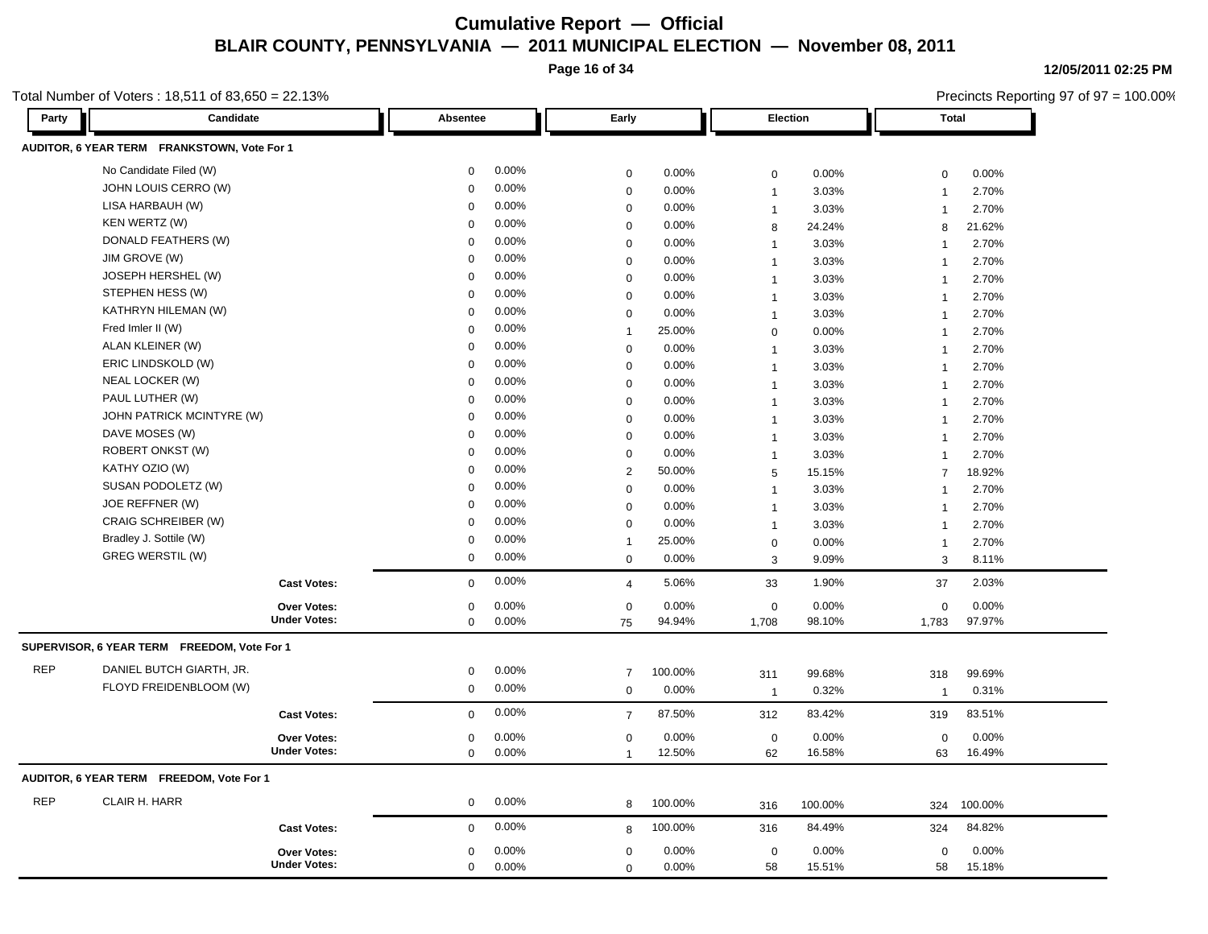**Page 16 of 34**

**12/05/2011 02:25 PM**

|            | Total Number of Voters: 18,511 of 83,650 = 22.13% |             |       |                |         |                |          |                         | Precincts Reporting 97 of 97 = 100.00% |  |  |
|------------|---------------------------------------------------|-------------|-------|----------------|---------|----------------|----------|-------------------------|----------------------------------------|--|--|
| Party      | Candidate                                         | Absentee    |       | Early          |         |                | Election | <b>Total</b>            |                                        |  |  |
|            | AUDITOR, 6 YEAR TERM FRANKSTOWN, Vote For 1       |             |       |                |         |                |          |                         |                                        |  |  |
|            | No Candidate Filed (W)                            | 0           | 0.00% | $\pmb{0}$      | 0.00%   | $\mathbf 0$    | 0.00%    | $\mathbf 0$             | 0.00%                                  |  |  |
|            | JOHN LOUIS CERRO (W)                              | $\Omega$    | 0.00% | $\pmb{0}$      | 0.00%   | $\overline{1}$ | 3.03%    | $\overline{\mathbf{1}}$ | 2.70%                                  |  |  |
|            | LISA HARBAUH (W)                                  | 0           | 0.00% | $\pmb{0}$      | 0.00%   | $\overline{1}$ | 3.03%    | $\overline{1}$          | 2.70%                                  |  |  |
|            | KEN WERTZ (W)                                     | $\mathbf 0$ | 0.00% | $\pmb{0}$      | 0.00%   | 8              | 24.24%   | 8                       | 21.62%                                 |  |  |
|            | DONALD FEATHERS (W)                               | $\Omega$    | 0.00% | $\mathbf 0$    | 0.00%   | $\mathbf{1}$   | 3.03%    | 1                       | 2.70%                                  |  |  |
|            | JIM GROVE (W)                                     | $\mathbf 0$ | 0.00% | $\pmb{0}$      | 0.00%   | $\mathbf{1}$   | 3.03%    | $\overline{1}$          | 2.70%                                  |  |  |
|            | JOSEPH HERSHEL (W)                                | $\Omega$    | 0.00% | $\pmb{0}$      | 0.00%   | $\mathbf{1}$   | 3.03%    | $\mathbf{1}$            | 2.70%                                  |  |  |
|            | STEPHEN HESS (W)                                  | $\Omega$    | 0.00% | $\mathbf 0$    | 0.00%   | $\mathbf{1}$   | 3.03%    | 1                       | 2.70%                                  |  |  |
|            | KATHRYN HILEMAN (W)                               | 0           | 0.00% | $\mathbf 0$    | 0.00%   | $\overline{1}$ | 3.03%    | $\overline{1}$          | 2.70%                                  |  |  |
|            | Fred Imler II (W)                                 | $\mathbf 0$ | 0.00% | $\mathbf{1}$   | 25.00%  | $\mathbf 0$    | 0.00%    | $\mathbf{1}$            | 2.70%                                  |  |  |
|            | ALAN KLEINER (W)                                  | $\mathbf 0$ | 0.00% | $\mathbf 0$    | 0.00%   | $\overline{1}$ | 3.03%    | $\overline{1}$          | 2.70%                                  |  |  |
|            | ERIC LINDSKOLD (W)                                | $\mathbf 0$ | 0.00% | $\mathbf 0$    | 0.00%   | $\overline{1}$ | 3.03%    | $\overline{1}$          | 2.70%                                  |  |  |
|            | NEAL LOCKER (W)                                   | $\mathbf 0$ | 0.00% | $\mathbf 0$    | 0.00%   | $\mathbf{1}$   | 3.03%    | $\mathbf{1}$            | 2.70%                                  |  |  |
|            | PAUL LUTHER (W)                                   | $\mathbf 0$ | 0.00% | $\mathbf 0$    | 0.00%   | $\mathbf{1}$   | 3.03%    | 1                       | 2.70%                                  |  |  |
|            | JOHN PATRICK MCINTYRE (W)                         | $\mathbf 0$ | 0.00% | $\mathbf 0$    | 0.00%   | $\mathbf{1}$   | 3.03%    | $\overline{1}$          | 2.70%                                  |  |  |
|            | DAVE MOSES (W)                                    | $\mathbf 0$ | 0.00% | $\pmb{0}$      | 0.00%   | $\mathbf{1}$   | 3.03%    | $\mathbf{1}$            | 2.70%                                  |  |  |
|            | ROBERT ONKST (W)                                  | $\Omega$    | 0.00% | $\pmb{0}$      | 0.00%   | $\mathbf{1}$   | 3.03%    | $\overline{1}$          | 2.70%                                  |  |  |
|            | KATHY OZIO (W)                                    | 0           | 0.00% | $\overline{2}$ | 50.00%  | 5              | 15.15%   | $\overline{7}$          | 18.92%                                 |  |  |
|            | SUSAN PODOLETZ (W)                                | $\Omega$    | 0.00% | $\pmb{0}$      | 0.00%   | $\mathbf{1}$   | 3.03%    | $\overline{1}$          | 2.70%                                  |  |  |
|            | JOE REFFNER (W)                                   | $\Omega$    | 0.00% | $\mathbf 0$    | 0.00%   | $\mathbf{1}$   | 3.03%    | $\overline{1}$          | 2.70%                                  |  |  |
|            | CRAIG SCHREIBER (W)                               | 0           | 0.00% | $\mathbf 0$    | 0.00%   | $\overline{1}$ | 3.03%    | $\overline{1}$          | 2.70%                                  |  |  |
|            | Bradley J. Sottile (W)                            | $\Omega$    | 0.00% | $\mathbf{1}$   | 25.00%  | $\mathbf 0$    | 0.00%    | $\mathbf{1}$            | 2.70%                                  |  |  |
|            | <b>GREG WERSTIL (W)</b>                           | $\mathbf 0$ | 0.00% | $\mathbf 0$    | 0.00%   | 3              | 9.09%    | 3                       | 8.11%                                  |  |  |
|            | <b>Cast Votes:</b>                                | $\mathbf 0$ | 0.00% | $\overline{4}$ | 5.06%   | 33             | 1.90%    | 37                      | 2.03%                                  |  |  |
|            | Over Votes:                                       | 0           | 0.00% | $\mathbf 0$    | 0.00%   | $\mathbf 0$    | 0.00%    | 0                       | 0.00%                                  |  |  |
|            | <b>Under Votes:</b>                               | $\mathbf 0$ | 0.00% | 75             | 94.94%  | 1,708          | 98.10%   | 1,783                   | 97.97%                                 |  |  |
|            | SUPERVISOR, 6 YEAR TERM FREEDOM, Vote For 1       |             |       |                |         |                |          |                         |                                        |  |  |
| <b>REP</b> | DANIEL BUTCH GIARTH, JR.                          | 0           | 0.00% | $\overline{7}$ | 100.00% | 311            | 99.68%   | 318                     | 99.69%                                 |  |  |
|            | FLOYD FREIDENBLOOM (W)                            | 0           | 0.00% | $\mathbf 0$    | 0.00%   | $\overline{1}$ | 0.32%    | $\mathbf{1}$            | 0.31%                                  |  |  |
|            | <b>Cast Votes:</b>                                | 0           | 0.00% | $\overline{7}$ | 87.50%  | 312            | 83.42%   | 319                     | 83.51%                                 |  |  |
|            | <b>Over Votes:</b>                                | 0           | 0.00% | $\pmb{0}$      | 0.00%   | $\mathbf 0$    | 0.00%    | $\mathbf 0$             | 0.00%                                  |  |  |
|            | <b>Under Votes:</b>                               | 0           | 0.00% | $\mathbf{1}$   | 12.50%  | 62             | 16.58%   | 63                      | 16.49%                                 |  |  |
|            | AUDITOR, 6 YEAR TERM FREEDOM, Vote For 1          |             |       |                |         |                |          |                         |                                        |  |  |
| <b>REP</b> | CLAIR H. HARR                                     | 0           | 0.00% | 8              | 100.00% | 316            | 100.00%  | 324                     | 100.00%                                |  |  |
|            | <b>Cast Votes:</b>                                | 0           | 0.00% | 8              | 100.00% | 316            | 84.49%   | 324                     | 84.82%                                 |  |  |
|            | Over Votes:                                       | 0           | 0.00% | $\pmb{0}$      | 0.00%   | $\mathbf 0$    | 0.00%    | 0                       | 0.00%                                  |  |  |
|            | <b>Under Votes:</b>                               | 0           | 0.00% | $\mathbf 0$    | 0.00%   | 58             | 15.51%   | 58                      | 15.18%                                 |  |  |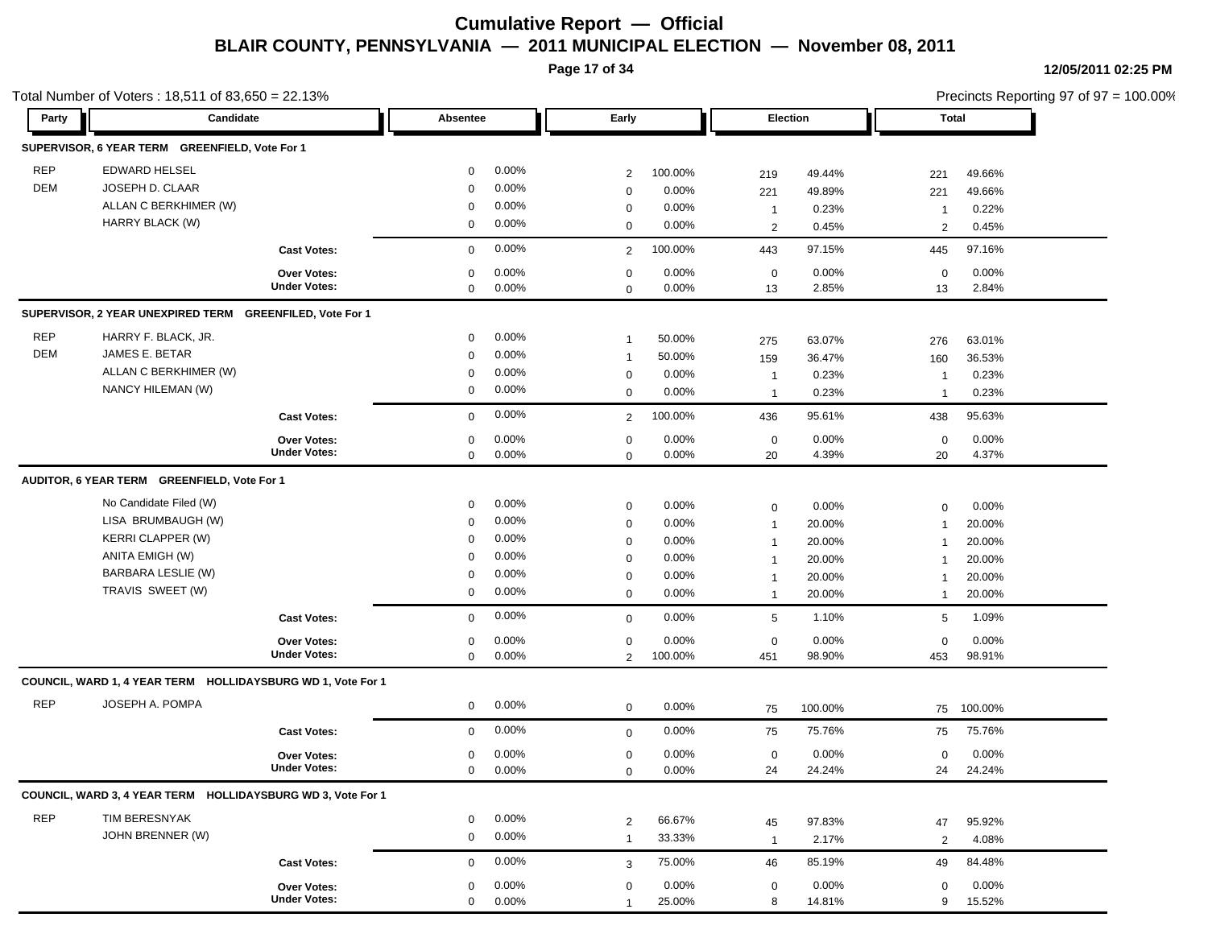**Page 17 of 34**

|            | Total Number of Voters: 18,511 of 83,650 = 22.13%           |                               |             |          |                |          |                |         |                | Precincts Reporting 97 of 97 = 100.00% |  |
|------------|-------------------------------------------------------------|-------------------------------|-------------|----------|----------------|----------|----------------|---------|----------------|----------------------------------------|--|
| Party      | Candidate                                                   |                               | Absentee    |          | Early          |          | Election       |         | Total          |                                        |  |
|            | SUPERVISOR, 6 YEAR TERM GREENFIELD, Vote For 1              |                               |             |          |                |          |                |         |                |                                        |  |
| <b>REP</b> | EDWARD HELSEL                                               |                               | 0           | $0.00\%$ | $\overline{2}$ | 100.00%  | 219            | 49.44%  | 221            | 49.66%                                 |  |
| DEM        | JOSEPH D. CLAAR                                             |                               | 0           | 0.00%    | $\mathbf 0$    | 0.00%    | 221            | 49.89%  | 221            | 49.66%                                 |  |
|            | ALLAN C BERKHIMER (W)                                       |                               | 0           | 0.00%    | $\mathbf 0$    | 0.00%    | $\mathbf{1}$   | 0.23%   | $\mathbf 1$    | 0.22%                                  |  |
|            | HARRY BLACK (W)                                             |                               | 0           | $0.00\%$ | $\mathbf 0$    | 0.00%    | 2              | 0.45%   | $\overline{2}$ | 0.45%                                  |  |
|            |                                                             | <b>Cast Votes:</b>            | $\mathbf 0$ | 0.00%    | 2              | 100.00%  | 443            | 97.15%  | 445            | 97.16%                                 |  |
|            |                                                             | Over Votes:                   | 0           | 0.00%    | $\mathbf 0$    | 0.00%    | $\mathbf 0$    | 0.00%   | $\mathbf 0$    | 0.00%                                  |  |
|            |                                                             | <b>Under Votes:</b>           | 0           | $0.00\%$ | $\mathbf 0$    | 0.00%    | 13             | 2.85%   | 13             | 2.84%                                  |  |
|            | SUPERVISOR, 2 YEAR UNEXPIRED TERM                           | <b>GREENFILED, Vote For 1</b> |             |          |                |          |                |         |                |                                        |  |
| <b>REP</b> | HARRY F. BLACK, JR.                                         |                               | 0           | $0.00\%$ | -1             | 50.00%   | 275            | 63.07%  | 276            | 63.01%                                 |  |
| <b>DEM</b> | JAMES E. BETAR                                              |                               | $\mathbf 0$ | 0.00%    | $\overline{1}$ | 50.00%   | 159            | 36.47%  | 160            | 36.53%                                 |  |
|            | ALLAN C BERKHIMER (W)                                       |                               | $\mathbf 0$ | 0.00%    | 0              | 0.00%    | $\mathbf{1}$   | 0.23%   | -1             | 0.23%                                  |  |
|            | NANCY HILEMAN (W)                                           |                               | 0           | 0.00%    | $\mathbf 0$    | 0.00%    | $\mathbf{1}$   | 0.23%   | $\mathbf 1$    | 0.23%                                  |  |
|            |                                                             | <b>Cast Votes:</b>            | 0           | 0.00%    | $\overline{2}$ | 100.00%  | 436            | 95.61%  | 438            | 95.63%                                 |  |
|            |                                                             | <b>Over Votes:</b>            | 0           | 0.00%    | $\mathbf 0$    | 0.00%    | $\mathbf 0$    | 0.00%   | $\mathbf 0$    | 0.00%                                  |  |
|            |                                                             | <b>Under Votes:</b>           | 0           | $0.00\%$ | $\mathbf 0$    | $0.00\%$ | 20             | 4.39%   | 20             | 4.37%                                  |  |
|            | AUDITOR, 6 YEAR TERM GREENFIELD, Vote For 1                 |                               |             |          |                |          |                |         |                |                                        |  |
|            | No Candidate Filed (W)                                      |                               | 0           | $0.00\%$ | $\mathbf 0$    | 0.00%    | $\mathbf 0$    | 0.00%   | $\mathbf 0$    | 0.00%                                  |  |
|            | LISA BRUMBAUGH (W)                                          |                               | 0           | $0.00\%$ | $\mathbf 0$    | 0.00%    | $\mathbf{1}$   | 20.00%  | $\mathbf 1$    | 20.00%                                 |  |
|            | <b>KERRI CLAPPER (W)</b>                                    |                               | 0           | 0.00%    | $\mathbf 0$    | 0.00%    | $\mathbf{1}$   | 20.00%  | -1             | 20.00%                                 |  |
|            | ANITA EMIGH (W)                                             |                               | $\mathbf 0$ | 0.00%    | $\mathbf 0$    | 0.00%    | $\mathbf{1}$   | 20.00%  | -1             | 20.00%                                 |  |
|            | <b>BARBARA LESLIE (W)</b>                                   |                               | 0           | 0.00%    | $\mathbf 0$    | 0.00%    | $\mathbf{1}$   | 20.00%  |                | 20.00%                                 |  |
|            | TRAVIS SWEET (W)                                            |                               | 0           | $0.00\%$ | $\mathbf 0$    | 0.00%    | $\mathbf{1}$   | 20.00%  | $\mathbf 1$    | 20.00%                                 |  |
|            |                                                             | <b>Cast Votes:</b>            | 0           | 0.00%    | $\mathbf 0$    | 0.00%    | 5              | 1.10%   | 5              | 1.09%                                  |  |
|            |                                                             | <b>Over Votes:</b>            | 0           | 0.00%    | $\mathbf 0$    | 0.00%    | 0              | 0.00%   | $\mathbf 0$    | 0.00%                                  |  |
|            |                                                             | <b>Under Votes:</b>           | $\mathbf 0$ | $0.00\%$ | 2              | 100.00%  | 451            | 98.90%  | 453            | 98.91%                                 |  |
|            | COUNCIL, WARD 1, 4 YEAR TERM HOLLIDAYSBURG WD 1, Vote For 1 |                               |             |          |                |          |                |         |                |                                        |  |
| <b>REP</b> | JOSEPH A. POMPA                                             |                               | 0           | 0.00%    | $\mathbf 0$    | 0.00%    | 75             | 100.00% | 75             | 100.00%                                |  |
|            |                                                             | <b>Cast Votes:</b>            | 0           | 0.00%    | $\mathbf 0$    | 0.00%    | 75             | 75.76%  | 75             | 75.76%                                 |  |
|            |                                                             | <b>Over Votes:</b>            | 0           | $0.00\%$ | 0              | 0.00%    | $\mathbf 0$    | 0.00%   | 0              | 0.00%                                  |  |
|            |                                                             | <b>Under Votes:</b>           | 0           | $0.00\%$ | 0              | $0.00\%$ | 24             | 24.24%  | 24             | 24.24%                                 |  |
|            | COUNCIL, WARD 3, 4 YEAR TERM HOLLIDAYSBURG WD 3, Vote For 1 |                               |             |          |                |          |                |         |                |                                        |  |
| <b>REP</b> | TIM BERESNYAK                                               |                               | 0           | 0.00%    | $\overline{2}$ | 66.67%   | 45             | 97.83%  | 47             | 95.92%                                 |  |
|            | JOHN BRENNER (W)                                            |                               | $\mathbf 0$ | 0.00%    | $\mathbf{1}$   | 33.33%   | $\overline{1}$ | 2.17%   | $\overline{2}$ | 4.08%                                  |  |
|            |                                                             | <b>Cast Votes:</b>            | 0           | 0.00%    | 3              | 75.00%   | 46             | 85.19%  | 49             | 84.48%                                 |  |
|            |                                                             | Over Votes:                   | 0           | $0.00\%$ | $\mathbf 0$    | 0.00%    | $\mathbf 0$    | 0.00%   | $\mathbf 0$    | 0.00%                                  |  |
|            |                                                             | <b>Under Votes:</b>           | 0           | 0.00%    | $\overline{1}$ | 25.00%   | 8              | 14.81%  | 9              | 15.52%                                 |  |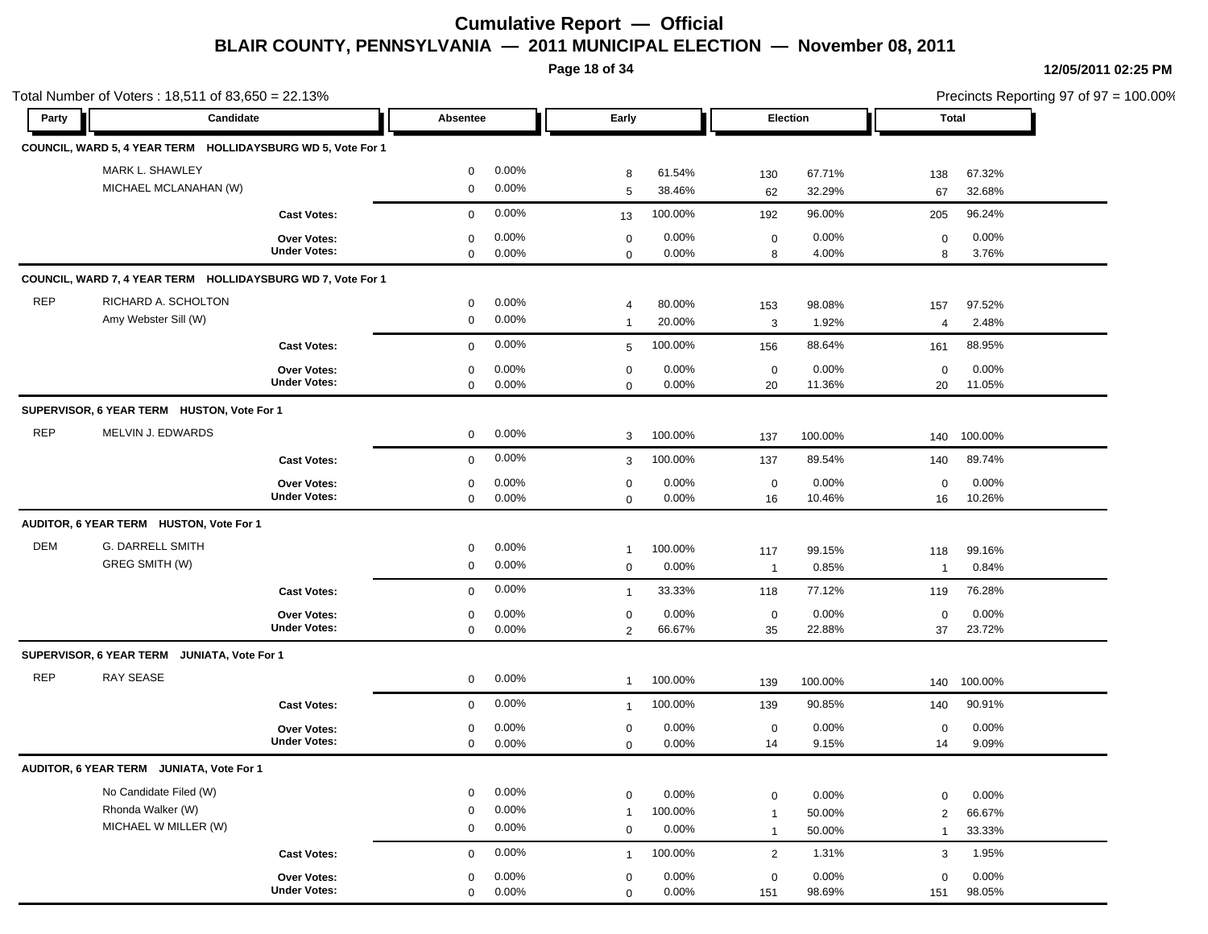**Page 18 of 34**

| Party      | Candidate                                                   |                                           | Absentee                   |                | Early                            |                  | Election          |                 | Total            |                 |  |
|------------|-------------------------------------------------------------|-------------------------------------------|----------------------------|----------------|----------------------------------|------------------|-------------------|-----------------|------------------|-----------------|--|
|            |                                                             |                                           |                            |                |                                  |                  |                   |                 |                  |                 |  |
|            | COUNCIL, WARD 5, 4 YEAR TERM HOLLIDAYSBURG WD 5, Vote For 1 |                                           |                            |                |                                  |                  |                   |                 |                  |                 |  |
|            | MARK L. SHAWLEY                                             |                                           | 0                          | 0.00%          | 8                                | 61.54%           | 130               | 67.71%          | 138              | 67.32%          |  |
|            | MICHAEL MCLANAHAN (W)                                       |                                           | $\mathbf 0$                | 0.00%          | $\sqrt{5}$                       | 38.46%           | 62                | 32.29%          | 67               | 32.68%          |  |
|            |                                                             | <b>Cast Votes:</b>                        | $\mathbf 0$                | 0.00%          | 13                               | 100.00%          | 192               | 96.00%          | 205              | 96.24%          |  |
|            |                                                             | Over Votes:<br><b>Under Votes:</b>        | $\mathbf 0$<br>$\mathbf 0$ | 0.00%<br>0.00% | $\mathbf 0$<br>$\mathbf 0$       | 0.00%<br>0.00%   | $\mathbf 0$<br>8  | 0.00%<br>4.00%  | $\mathbf 0$<br>8 | 0.00%<br>3.76%  |  |
|            | COUNCIL, WARD 7, 4 YEAR TERM HOLLIDAYSBURG WD 7, Vote For 1 |                                           |                            |                |                                  |                  |                   |                 |                  |                 |  |
| <b>REP</b> | RICHARD A. SCHOLTON                                         |                                           | $\mathbf 0$                | 0.00%          |                                  |                  |                   |                 |                  |                 |  |
|            | Amy Webster Sill (W)                                        |                                           | $\mathbf 0$                | 0.00%          | $\overline{4}$<br>$\overline{1}$ | 80.00%<br>20.00% | 153               | 98.08%<br>1.92% | 157              | 97.52%<br>2.48% |  |
|            |                                                             |                                           |                            |                |                                  |                  | $\mathbf{3}$      |                 | $\overline{4}$   |                 |  |
|            |                                                             | <b>Cast Votes:</b>                        | $\mathbf 0$                | 0.00%          | 5                                | 100.00%          | 156               | 88.64%          | 161              | 88.95%          |  |
|            |                                                             | Over Votes:<br><b>Under Votes:</b>        | $\mathbf 0$<br>$\mathbf 0$ | 0.00%          | $\mathbf 0$                      | 0.00%            | $\mathbf 0$       | 0.00%           | $\mathbf 0$      | 0.00%           |  |
|            |                                                             |                                           |                            | 0.00%          | $\mathbf 0$                      | 0.00%            | 20                | 11.36%          | 20               | 11.05%          |  |
|            | SUPERVISOR, 6 YEAR TERM HUSTON, Vote For 1                  |                                           |                            |                |                                  |                  |                   |                 |                  |                 |  |
| <b>REP</b> | MELVIN J. EDWARDS                                           |                                           | 0                          | 0.00%          | 3                                | 100.00%          | 137               | 100.00%         | 140              | 100.00%         |  |
|            |                                                             | <b>Cast Votes:</b>                        | $\mathbf{0}$               | 0.00%          | 3                                | 100.00%          | 137               | 89.54%          | 140              | 89.74%          |  |
|            |                                                             | <b>Over Votes:</b>                        | 0                          | 0.00%          | $\mathbf 0$                      | 0.00%            | $\mathbf 0$       | 0.00%           | 0                | 0.00%           |  |
|            |                                                             | <b>Under Votes:</b>                       | $\mathbf 0$                | 0.00%          | $\mathbf 0$                      | 0.00%            | 16                | 10.46%          | 16               | 10.26%          |  |
|            | AUDITOR, 6 YEAR TERM HUSTON, Vote For 1                     |                                           |                            |                |                                  |                  |                   |                 |                  |                 |  |
| DEM        | <b>G. DARRELL SMITH</b>                                     |                                           | 0                          | 0.00%          | $\overline{1}$                   | 100.00%          | 117               | 99.15%          | 118              | 99.16%          |  |
|            | <b>GREG SMITH (W)</b>                                       |                                           | $\mathbf 0$                | 0.00%          | $\mathbf 0$                      | 0.00%            | $\overline{1}$    | 0.85%           | $\overline{1}$   | 0.84%           |  |
|            |                                                             | <b>Cast Votes:</b>                        | $\mathbf 0$                | 0.00%          | $\overline{1}$                   | 33.33%           | 118               | 77.12%          | 119              | 76.28%          |  |
|            |                                                             | <b>Over Votes:</b>                        | 0                          | 0.00%          | $\pmb{0}$                        | 0.00%            | $\mathbf 0$       | 0.00%           | $\mathbf 0$      | 0.00%           |  |
|            |                                                             | <b>Under Votes:</b>                       | $\mathbf 0$                | 0.00%          | $\overline{2}$                   | 66.67%           | 35                | 22.88%          | 37               | 23.72%          |  |
|            | <b>SUPERVISOR, 6 YEAR TERM</b><br>JUNIATA, Vote For 1       |                                           |                            |                |                                  |                  |                   |                 |                  |                 |  |
| <b>REP</b> | RAY SEASE                                                   |                                           | $\mathbf 0$                | 0.00%          | $\mathbf{1}$                     | 100.00%          | 139               | 100.00%         | 140              | 100.00%         |  |
|            |                                                             | <b>Cast Votes:</b>                        | $\mathbf 0$                | 0.00%          | $\overline{1}$                   | 100.00%          | 139               | 90.85%          | 140              | 90.91%          |  |
|            |                                                             |                                           |                            | 0.00%          |                                  | 0.00%            |                   | 0.00%           |                  |                 |  |
|            |                                                             | <b>Over Votes:</b><br><b>Under Votes:</b> | 0<br>$\mathbf 0$           | 0.00%          | $\mathbf 0$<br>$\mathbf 0$       | 0.00%            | $\mathbf 0$<br>14 | 9.15%           | 0<br>14          | 0.00%<br>9.09%  |  |
|            | AUDITOR, 6 YEAR TERM JUNIATA, Vote For 1                    |                                           |                            |                |                                  |                  |                   |                 |                  |                 |  |
|            |                                                             |                                           |                            |                |                                  |                  |                   |                 |                  |                 |  |
|            | No Candidate Filed (W)<br>Rhonda Walker (W)                 |                                           | $\mathbf 0$                | 0.00%          | $\pmb{0}$                        | 0.00%            | $\mathbf 0$       | 0.00%           | 0                | 0.00%           |  |
|            | MICHAEL W MILLER (W)                                        |                                           | $\mathbf 0$<br>$\mathbf 0$ | 0.00%<br>0.00% | $\overline{1}$                   | 100.00%          | $\mathbf 1$       | 50.00%          | $\overline{2}$   | 66.67%          |  |
|            |                                                             |                                           |                            |                | $\mathbf 0$                      | 0.00%            | $\overline{1}$    | 50.00%          | $\mathbf{1}$     | 33.33%          |  |
|            |                                                             | <b>Cast Votes:</b>                        | $\mathbf 0$                | 0.00%          | $\overline{1}$                   | 100.00%          | $\overline{2}$    | 1.31%           | 3                | 1.95%           |  |
|            |                                                             | Over Votes:                               | 0                          | 0.00%          | $\mathbf 0$                      | 0.00%            | $\mathbf 0$       | 0.00%           | $\mathbf 0$      | 0.00%           |  |
|            |                                                             | <b>Under Votes:</b>                       | $\mathbf 0$                | 0.00%          | $\mathbf 0$                      | 0.00%            | 151               | 98.69%          | 151              | 98.05%          |  |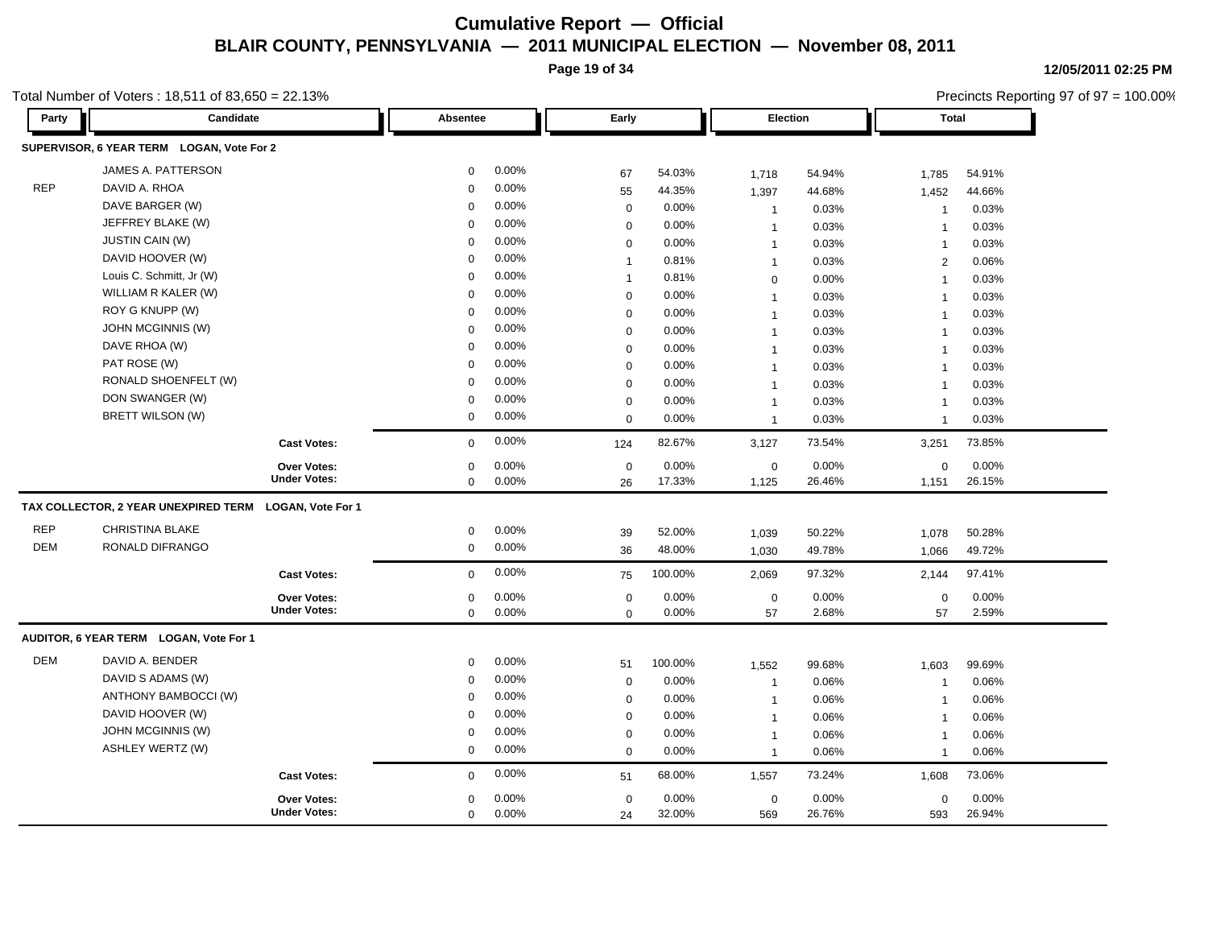**Page 19 of 34**

Precincts Reporting 97 of 97 = 100.00%

**12/05/2011 02:25 PM**

| Party      | Candidate                                 |                          | Absentee    |       | Early          |         |                | Election | <b>Total</b>             |        |
|------------|-------------------------------------------|--------------------------|-------------|-------|----------------|---------|----------------|----------|--------------------------|--------|
|            | SUPERVISOR, 6 YEAR TERM LOGAN, Vote For 2 |                          |             |       |                |         |                |          |                          |        |
|            | JAMES A. PATTERSON                        |                          | $\mathbf 0$ | 0.00% | 67             | 54.03%  | 1,718          | 54.94%   | 1,785                    | 54.91% |
| <b>REP</b> | DAVID A. RHOA                             |                          | $\Omega$    | 0.00% | 55             | 44.35%  | 1,397          | 44.68%   | 1,452                    | 44.66% |
|            | DAVE BARGER (W)                           |                          | $\Omega$    | 0.00% | $\mathbf 0$    | 0.00%   | $\overline{1}$ | 0.03%    | $\mathbf{1}$             | 0.03%  |
|            | JEFFREY BLAKE (W)                         |                          | $\mathbf 0$ | 0.00% | $\mathbf 0$    | 0.00%   | $\mathbf{1}$   | 0.03%    | $\overline{1}$           | 0.03%  |
|            | <b>JUSTIN CAIN (W)</b>                    |                          | $\Omega$    | 0.00% | $\mathbf 0$    | 0.00%   | $\overline{1}$ | 0.03%    | $\overline{1}$           | 0.03%  |
|            | DAVID HOOVER (W)                          |                          | $\mathbf 0$ | 0.00% | $\overline{1}$ | 0.81%   | $\overline{1}$ | 0.03%    | 2                        | 0.06%  |
|            | Louis C. Schmitt, Jr (W)                  |                          | $\mathbf 0$ | 0.00% | $\overline{1}$ | 0.81%   | $\mathbf 0$    | 0.00%    | $\overline{1}$           | 0.03%  |
|            | WILLIAM R KALER (W)                       |                          | $\mathbf 0$ | 0.00% | $\mathbf 0$    | 0.00%   | $\overline{1}$ | 0.03%    | $\overline{1}$           | 0.03%  |
|            | ROY G KNUPP (W)                           |                          | $\Omega$    | 0.00% | $\mathbf 0$    | 0.00%   | $\mathbf{1}$   | 0.03%    | $\overline{1}$           | 0.03%  |
|            | JOHN MCGINNIS (W)                         |                          | $\Omega$    | 0.00% | $\mathbf 0$    | 0.00%   | $\overline{1}$ | 0.03%    | $\overline{1}$           | 0.03%  |
|            | DAVE RHOA (W)                             |                          | $\Omega$    | 0.00% | $\mathbf 0$    | 0.00%   | $\overline{1}$ | 0.03%    | $\overline{1}$           | 0.03%  |
|            | PAT ROSE (W)                              |                          | $\mathbf 0$ | 0.00% | $\mathbf 0$    | 0.00%   | $\mathbf{1}$   | 0.03%    | 1                        | 0.03%  |
|            | RONALD SHOENFELT (W)                      |                          | $\Omega$    | 0.00% | $\mathbf 0$    | 0.00%   | $\overline{1}$ | 0.03%    | $\overline{1}$           | 0.03%  |
|            | DON SWANGER (W)                           |                          | $\Omega$    | 0.00% | $\mathbf 0$    | 0.00%   | $\overline{1}$ | 0.03%    | $\overline{1}$           | 0.03%  |
|            | BRETT WILSON (W)                          |                          | $\mathbf 0$ | 0.00% | $\mathbf 0$    | 0.00%   | $\overline{1}$ | 0.03%    | $\overline{1}$           | 0.03%  |
|            |                                           | <b>Cast Votes:</b>       | $\mathbf 0$ | 0.00% | 124            | 82.67%  | 3,127          | 73.54%   | 3,251                    | 73.85% |
|            |                                           | <b>Over Votes:</b>       | $\mathbf 0$ | 0.00% | $\mathbf 0$    | 0.00%   | $\mathbf 0$    | 0.00%    | $\mathbf 0$              | 0.00%  |
|            |                                           | <b>Under Votes:</b>      | $\mathbf 0$ | 0.00% | 26             | 17.33%  | 1,125          | 26.46%   | 1,151                    | 26.15% |
|            | TAX COLLECTOR, 2 YEAR UNEXPIRED TERM      | <b>LOGAN, Vote For 1</b> |             |       |                |         |                |          |                          |        |
| <b>REP</b> | CHRISTINA BLAKE                           |                          | $\mathbf 0$ | 0.00% | 39             | 52.00%  | 1,039          | 50.22%   | 1,078                    | 50.28% |
| <b>DEM</b> | RONALD DIFRANGO                           |                          | $\mathbf 0$ | 0.00% | 36             | 48.00%  | 1,030          | 49.78%   | 1,066                    | 49.72% |
|            |                                           | <b>Cast Votes:</b>       | $\mathbf 0$ | 0.00% | 75             | 100.00% | 2,069          | 97.32%   | 2,144                    | 97.41% |
|            |                                           | Over Votes:              | $\mathbf 0$ | 0.00% | $\mathbf 0$    | 0.00%   | $\mathbf 0$    | 0.00%    | $\mathbf 0$              | 0.00%  |
|            |                                           | <b>Under Votes:</b>      | $\mathbf 0$ | 0.00% | $\Omega$       | 0.00%   | 57             | 2.68%    | 57                       | 2.59%  |
|            | AUDITOR, 6 YEAR TERM LOGAN, Vote For 1    |                          |             |       |                |         |                |          |                          |        |
| <b>DEM</b> | DAVID A. BENDER                           |                          | $\mathbf 0$ | 0.00% | 51             | 100.00% | 1,552          | 99.68%   | 1,603                    | 99.69% |
|            | DAVID S ADAMS (W)                         |                          | $\mathbf 0$ | 0.00% | $\mathbf 0$    | 0.00%   | $\overline{1}$ | 0.06%    | $\overline{1}$           | 0.06%  |
|            | ANTHONY BAMBOCCI (W)                      |                          | $\Omega$    | 0.00% | $\mathbf 0$    | 0.00%   | $\mathbf{1}$   | 0.06%    | $\overline{\phantom{a}}$ | 0.06%  |
|            | DAVID HOOVER (W)                          |                          | $\Omega$    | 0.00% | $\mathbf 0$    | 0.00%   | $\overline{1}$ | 0.06%    | $\overline{\mathbf{1}}$  | 0.06%  |
|            | JOHN MCGINNIS (W)                         |                          | 0           | 0.00% | $\mathbf 0$    | 0.00%   | $\overline{1}$ | 0.06%    | $\overline{1}$           | 0.06%  |
|            | <b>ASHLEY WERTZ (W)</b>                   |                          | $\mathbf 0$ | 0.00% | $\mathbf 0$    | 0.00%   | $\overline{1}$ | 0.06%    | $\overline{1}$           | 0.06%  |
|            |                                           | <b>Cast Votes:</b>       | $\Omega$    | 0.00% | 51             | 68.00%  | 1,557          | 73.24%   | 1,608                    | 73.06% |
|            |                                           | <b>Over Votes:</b>       | 0           | 0.00% | $\mathbf 0$    | 0.00%   | $\mathbf 0$    | 0.00%    | $\mathbf 0$              | 0.00%  |
|            |                                           | <b>Under Votes:</b>      | $\mathbf 0$ | 0.00% | 24             | 32.00%  | 569            | 26.76%   | 593                      | 26.94% |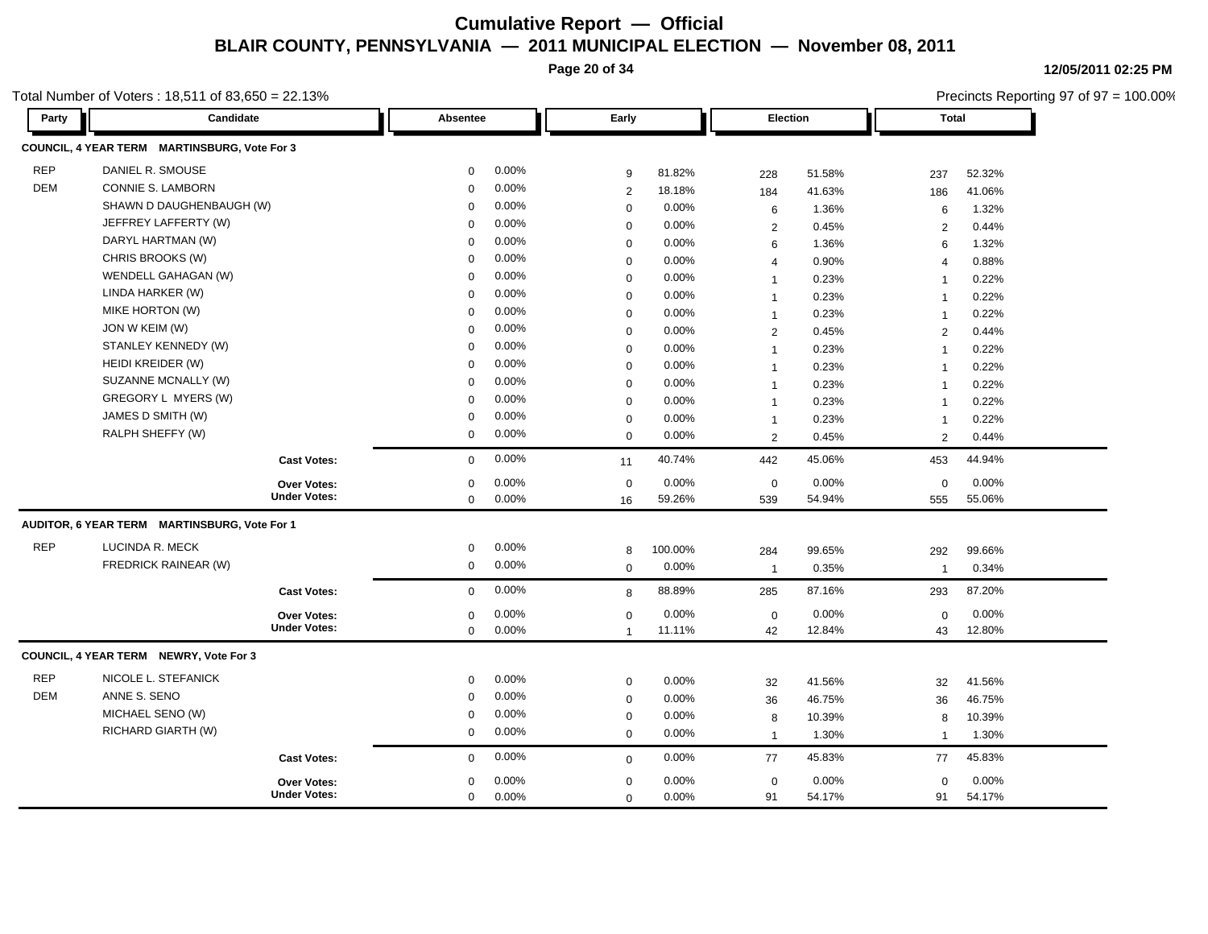**Page 20 of 34**

**12/05/2011 02:25 PM** Precincts Reporting 97 of 97 = 100.00%

| Party      | Candidate                                    |                                           | Absentee         |                | Early                      |                |                         | Election        | <b>Total</b>            |                 |
|------------|----------------------------------------------|-------------------------------------------|------------------|----------------|----------------------------|----------------|-------------------------|-----------------|-------------------------|-----------------|
|            | COUNCIL, 4 YEAR TERM MARTINSBURG, Vote For 3 |                                           |                  |                |                            |                |                         |                 |                         |                 |
| <b>REP</b> | DANIEL R. SMOUSE                             |                                           | 0                | 0.00%          | 9                          | 81.82%         | 228                     | 51.58%          | 237                     | 52.32%          |
| DEM        | CONNIE S. LAMBORN                            |                                           | $\Omega$         | 0.00%          | $\overline{2}$             | 18.18%         | 184                     | 41.63%          | 186                     | 41.06%          |
|            | SHAWN D DAUGHENBAUGH (W)                     |                                           | $\mathbf 0$      | 0.00%          | $\pmb{0}$                  | 0.00%          | 6                       | 1.36%           | 6                       | 1.32%           |
|            | JEFFREY LAFFERTY (W)                         |                                           | $\Omega$         | 0.00%          | $\mathbf 0$                | 0.00%          | $\overline{2}$          | 0.45%           | $\overline{2}$          | 0.44%           |
|            | DARYL HARTMAN (W)                            |                                           | $\Omega$         | 0.00%          | $\mathbf 0$                | 0.00%          | 6                       | 1.36%           | 6                       | 1.32%           |
|            | CHRIS BROOKS (W)                             |                                           | $\mathbf 0$      | 0.00%          | $\mathbf 0$                | 0.00%          | $\overline{\mathbf{4}}$ | 0.90%           | $\overline{\mathbf{A}}$ | 0.88%           |
|            | WENDELL GAHAGAN (W)                          |                                           | $\Omega$         | 0.00%          | $\mathbf 0$                | 0.00%          | $\mathbf{1}$            | 0.23%           | $\overline{1}$          | 0.22%           |
|            | LINDA HARKER (W)                             |                                           | $\Omega$         | 0.00%          | $\mathbf 0$                | 0.00%          | $\mathbf{1}$            | 0.23%           | $\overline{1}$          | 0.22%           |
|            | MIKE HORTON (W)                              |                                           | 0                | 0.00%          | $\mathbf 0$                | 0.00%          | $\overline{1}$          | 0.23%           | $\overline{1}$          | 0.22%           |
|            | JON W KEIM (W)                               |                                           | 0                | 0.00%          | $\mathbf 0$                | 0.00%          | 2                       | 0.45%           | 2                       | 0.44%           |
|            | STANLEY KENNEDY (W)                          |                                           | $\mathbf 0$      | 0.00%          | $\mathbf 0$                | 0.00%          | $\mathbf{1}$            | 0.23%           | $\overline{1}$          | 0.22%           |
|            | HEIDI KREIDER (W)                            |                                           | 0                | 0.00%          | $\mathbf 0$                | 0.00%          | $\mathbf{1}$            | 0.23%           | $\overline{1}$          | 0.22%           |
|            | SUZANNE MCNALLY (W)                          |                                           | $\mathbf 0$      | 0.00%          | $\mathbf 0$                | 0.00%          | $\mathbf{1}$            | 0.23%           | $\overline{1}$          | 0.22%           |
|            | GREGORY L MYERS (W)                          |                                           | $\Omega$         | 0.00%          | $\mathbf 0$                | 0.00%          | $\mathbf{1}$            | 0.23%           | $\overline{1}$          | 0.22%           |
|            | JAMES D SMITH (W)                            |                                           | $\mathbf 0$      | 0.00%          | $\mathbf 0$                | 0.00%          | $\overline{1}$          | 0.23%           | $\overline{1}$          | 0.22%           |
|            | RALPH SHEFFY (W)                             |                                           | 0                | 0.00%          | $\mathbf 0$                | 0.00%          | $\overline{2}$          | 0.45%           | 2                       | 0.44%           |
|            |                                              | <b>Cast Votes:</b>                        | $\mathbf 0$      | 0.00%          | 11                         | 40.74%         | 442                     | 45.06%          | 453                     | 44.94%          |
|            |                                              | <b>Over Votes:</b>                        | 0                | 0.00%          | $\mathbf 0$                | 0.00%          | $\mathbf 0$             | 0.00%           | $\mathbf 0$             | 0.00%           |
|            |                                              | <b>Under Votes:</b>                       | 0                | 0.00%          | 16                         | 59.26%         | 539                     | 54.94%          | 555                     | 55.06%          |
|            | AUDITOR, 6 YEAR TERM MARTINSBURG, Vote For 1 |                                           |                  |                |                            |                |                         |                 |                         |                 |
| <b>REP</b> | LUCINDA R. MECK                              |                                           | 0                | 0.00%          | 8                          | 100.00%        | 284                     | 99.65%          | 292                     | 99.66%          |
|            | FREDRICK RAINEAR (W)                         |                                           | 0                | 0.00%          | $\mathbf 0$                | 0.00%          | $\overline{1}$          | 0.35%           | $\overline{1}$          | 0.34%           |
|            |                                              | <b>Cast Votes:</b>                        | $\mathbf 0$      | 0.00%          | 8                          | 88.89%         | 285                     | 87.16%          | 293                     | 87.20%          |
|            |                                              | Over Votes:                               | $\mathbf 0$      | 0.00%          | $\mathbf 0$                | 0.00%          | $\mathbf 0$             | 0.00%           | $\mathbf 0$             | 0.00%           |
|            |                                              | <b>Under Votes:</b>                       | $\mathbf 0$      | 0.00%          | $\mathbf{1}$               | 11.11%         | 42                      | 12.84%          | 43                      | 12.80%          |
|            | COUNCIL, 4 YEAR TERM NEWRY, Vote For 3       |                                           |                  |                |                            |                |                         |                 |                         |                 |
| <b>REP</b> | NICOLE L. STEFANICK                          |                                           | 0                | 0.00%          | $\mathbf 0$                | 0.00%          | 32                      | 41.56%          | 32                      | 41.56%          |
| <b>DEM</b> | ANNE S. SENO                                 |                                           | 0                | 0.00%          | $\pmb{0}$                  | 0.00%          | 36                      | 46.75%          | 36                      | 46.75%          |
|            | MICHAEL SENO (W)                             |                                           | $\mathbf 0$      | 0.00%          | $\pmb{0}$                  | 0.00%          | 8                       | 10.39%          | 8                       | 10.39%          |
|            | RICHARD GIARTH (W)                           |                                           | 0                | 0.00%          | $\mathbf 0$                | 0.00%          | $\overline{1}$          | 1.30%           | $\mathbf{1}$            | 1.30%           |
|            |                                              | <b>Cast Votes:</b>                        | $\mathbf 0$      | 0.00%          | $\mathbf 0$                | 0.00%          | 77                      | 45.83%          | 77                      | 45.83%          |
|            |                                              |                                           |                  |                |                            |                |                         |                 |                         |                 |
|            |                                              | <b>Over Votes:</b><br><b>Under Votes:</b> | $\mathbf 0$<br>0 | 0.00%<br>0.00% | $\mathbf 0$<br>$\mathbf 0$ | 0.00%<br>0.00% | $\mathbf 0$<br>91       | 0.00%<br>54.17% | $\mathbf 0$<br>91       | 0.00%<br>54.17% |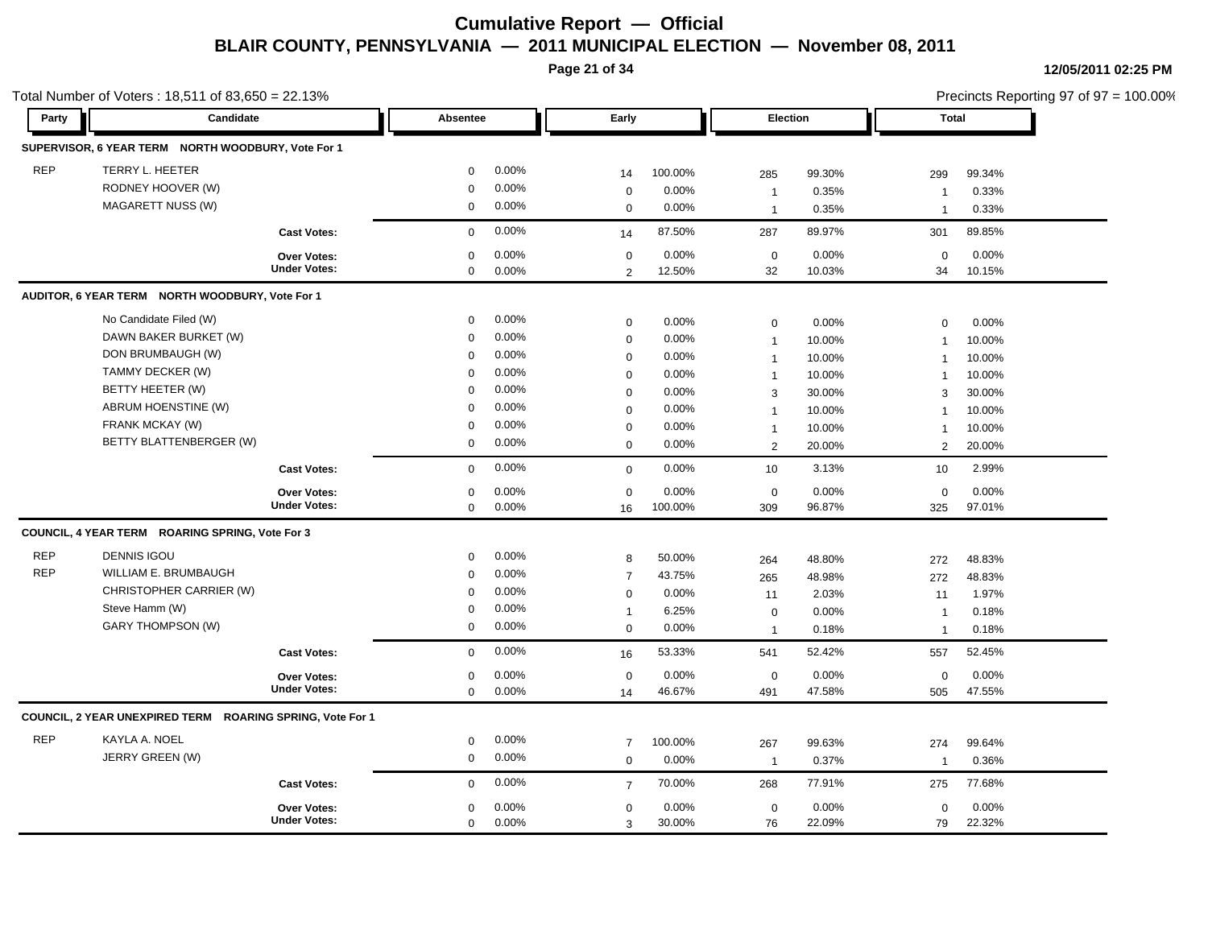**Page 21 of 34**

| Party      | Candidate                                                 |                                           | <b>Absentee</b>            |                | Early            |                 | <b>Election</b>                  |                 | Total                    |                 |
|------------|-----------------------------------------------------------|-------------------------------------------|----------------------------|----------------|------------------|-----------------|----------------------------------|-----------------|--------------------------|-----------------|
|            |                                                           |                                           |                            |                |                  |                 |                                  |                 |                          |                 |
|            | SUPERVISOR, 6 YEAR TERM NORTH WOODBURY, Vote For 1        |                                           |                            |                |                  |                 |                                  |                 |                          |                 |
| <b>REP</b> | TERRY L. HEETER                                           |                                           | $\mathbf 0$                | 0.00%          | 14               | 100.00%         | 285                              | 99.30%          | 299                      | 99.34%          |
|            | RODNEY HOOVER (W)                                         |                                           | $\mathbf 0$                | 0.00%          | $\mathbf 0$      | 0.00%           | $\overline{1}$                   | 0.35%           | $\overline{1}$           | 0.33%           |
|            | MAGARETT NUSS (W)                                         |                                           | $\mathbf 0$                | 0.00%          | $\mathbf 0$      | 0.00%           | $\overline{1}$                   | 0.35%           | -1                       | 0.33%           |
|            |                                                           | <b>Cast Votes:</b>                        | $\Omega$                   | 0.00%          | 14               | 87.50%          | 287                              | 89.97%          | 301                      | 89.85%          |
|            |                                                           | <b>Over Votes:</b><br><b>Under Votes:</b> | $\mathbf 0$<br>$\mathbf 0$ | 0.00%<br>0.00% | $\mathbf 0$<br>2 | 0.00%<br>12.50% | $\mathbf 0$<br>32                | 0.00%<br>10.03% | $\mathbf 0$<br>34        | 0.00%<br>10.15% |
|            | AUDITOR, 6 YEAR TERM NORTH WOODBURY, Vote For 1           |                                           |                            |                |                  |                 |                                  |                 |                          |                 |
|            | No Candidate Filed (W)                                    |                                           | $\mathbf 0$                | 0.00%          | $\mathbf 0$      | 0.00%           |                                  | 0.00%           | $\Omega$                 | 0.00%           |
|            | DAWN BAKER BURKET (W)                                     |                                           | $\mathbf 0$                | 0.00%          | $\mathbf 0$      | 0.00%           | $\mathbf 0$                      | 10.00%          |                          | 10.00%          |
|            | DON BRUMBAUGH (W)                                         |                                           | $\Omega$                   | 0.00%          | $\mathbf 0$      | 0.00%           | $\overline{1}$<br>$\overline{1}$ | 10.00%          | -1<br>$\overline{1}$     | 10.00%          |
|            | TAMMY DECKER (W)                                          |                                           | $\mathbf 0$                | 0.00%          | $\mathbf 0$      | 0.00%           | $\mathbf{1}$                     | 10.00%          | $\overline{1}$           | 10.00%          |
|            | BETTY HEETER (W)                                          |                                           | $\Omega$                   | 0.00%          | $\mathbf 0$      | 0.00%           | 3                                | 30.00%          | 3                        | 30.00%          |
|            | ABRUM HOENSTINE (W)                                       |                                           | $\Omega$                   | 0.00%          | $\mathbf 0$      | 0.00%           |                                  | 10.00%          |                          | 10.00%          |
|            | FRANK MCKAY (W)                                           |                                           | $\Omega$                   | 0.00%          | $\mathbf 0$      | 0.00%           | $\mathbf{1}$                     | 10.00%          | -1                       | 10.00%          |
|            | BETTY BLATTENBERGER (W)                                   |                                           | $\boldsymbol{0}$           | 0.00%          | $\mathbf 0$      | 0.00%           | $\overline{1}$                   |                 | $\overline{\mathbf{1}}$  |                 |
|            |                                                           |                                           |                            |                |                  |                 | $\overline{2}$                   | 20.00%          | 2                        | 20.00%          |
|            |                                                           | <b>Cast Votes:</b>                        | $\mathbf 0$                | 0.00%          | $\mathbf 0$      | 0.00%           | 10                               | 3.13%           | 10                       | 2.99%           |
|            |                                                           | Over Votes:                               | $\mathbf 0$                | 0.00%          | $\mathbf 0$      | 0.00%           | $\mathbf 0$                      | 0.00%           | $\mathbf 0$              | 0.00%           |
|            |                                                           | <b>Under Votes:</b>                       | $\mathbf 0$                | 0.00%          | 16               | 100.00%         | 309                              | 96.87%          | 325                      | 97.01%          |
|            | COUNCIL, 4 YEAR TERM ROARING SPRING, Vote For 3           |                                           |                            |                |                  |                 |                                  |                 |                          |                 |
| <b>REP</b> | <b>DENNIS IGOU</b>                                        |                                           | $\mathbf 0$                | 0.00%          | 8                | 50.00%          | 264                              | 48.80%          | 272                      | 48.83%          |
| <b>REP</b> | WILLIAM E. BRUMBAUGH                                      |                                           | $\mathbf 0$                | 0.00%          | $\overline{7}$   | 43.75%          | 265                              | 48.98%          | 272                      | 48.83%          |
|            | CHRISTOPHER CARRIER (W)                                   |                                           | $\mathbf 0$                | 0.00%          | $\mathbf 0$      | 0.00%           | 11                               | 2.03%           | 11                       | 1.97%           |
|            | Steve Hamm (W)                                            |                                           | $\mathbf 0$                | 0.00%          | $\overline{1}$   | 6.25%           | $\mathbf 0$                      | 0.00%           | $\overline{1}$           | 0.18%           |
|            | <b>GARY THOMPSON (W)</b>                                  |                                           | $\mathbf 0$                | 0.00%          | $\mathbf 0$      | 0.00%           | $\overline{1}$                   | 0.18%           | $\overline{1}$           | 0.18%           |
|            |                                                           | <b>Cast Votes:</b>                        | $\mathbf 0$                | 0.00%          | 16               | 53.33%          | 541                              | 52.42%          | 557                      | 52.45%          |
|            |                                                           | Over Votes:                               | $\mathbf 0$                | 0.00%          | $\mathbf 0$      | 0.00%           | $\mathbf 0$                      | 0.00%           | $\mathbf 0$              | 0.00%           |
|            |                                                           | <b>Under Votes:</b>                       | $\mathbf 0$                | 0.00%          | 14               | 46.67%          | 491                              | 47.58%          | 505                      | 47.55%          |
|            | COUNCIL, 2 YEAR UNEXPIRED TERM ROARING SPRING, Vote For 1 |                                           |                            |                |                  |                 |                                  |                 |                          |                 |
| <b>REP</b> | KAYLA A. NOEL                                             |                                           | $\mathbf 0$                | 0.00%          | $\overline{7}$   | 100.00%         | 267                              | 99.63%          | 274                      | 99.64%          |
|            | JERRY GREEN (W)                                           |                                           | $\mathbf 0$                | 0.00%          | $\mathbf 0$      | 0.00%           | $\overline{1}$                   | 0.37%           | $\overline{\phantom{a}}$ | 0.36%           |
|            |                                                           | <b>Cast Votes:</b>                        | $\mathbf 0$                | 0.00%          | $\overline{7}$   | 70.00%          | 268                              | 77.91%          | 275                      | 77.68%          |
|            |                                                           | Over Votes:                               | $\mathbf 0$                | 0.00%          | $\mathbf 0$      | 0.00%           | $\mathbf 0$                      | 0.00%           | $\mathbf 0$              | 0.00%           |
|            |                                                           | <b>Under Votes:</b>                       | $\mathbf 0$                | 0.00%          | 3                | 30.00%          | 76                               | 22.09%          | 79                       | 22.32%          |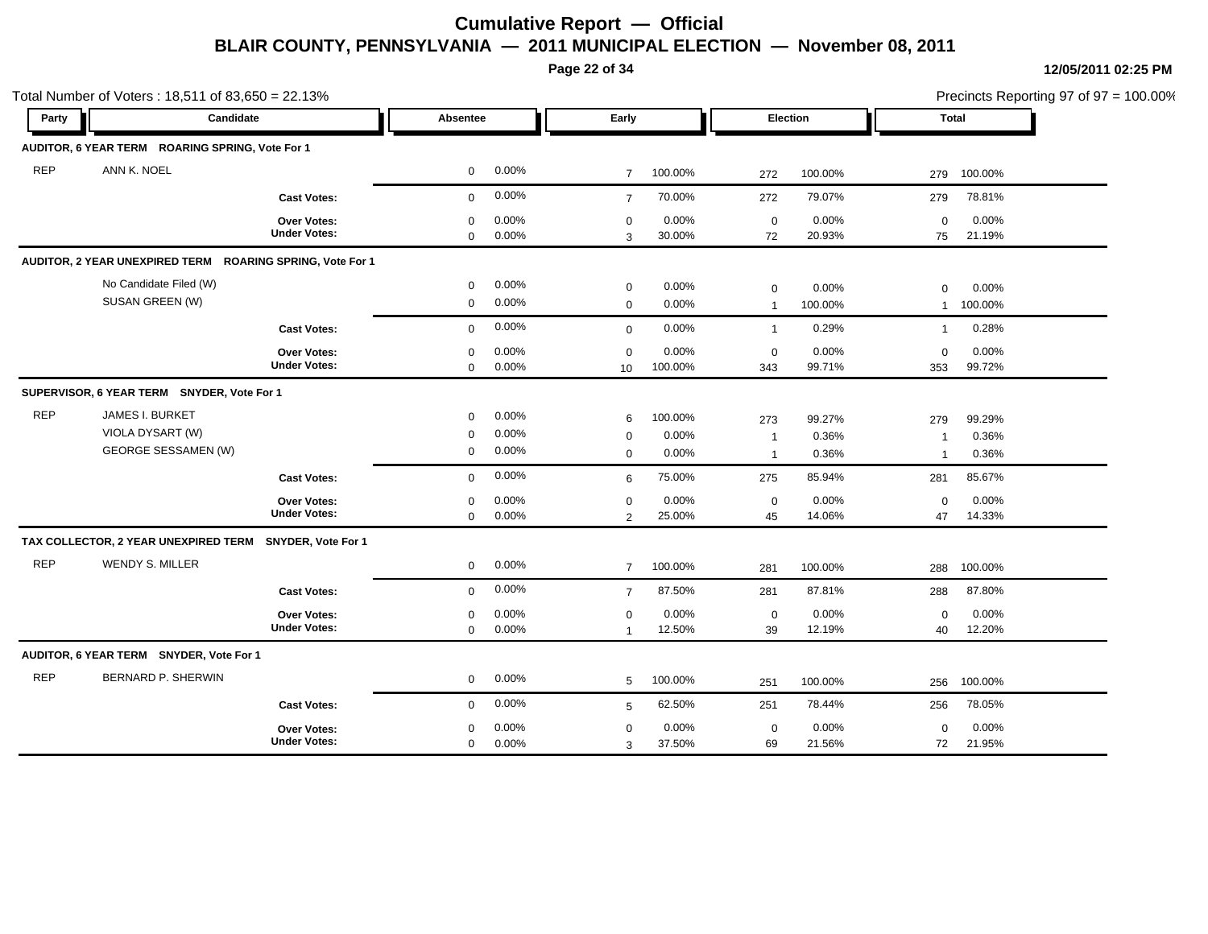**Page 22 of 34**

Precincts Reporting 97 of 97 = 100.00%

|            | Total Number of Voters: 18,511 of 83,650 = 22.13%                        |                                           |                                 |                         |                               |                  |                             |                  |                             |                  | Precincts Reporting 97 of 97 = 100.00% |
|------------|--------------------------------------------------------------------------|-------------------------------------------|---------------------------------|-------------------------|-------------------------------|------------------|-----------------------------|------------------|-----------------------------|------------------|----------------------------------------|
| Party      | Candidate                                                                |                                           | Absentee                        |                         | Early                         |                  |                             | Election         | Total                       |                  |                                        |
|            | AUDITOR, 6 YEAR TERM ROARING SPRING, Vote For 1                          |                                           |                                 |                         |                               |                  |                             |                  |                             |                  |                                        |
| <b>REP</b> | ANN K. NOEL                                                              |                                           | $\mathbf 0$                     | 0.00%                   | $\overline{7}$                | 100.00%          | 272                         | 100.00%          | 279                         | 100.00%          |                                        |
|            |                                                                          | <b>Cast Votes:</b>                        | $\mathbf 0$                     | 0.00%                   | $\overline{7}$                | 70.00%           | 272                         | 79.07%           | 279                         | 78.81%           |                                        |
|            |                                                                          | Over Votes:<br><b>Under Votes:</b>        | 0<br>$\mathbf 0$                | 0.00%<br>0.00%          | $\mathbf 0$<br>3              | 0.00%<br>30.00%  | $\mathbf 0$<br>72           | 0.00%<br>20.93%  | $\mathbf 0$<br>75           | 0.00%<br>21.19%  |                                        |
|            | AUDITOR, 2 YEAR UNEXPIRED TERM ROARING SPRING, Vote For 1                |                                           |                                 |                         |                               |                  |                             |                  |                             |                  |                                        |
|            | No Candidate Filed (W)<br>SUSAN GREEN (W)                                |                                           | $\mathbf 0$<br>$\mathbf 0$      | 0.00%<br>0.00%          | $\mathbf 0$<br>$\mathbf 0$    | 0.00%<br>0.00%   | $\mathbf 0$<br>$\mathbf{1}$ | 0.00%<br>100.00% | $\mathbf 0$<br>$\mathbf{1}$ | 0.00%<br>100.00% |                                        |
|            |                                                                          | <b>Cast Votes:</b>                        | $\mathbf 0$                     | 0.00%                   | $\mathbf 0$                   | 0.00%            | $\mathbf{1}$                | 0.29%            | $\overline{1}$              | 0.28%            |                                        |
|            |                                                                          | <b>Over Votes:</b><br><b>Under Votes:</b> | $\mathbf 0$<br>$\mathbf 0$      | 0.00%<br>0.00%          | $\mathbf 0$<br>10             | 0.00%<br>100.00% | $\mathbf 0$<br>343          | 0.00%<br>99.71%  | $\mathbf 0$<br>353          | 0.00%<br>99.72%  |                                        |
|            | SUPERVISOR, 6 YEAR TERM SNYDER, Vote For 1                               |                                           |                                 |                         |                               |                  |                             |                  |                             |                  |                                        |
| <b>REP</b> | <b>JAMES I. BURKET</b><br>VIOLA DYSART (W)<br><b>GEORGE SESSAMEN (W)</b> |                                           | $\mathbf 0$<br>0<br>$\mathbf 0$ | 0.00%<br>0.00%<br>0.00% | 6<br>$\mathbf 0$              | 100.00%<br>0.00% | 273<br>$\overline{1}$       | 99.27%<br>0.36%  | 279<br>-1                   | 99.29%<br>0.36%  |                                        |
|            |                                                                          | <b>Cast Votes:</b>                        | 0                               | 0.00%                   | $\mathbf 0$<br>6              | 0.00%<br>75.00%  | $\mathbf{1}$<br>275         | 0.36%<br>85.94%  | $\overline{1}$<br>281       | 0.36%<br>85.67%  |                                        |
|            |                                                                          | <b>Over Votes:</b><br><b>Under Votes:</b> | $\mathbf 0$<br>$\mathbf 0$      | 0.00%<br>0.00%          | $\mathbf 0$<br>2              | 0.00%<br>25.00%  | $\mathsf 0$<br>45           | 0.00%<br>14.06%  | $\mathbf 0$<br>47           | 0.00%<br>14.33%  |                                        |
|            | TAX COLLECTOR, 2 YEAR UNEXPIRED TERM                                     | SNYDER, Vote For 1                        |                                 |                         |                               |                  |                             |                  |                             |                  |                                        |
| <b>REP</b> | <b>WENDY S. MILLER</b>                                                   |                                           | $\mathbf 0$                     | 0.00%                   | $\overline{7}$                | 100.00%          | 281                         | 100.00%          | 288                         | 100.00%          |                                        |
|            |                                                                          | <b>Cast Votes:</b>                        | $\mathbf 0$                     | 0.00%                   | $\overline{7}$                | 87.50%           | 281                         | 87.81%           | 288                         | 87.80%           |                                        |
|            |                                                                          | Over Votes:<br><b>Under Votes:</b>        | 0<br>$\mathbf 0$                | 0.00%<br>0.00%          | $\mathbf 0$<br>$\overline{1}$ | 0.00%<br>12.50%  | $\mathsf 0$<br>39           | 0.00%<br>12.19%  | $\mathbf 0$<br>40           | 0.00%<br>12.20%  |                                        |
|            | AUDITOR, 6 YEAR TERM SNYDER, Vote For 1                                  |                                           |                                 |                         |                               |                  |                             |                  |                             |                  |                                        |
| <b>REP</b> | <b>BERNARD P. SHERWIN</b>                                                |                                           | $\mathbf 0$                     | 0.00%                   | 5                             | 100.00%          | 251                         | 100.00%          | 256                         | 100.00%          |                                        |
|            |                                                                          | <b>Cast Votes:</b>                        | $\mathbf 0$                     | 0.00%                   | 5                             | 62.50%           | 251                         | 78.44%           | 256                         | 78.05%           |                                        |
|            |                                                                          | Over Votes:<br><b>Under Votes:</b>        | 0<br>$\mathbf 0$                | 0.00%<br>0.00%          | $\mathbf 0$<br>3              | 0.00%<br>37.50%  | $\mathbf 0$<br>69           | 0.00%<br>21.56%  | $\mathbf 0$<br>72           | 0.00%<br>21.95%  |                                        |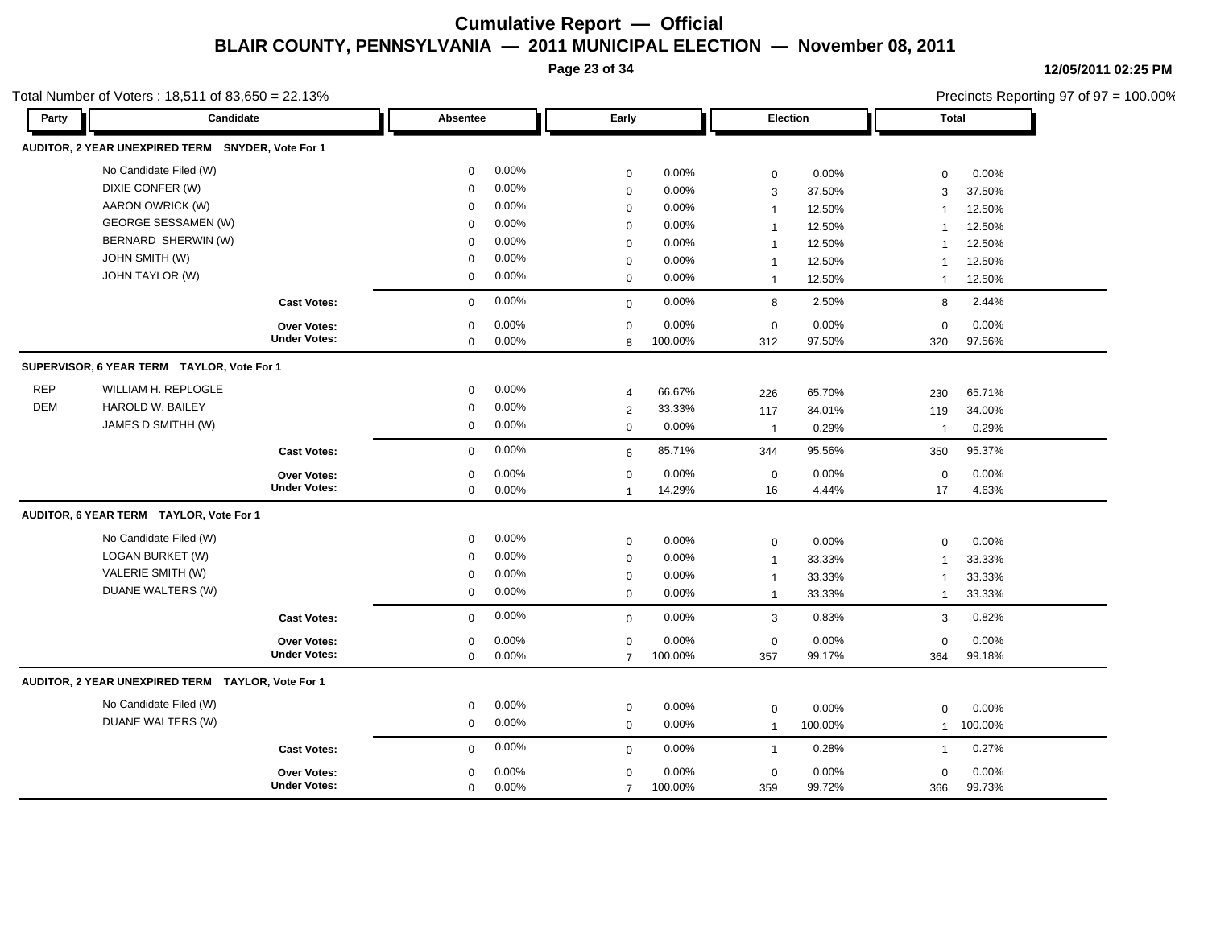**Page 23 of 34**

| Total Number of Voters: 18,511 of 83,650 = 22.13% |  |
|---------------------------------------------------|--|
|---------------------------------------------------|--|

| Party      | Candidate                                         |                           | <b>Absentee</b> |       | Early          |         |                | <b>Election</b> | <b>Total</b>   |         |  |
|------------|---------------------------------------------------|---------------------------|-----------------|-------|----------------|---------|----------------|-----------------|----------------|---------|--|
|            | <b>AUDITOR, 2 YEAR UNEXPIRED TERM</b>             | <b>SNYDER, Vote For 1</b> |                 |       |                |         |                |                 |                |         |  |
|            | No Candidate Filed (W)                            |                           | $\mathbf 0$     | 0.00% | $\mathbf 0$    | 0.00%   | $\mathbf 0$    | 0.00%           | $\mathbf 0$    | 0.00%   |  |
|            | DIXIE CONFER (W)                                  |                           | $\mathbf 0$     | 0.00% | $\mathbf 0$    | 0.00%   | 3              | 37.50%          | 3              | 37.50%  |  |
|            | AARON OWRICK (W)                                  |                           | $\mathbf 0$     | 0.00% | $\mathbf 0$    | 0.00%   | $\overline{1}$ | 12.50%          | $\mathbf 1$    | 12.50%  |  |
|            | <b>GEORGE SESSAMEN (W)</b>                        |                           | 0               | 0.00% | $\mathbf 0$    | 0.00%   | -1             | 12.50%          | -1             | 12.50%  |  |
|            | BERNARD SHERWIN (W)                               |                           | $\mathbf 0$     | 0.00% | $\mathbf 0$    | 0.00%   |                | 12.50%          |                | 12.50%  |  |
|            | <b>JOHN SMITH (W)</b>                             |                           | 0               | 0.00% | $\mathbf 0$    | 0.00%   | $\mathbf{1}$   | 12.50%          | $\overline{1}$ | 12.50%  |  |
|            | <b>JOHN TAYLOR (W)</b>                            |                           | $\mathbf 0$     | 0.00% | $\mathbf 0$    | 0.00%   | $\overline{1}$ | 12.50%          | $\mathbf{1}$   | 12.50%  |  |
|            |                                                   | <b>Cast Votes:</b>        | $\mathbf 0$     | 0.00% | $\mathbf 0$    | 0.00%   | 8              | 2.50%           | 8              | 2.44%   |  |
|            |                                                   | <b>Over Votes:</b>        | $\mathbf 0$     | 0.00% | $\mathbf 0$    | 0.00%   | $\mathbf 0$    | 0.00%           | $\mathbf 0$    | 0.00%   |  |
|            |                                                   | <b>Under Votes:</b>       | $\mathbf 0$     | 0.00% | 8              | 100.00% | 312            | 97.50%          | 320            | 97.56%  |  |
|            | SUPERVISOR, 6 YEAR TERM TAYLOR, Vote For 1        |                           |                 |       |                |         |                |                 |                |         |  |
| <b>REP</b> | WILLIAM H. REPLOGLE                               |                           | $\mathbf 0$     | 0.00% | $\overline{4}$ | 66.67%  | 226            | 65.70%          | 230            | 65.71%  |  |
| <b>DEM</b> | HAROLD W. BAILEY                                  |                           | $\mathbf 0$     | 0.00% | 2              | 33.33%  | 117            | 34.01%          | 119            | 34.00%  |  |
|            | JAMES D SMITHH (W)                                |                           | 0               | 0.00% | $\mathbf 0$    | 0.00%   | $\overline{1}$ | 0.29%           | $\mathbf 1$    | 0.29%   |  |
|            |                                                   | <b>Cast Votes:</b>        | $\mathbf 0$     | 0.00% | 6              | 85.71%  | 344            | 95.56%          | 350            | 95.37%  |  |
|            |                                                   | Over Votes:               | $\mathbf 0$     | 0.00% | $\pmb{0}$      | 0.00%   | $\mathbf 0$    | 0.00%           | $\mathbf 0$    | 0.00%   |  |
|            |                                                   | <b>Under Votes:</b>       | $\mathbf 0$     | 0.00% | $\overline{1}$ | 14.29%  | 16             | 4.44%           | 17             | 4.63%   |  |
|            | AUDITOR, 6 YEAR TERM TAYLOR, Vote For 1           |                           |                 |       |                |         |                |                 |                |         |  |
|            | No Candidate Filed (W)                            |                           | $\mathbf 0$     | 0.00% | $\mathbf 0$    | 0.00%   | $\mathbf 0$    | 0.00%           | $\mathbf 0$    | 0.00%   |  |
|            | <b>LOGAN BURKET (W)</b>                           |                           | $\mathbf 0$     | 0.00% | $\mathbf 0$    | 0.00%   | $\overline{1}$ | 33.33%          | $\mathbf{1}$   | 33.33%  |  |
|            | VALERIE SMITH (W)                                 |                           | 0               | 0.00% | $\mathbf 0$    | 0.00%   | $\overline{1}$ | 33.33%          | $\mathbf 1$    | 33.33%  |  |
|            | DUANE WALTERS (W)                                 |                           | $\mathbf 0$     | 0.00% | $\mathbf 0$    | 0.00%   | $\mathbf{1}$   | 33.33%          | 1              | 33.33%  |  |
|            |                                                   | <b>Cast Votes:</b>        | $\mathbf 0$     | 0.00% | $\mathbf 0$    | 0.00%   | 3              | 0.83%           | 3              | 0.82%   |  |
|            |                                                   | <b>Over Votes:</b>        | $\mathbf 0$     | 0.00% | $\mathbf 0$    | 0.00%   | $\mathbf 0$    | 0.00%           | $\mathbf 0$    | 0.00%   |  |
|            |                                                   | <b>Under Votes:</b>       | $\mathbf 0$     | 0.00% | $\overline{7}$ | 100.00% | 357            | 99.17%          | 364            | 99.18%  |  |
|            | AUDITOR, 2 YEAR UNEXPIRED TERM TAYLOR, Vote For 1 |                           |                 |       |                |         |                |                 |                |         |  |
|            | No Candidate Filed (W)                            |                           | $\mathbf 0$     | 0.00% | $\mathbf 0$    | 0.00%   | $\mathbf 0$    | 0.00%           | $\mathbf 0$    | 0.00%   |  |
|            | DUANE WALTERS (W)                                 |                           | $\mathbf 0$     | 0.00% | $\mathbf 0$    | 0.00%   | $\mathbf{1}$   | 100.00%         | $\mathbf{1}$   | 100.00% |  |
|            |                                                   | <b>Cast Votes:</b>        | $\mathbf 0$     | 0.00% | $\mathbf 0$    | 0.00%   | $\overline{1}$ | 0.28%           | $\mathbf{1}$   | 0.27%   |  |
|            |                                                   | Over Votes:               | $\mathbf 0$     | 0.00% | $\mathbf 0$    | 0.00%   | $\mathbf 0$    | 0.00%           | $\mathbf 0$    | 0.00%   |  |
|            |                                                   | <b>Under Votes:</b>       | $\mathbf 0$     | 0.00% | $\overline{7}$ | 100.00% | 359            | 99.72%          | 366            | 99.73%  |  |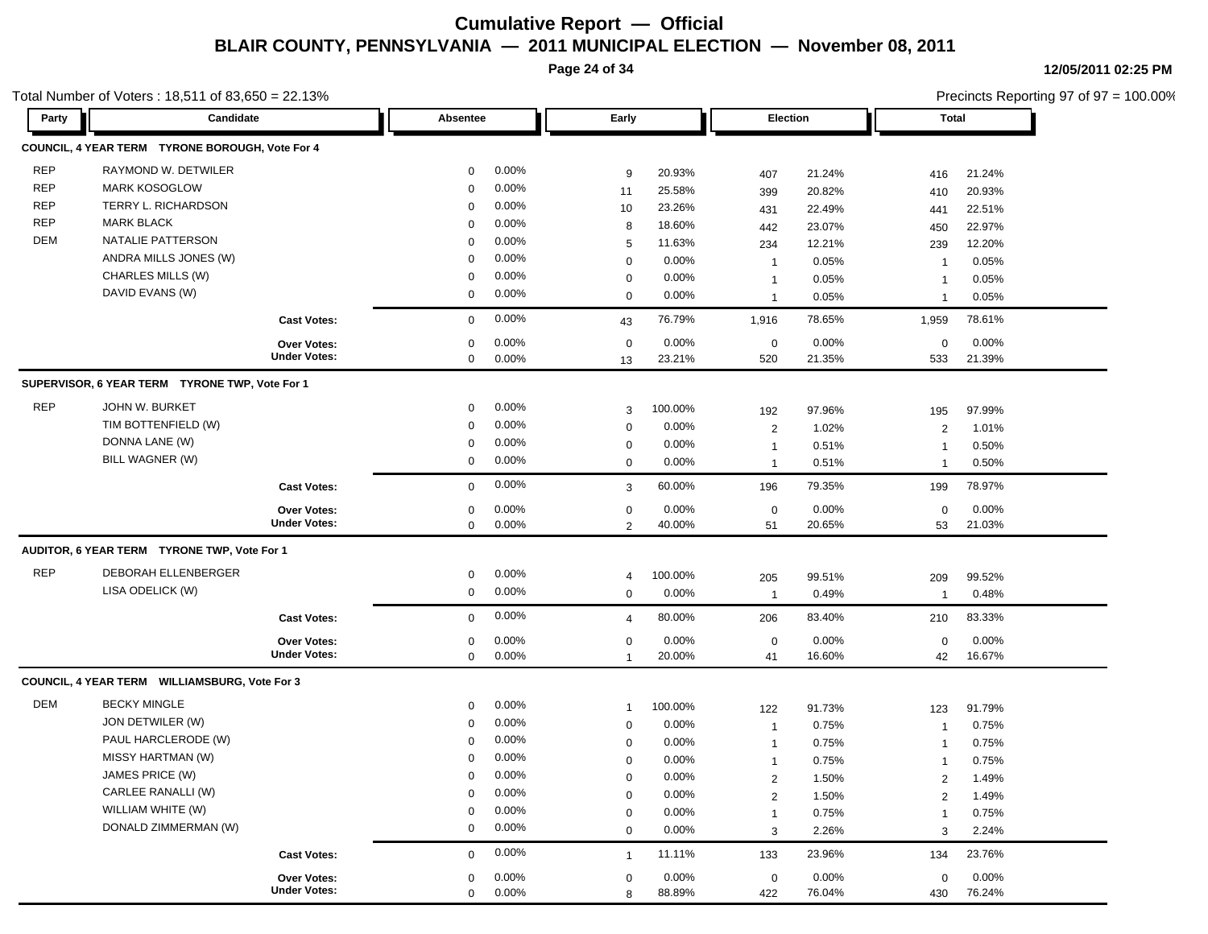**Page 24 of 34**

τr

7 F

ᇺ

п п

**12/05/2011 02:25 PM**

Precincts Reporting 97 of 97 = 100.00%

п.

#### Total Number of Voters : 18,511 of 83,650 = 22.13%

ъh

| Party      | Candidate                                       |                     | Absentee    |       | Early          |          | <b>Election</b> |        | <b>Total</b>   |        |
|------------|-------------------------------------------------|---------------------|-------------|-------|----------------|----------|-----------------|--------|----------------|--------|
|            | COUNCIL, 4 YEAR TERM TYRONE BOROUGH, Vote For 4 |                     |             |       |                |          |                 |        |                |        |
| <b>REP</b> | RAYMOND W. DETWILER                             |                     | $\Omega$    | 0.00% | 9              | 20.93%   | 407             | 21.24% | 416            | 21.24% |
| <b>REP</b> | <b>MARK KOSOGLOW</b>                            |                     | $\Omega$    | 0.00% | 11             | 25.58%   | 399             | 20.82% | 410            | 20.93% |
| <b>REP</b> | TERRY L. RICHARDSON                             |                     | $\mathbf 0$ | 0.00% | 10             | 23.26%   | 431             | 22.49% | 441            | 22.51% |
| <b>REP</b> | <b>MARK BLACK</b>                               |                     | $\mathbf 0$ | 0.00% | 8              | 18.60%   | 442             | 23.07% | 450            | 22.97% |
| <b>DEM</b> | NATALIE PATTERSON                               |                     | $\mathbf 0$ | 0.00% | 5              | 11.63%   | 234             | 12.21% | 239            | 12.20% |
|            | ANDRA MILLS JONES (W)                           |                     | $\mathbf 0$ | 0.00% | $\mathsf 0$    | 0.00%    | $\mathbf{1}$    | 0.05%  | $\overline{1}$ | 0.05%  |
|            | CHARLES MILLS (W)                               |                     | $\mathbf 0$ | 0.00% | $\mathsf 0$    | 0.00%    | $\mathbf{1}$    | 0.05%  | $\overline{1}$ | 0.05%  |
|            | DAVID EVANS (W)                                 |                     | $\mathbf 0$ | 0.00% | $\mathbf 0$    | 0.00%    | $\mathbf{1}$    | 0.05%  | $\overline{1}$ | 0.05%  |
|            |                                                 | <b>Cast Votes:</b>  | $\mathbf 0$ | 0.00% | 43             | 76.79%   | 1,916           | 78.65% | 1,959          | 78.61% |
|            |                                                 | Over Votes:         | $\Omega$    | 0.00% | 0              | 0.00%    | $\mathbf 0$     | 0.00%  | 0              | 0.00%  |
|            |                                                 | <b>Under Votes:</b> | $\mathbf 0$ | 0.00% | 13             | 23.21%   | 520             | 21.35% | 533            | 21.39% |
|            | SUPERVISOR, 6 YEAR TERM TYRONE TWP, Vote For 1  |                     |             |       |                |          |                 |        |                |        |
| <b>REP</b> | JOHN W. BURKET                                  |                     | $\mathbf 0$ | 0.00% | 3              | 100.00%  | 192             | 97.96% | 195            | 97.99% |
|            | TIM BOTTENFIELD (W)                             |                     | $\mathbf 0$ | 0.00% | $\mathsf 0$    | 0.00%    | $\overline{2}$  | 1.02%  | $\overline{2}$ | 1.01%  |
|            | DONNA LANE (W)                                  |                     | 0           | 0.00% | $\mathsf 0$    | 0.00%    | $\mathbf{1}$    | 0.51%  | $\overline{1}$ | 0.50%  |
|            | BILL WAGNER (W)                                 |                     | $\mathbf 0$ | 0.00% | 0              | $0.00\%$ | $\mathbf{1}$    | 0.51%  | $\mathbf{1}$   | 0.50%  |
|            |                                                 | <b>Cast Votes:</b>  | $\mathbf 0$ | 0.00% | 3              | 60.00%   | 196             | 79.35% | 199            | 78.97% |
|            |                                                 | Over Votes:         | $\mathbf 0$ | 0.00% | $\pmb{0}$      | 0.00%    | $\mathbf 0$     | 0.00%  | $\mathbf 0$    | 0.00%  |
|            |                                                 | <b>Under Votes:</b> | $\mathbf 0$ | 0.00% | $\overline{2}$ | 40.00%   | 51              | 20.65% | 53             | 21.03% |
|            | AUDITOR, 6 YEAR TERM TYRONE TWP, Vote For 1     |                     |             |       |                |          |                 |        |                |        |
| <b>REP</b> | DEBORAH ELLENBERGER                             |                     | 0           | 0.00% | 4              | 100.00%  | 205             | 99.51% | 209            | 99.52% |
|            | LISA ODELICK (W)                                |                     | $\mathbf 0$ | 0.00% | $\mathsf 0$    | 0.00%    | $\overline{1}$  | 0.49%  | $\overline{1}$ | 0.48%  |
|            |                                                 | <b>Cast Votes:</b>  | $\mathbf 0$ | 0.00% | $\overline{4}$ | 80.00%   | 206             | 83.40% | 210            | 83.33% |
|            |                                                 | Over Votes:         | 0           | 0.00% | $\pmb{0}$      | 0.00%    | $\mathbf 0$     | 0.00%  | 0              | 0.00%  |
|            |                                                 | <b>Under Votes:</b> | $\mathbf 0$ | 0.00% | $\mathbf{1}$   | 20.00%   | 41              | 16.60% | 42             | 16.67% |
|            | COUNCIL, 4 YEAR TERM WILLIAMSBURG, Vote For 3   |                     |             |       |                |          |                 |        |                |        |
| <b>DEM</b> | <b>BECKY MINGLE</b>                             |                     | $\mathbf 0$ | 0.00% | $\mathbf{1}$   | 100.00%  | 122             | 91.73% | 123            | 91.79% |
|            | JON DETWILER (W)                                |                     | 0           | 0.00% | $\mathsf 0$    | 0.00%    | $\overline{1}$  | 0.75%  | $\overline{1}$ | 0.75%  |
|            | PAUL HARCLERODE (W)                             |                     | $\pmb{0}$   | 0.00% | $\mathsf 0$    | 0.00%    | $\mathbf{1}$    | 0.75%  | $\overline{1}$ | 0.75%  |
|            | MISSY HARTMAN (W)                               |                     | $\mathbf 0$ | 0.00% | 0              | 0.00%    | $\mathbf{1}$    | 0.75%  | $\overline{1}$ | 0.75%  |
|            | JAMES PRICE (W)                                 |                     | $\Omega$    | 0.00% | $\mathsf 0$    | 0.00%    | $\overline{2}$  | 1.50%  | 2              | 1.49%  |
|            | CARLEE RANALLI (W)                              |                     | $\mathbf 0$ | 0.00% | $\pmb{0}$      | 0.00%    | $\mathbf{2}$    | 1.50%  | 2              | 1.49%  |
|            | WILLIAM WHITE (W)                               |                     | $\mathbf 0$ | 0.00% | $\pmb{0}$      | 0.00%    | $\mathbf{1}$    | 0.75%  | $\overline{1}$ | 0.75%  |
|            | DONALD ZIMMERMAN (W)                            |                     | $\mathbf 0$ | 0.00% | $\mathbf{0}$   | 0.00%    | 3               | 2.26%  | 3              | 2.24%  |
|            |                                                 | <b>Cast Votes:</b>  | $\mathbf 0$ | 0.00% | $\mathbf{1}$   | 11.11%   | 133             | 23.96% | 134            | 23.76% |
|            |                                                 | <b>Over Votes:</b>  | 0           | 0.00% | 0              | 0.00%    | $\mathbf 0$     | 0.00%  | 0              | 0.00%  |
|            |                                                 | <b>Under Votes:</b> | $\Omega$    | 0.00% | 8              | 88.89%   | 422             | 76.04% | 430            | 76.24% |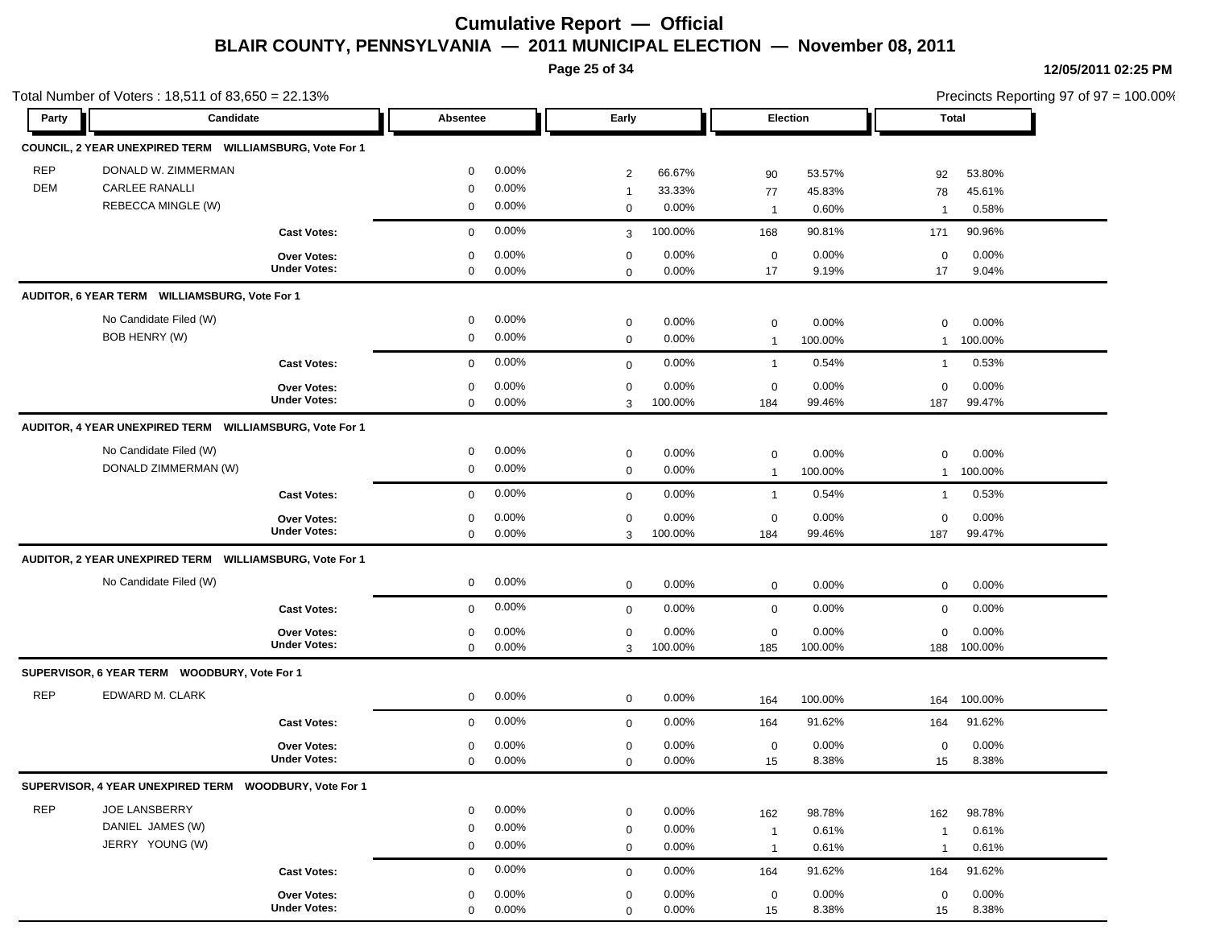**Page 25 of 34**

| Candidate<br>Party<br>Absentee                                                                                                      | Early                                                      |                                                         |                                                      |
|-------------------------------------------------------------------------------------------------------------------------------------|------------------------------------------------------------|---------------------------------------------------------|------------------------------------------------------|
|                                                                                                                                     |                                                            | Election                                                | Total                                                |
| COUNCIL, 2 YEAR UNEXPIRED TERM WILLIAMSBURG, Vote For 1                                                                             |                                                            |                                                         |                                                      |
| <b>REP</b><br>DONALD W. ZIMMERMAN<br>$0.00\%$<br>0                                                                                  | 66.67%<br>2                                                | 53.57%<br>90                                            | 53.80%<br>92                                         |
| DEM<br><b>CARLEE RANALLI</b><br>0.00%<br>0<br>REBECCA MINGLE (W)<br>0.00%<br>0                                                      | 33.33%<br>$\overline{1}$<br>0<br>0.00%                     | 45.83%<br>77<br>0.60%<br>$\overline{1}$                 | 78<br>45.61%<br>0.58%<br>$\mathbf{1}$                |
| 0.00%<br><b>Cast Votes:</b><br>$\mathbf 0$                                                                                          | 100.00%<br>3                                               | 90.81%<br>168                                           | 90.96%<br>171                                        |
| 0.00%<br><b>Over Votes:</b><br>0<br><b>Under Votes:</b><br>0.00%<br>$\mathbf 0$                                                     | 0.00%<br>0<br>0.00%<br>$\mathbf 0$                         | 0.00%<br>$\mathbf 0$<br>17<br>9.19%                     | 0.00%<br>$\mathbf 0$<br>17<br>9.04%                  |
| AUDITOR, 6 YEAR TERM WILLIAMSBURG, Vote For 1                                                                                       |                                                            |                                                         |                                                      |
| No Candidate Filed (W)<br>$0.00\%$<br>0<br>BOB HENRY (W)<br>$0.00\%$<br>0                                                           | 0.00%<br>0<br>0.00%<br>$\mathbf 0$                         | 0.00%<br>0<br>100.00%<br>$\overline{1}$                 | 0.00%<br>$\mathbf 0$<br>100.00%<br>$\mathbf{1}$      |
| 0.00%<br><b>Cast Votes:</b><br>$\mathbf{0}$                                                                                         | 0.00%<br>$\mathbf 0$                                       | 0.54%<br>$\overline{1}$                                 | 0.53%<br>$\mathbf{1}$                                |
| 0.00%<br><b>Over Votes:</b><br>0<br><b>Under Votes:</b><br>$0.00\%$<br>0                                                            | 0.00%<br>0<br>100.00%<br>3                                 | 0.00%<br>$\mathbf 0$<br>99.46%<br>184                   | 0.00%<br>$\mathbf 0$<br>99.47%<br>187                |
| AUDITOR, 4 YEAR UNEXPIRED TERM WILLIAMSBURG, Vote For 1                                                                             |                                                            |                                                         |                                                      |
| No Candidate Filed (W)<br>0.00%<br>$\mathbf 0$<br>DONALD ZIMMERMAN (W)<br>$0.00\%$<br>0                                             | 0.00%<br>$\mathbf 0$<br>$0.00\%$<br>$\mathbf 0$            | 0<br>0.00%<br>100.00%<br>$\overline{1}$                 | 0.00%<br>$\mathbf 0$<br>100.00%<br>$\mathbf{1}$      |
| 0.00%<br><b>Cast Votes:</b><br>$\mathbf 0$                                                                                          | 0.00%<br>$\mathbf 0$                                       | 0.54%<br>$\overline{1}$                                 | 0.53%<br>$\mathbf 1$                                 |
| 0.00%<br>Over Votes:<br>0<br><b>Under Votes:</b><br>$0.00\%$<br>$\mathbf 0$                                                         | 0.00%<br>0<br>100.00%<br>3                                 | 0.00%<br>$\mathbf 0$<br>99.46%<br>184                   | 0.00%<br>$\mathbf 0$<br>99.47%<br>187                |
| AUDITOR, 2 YEAR UNEXPIRED TERM WILLIAMSBURG, Vote For 1                                                                             |                                                            |                                                         |                                                      |
| No Candidate Filed (W)<br>$0.00\%$<br>$\mathbf 0$                                                                                   | 0.00%<br>$\mathbf 0$                                       | 0.00%<br>0                                              | 0.00%<br>$\mathbf 0$                                 |
| 0.00%<br><b>Cast Votes:</b><br>$\mathbf{0}$                                                                                         | 0.00%<br>$\mathbf 0$                                       | 0.00%<br>$\mathbf 0$                                    | 0.00%<br>$\mathbf 0$                                 |
| 0.00%<br><b>Over Votes:</b><br>0<br><b>Under Votes:</b><br>0.00%<br>$\mathbf 0$                                                     | 0.00%<br>0<br>3<br>100.00%                                 | 0.00%<br>0<br>100.00%<br>185                            | 0.00%<br>$\mathbf 0$<br>100.00%<br>188               |
| SUPERVISOR, 6 YEAR TERM WOODBURY, Vote For 1                                                                                        |                                                            |                                                         |                                                      |
| <b>REP</b><br>EDWARD M. CLARK<br>0.00%<br>0                                                                                         | 0.00%<br>$\mathbf 0$                                       | 100.00%<br>164                                          | 100.00%<br>164                                       |
| 0.00%<br><b>Cast Votes:</b><br>$\mathbf{0}$                                                                                         | 0.00%<br>$\mathbf 0$                                       | 91.62%<br>164                                           | 91.62%<br>164                                        |
| 0.00%<br><b>Over Votes:</b><br>0<br><b>Under Votes:</b><br>$0.00\%$<br>$\mathbf 0$                                                  | 0.00%<br>$\mathbf 0$<br>0.00%<br>$\mathbf 0$               | 0.00%<br>$\mathbf 0$<br>8.38%<br>15                     | 0.00%<br>$\mathbf 0$<br>8.38%<br>15                  |
| SUPERVISOR, 4 YEAR UNEXPIRED TERM WOODBURY, Vote For 1                                                                              |                                                            |                                                         |                                                      |
| <b>REP</b><br>JOE LANSBERRY<br>0.00%<br>$\mathbf 0$<br>DANIEL JAMES (W)<br>0.00%<br>0<br>JERRY YOUNG (W)<br>$0.00\%$<br>$\mathbf 0$ | 0.00%<br>$\mathbf 0$<br>0.00%<br>0                         | 98.78%<br>162<br>0.61%<br>$\overline{1}$                | 98.78%<br>162<br>0.61%<br>$\mathbf{1}$               |
| 0.00%                                                                                                                               | 0.00%<br>0                                                 | 0.61%<br>$\overline{1}$                                 | 0.61%<br>$\mathbf{1}$                                |
| <b>Cast Votes:</b><br>0<br>Over Votes:<br>$0.00\%$<br>0<br><b>Under Votes:</b><br>0.00%<br>$\mathbf 0$                              | 0.00%<br>0<br>$0.00\%$<br>$\mathbf 0$<br>0.00%<br>$\Omega$ | 91.62%<br>164<br>$0.00\%$<br>$\mathbf 0$<br>8.38%<br>15 | 91.62%<br>164<br>0.00%<br>$\mathbf 0$<br>8.38%<br>15 |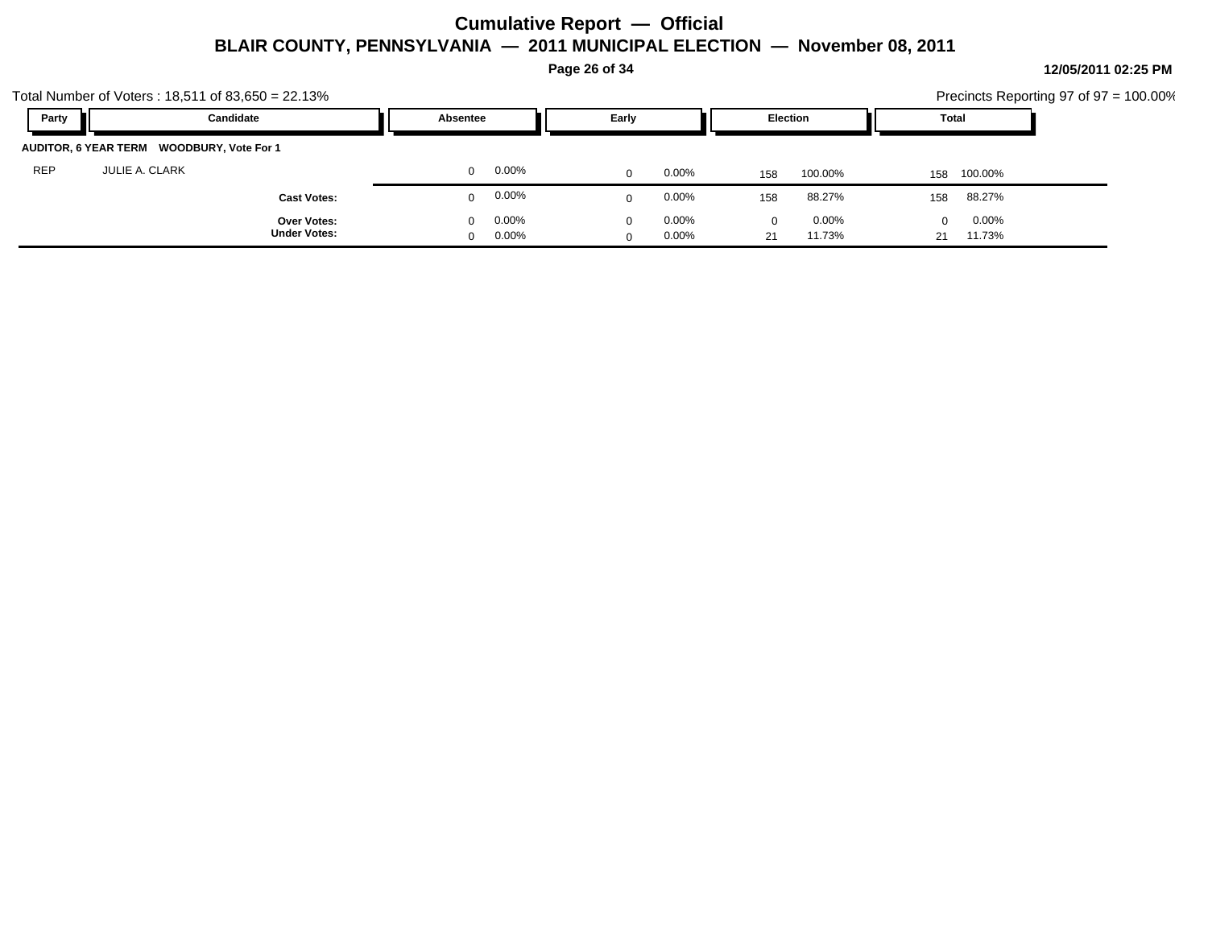**Page 26 of 34**

|            | Total Number of Voters: $18,511$ of $83,650 = 22.13\%$ |                                              |                                              |                               | Precincts Reporting 97 of 97 = 100.00% |
|------------|--------------------------------------------------------|----------------------------------------------|----------------------------------------------|-------------------------------|----------------------------------------|
| Party      | Candidate                                              | Absentee                                     | Early                                        | <b>Election</b>               | Total                                  |
|            | AUDITOR, 6 YEAR TERM WOODBURY, Vote For 1              |                                              |                                              |                               |                                        |
| <b>REP</b> | <b>JULIE A. CLARK</b>                                  | $0.00\%$<br>$\Omega$                         | $0.00\%$<br>$\Omega$                         | 100.00%<br>158                | 100.00%<br>158                         |
|            | <b>Cast Votes:</b>                                     | $0.00\%$<br>$\Omega$                         | $0.00\%$<br>$\Omega$                         | 88.27%<br>158                 | 88.27%<br>158                          |
|            | Over Votes:<br><b>Under Votes:</b>                     | $0.00\%$<br>$\Omega$<br>$0.00\%$<br>$\Omega$ | $0.00\%$<br>$\Omega$<br>$0.00\%$<br>$\Omega$ | $0.00\%$<br>0<br>11.73%<br>21 | $0.00\%$<br>$\Omega$<br>11.73%<br>21   |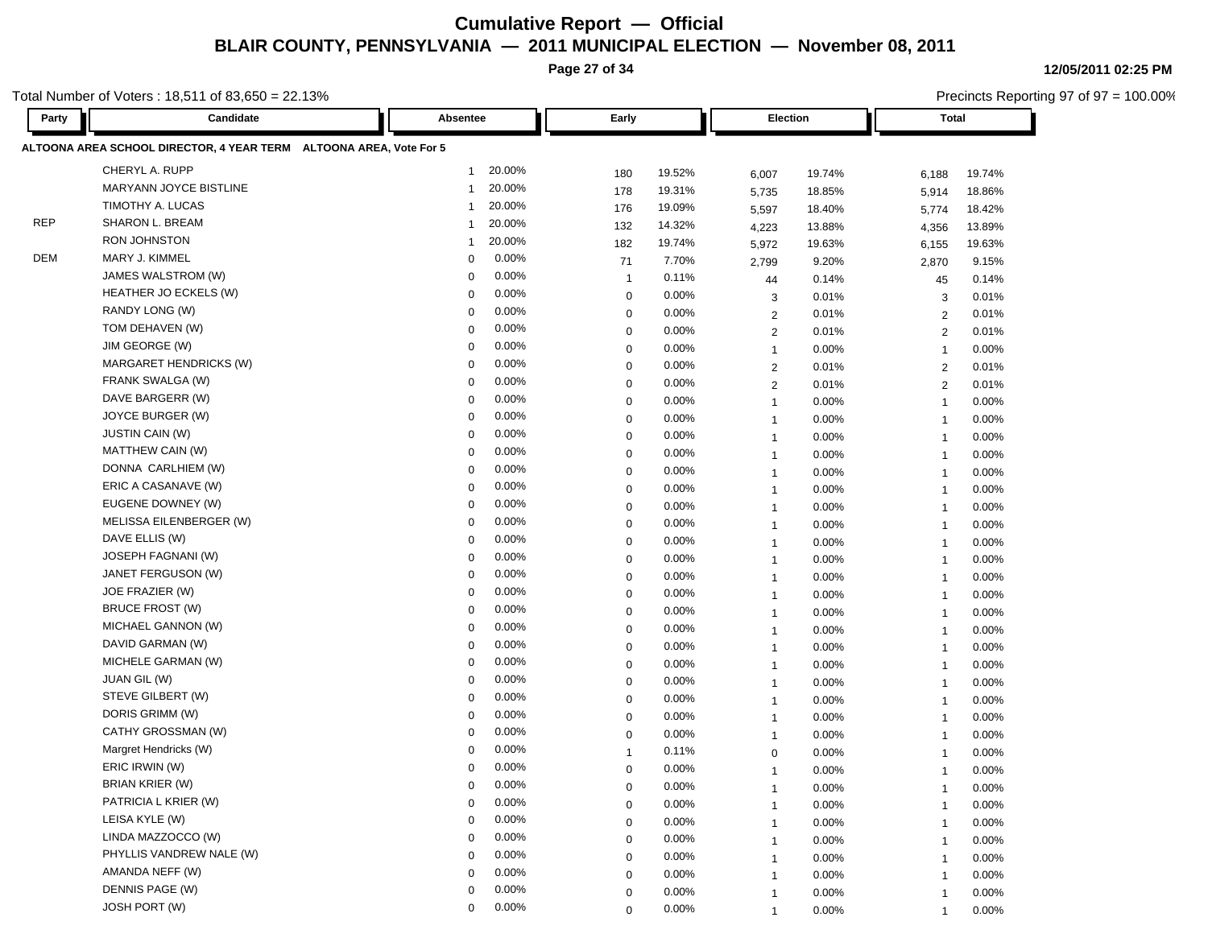**Page 27 of 34**

**12/05/2011 02:25 PM**

|                                                                                                                                                                                                                                                                                                                                                                                                                                                                                                                                                                                                                                                                                                                                                                                                                                                                                                                                                                                                                                                                                                                                                                                                                                                                                                                                                                                                                                                                                                                                                                                                                                                                                                                                                                                                                                                                                                                                                                                                                                                                                                                                                                                                                                                                                    | otal Number of Voters : 18,511 of 83,650 = 22.13%<br>Candidate |                               |                      |                         | Precincts Reporting 97 of 97 = 100.00% |  |  |  |  |  |  |  |  |
|------------------------------------------------------------------------------------------------------------------------------------------------------------------------------------------------------------------------------------------------------------------------------------------------------------------------------------------------------------------------------------------------------------------------------------------------------------------------------------------------------------------------------------------------------------------------------------------------------------------------------------------------------------------------------------------------------------------------------------------------------------------------------------------------------------------------------------------------------------------------------------------------------------------------------------------------------------------------------------------------------------------------------------------------------------------------------------------------------------------------------------------------------------------------------------------------------------------------------------------------------------------------------------------------------------------------------------------------------------------------------------------------------------------------------------------------------------------------------------------------------------------------------------------------------------------------------------------------------------------------------------------------------------------------------------------------------------------------------------------------------------------------------------------------------------------------------------------------------------------------------------------------------------------------------------------------------------------------------------------------------------------------------------------------------------------------------------------------------------------------------------------------------------------------------------------------------------------------------------------------------------------------------------|----------------------------------------------------------------|-------------------------------|----------------------|-------------------------|----------------------------------------|--|--|--|--|--|--|--|--|
| Party                                                                                                                                                                                                                                                                                                                                                                                                                                                                                                                                                                                                                                                                                                                                                                                                                                                                                                                                                                                                                                                                                                                                                                                                                                                                                                                                                                                                                                                                                                                                                                                                                                                                                                                                                                                                                                                                                                                                                                                                                                                                                                                                                                                                                                                                              |                                                                | Absentee                      | Early                | Election                | <b>Total</b>                           |  |  |  |  |  |  |  |  |
| ALTOONA AREA SCHOOL DIRECTOR, 4 YEAR TERM ALTOONA AREA, Vote For 5<br>CHERYL A. RUPP<br>20.00%<br>$\mathbf 1$<br>19.52%<br>180<br>19.74%<br>6,007<br>6,188<br>19.74%<br>MARYANN JOYCE BISTLINE<br>20.00%<br>178<br>19.31%<br>1<br>18.85%<br>18.86%<br>5,735<br>5,914<br>TIMOTHY A. LUCAS<br>20.00%<br>1<br>176<br>19.09%<br>18.40%<br>18.42%<br>5,597<br>5,774<br><b>REP</b><br>SHARON L. BREAM<br>20.00%<br>1<br>132<br>14.32%<br>4,223<br>13.88%<br>4,356<br>13.89%<br>RON JOHNSTON<br>20.00%<br>19.74%<br>1<br>182<br>19.63%<br>19.63%<br>5,972<br>6,155<br><b>DEM</b><br>MARY J. KIMMEL<br>0.00%<br>$\mathbf 0$<br>71<br>7.70%<br>9.20%<br>9.15%<br>2,799<br>2,870<br>JAMES WALSTROM (W)<br>0.00%<br>0<br>0.11%<br>0.14%<br>44<br>0.14%<br>45<br>-1<br>HEATHER JO ECKELS (W)<br>0.00%<br>0.00%<br>0<br>$\mathbf 0$<br>0.01%<br>0.01%<br>3<br>3<br>RANDY LONG (W)<br>0.00%<br>$\mathbf 0$<br>0.00%<br>0<br>0.01%<br>0.01%<br>$\overline{2}$<br>2<br>TOM DEHAVEN (W)<br>0.00%<br>$\Omega$<br>0.00%<br>0<br>$\overline{2}$<br>0.01%<br>$\overline{2}$<br>0.01%<br>JIM GEORGE (W)<br>0.00%<br>0<br>0.00%<br>$\mathbf 0$<br>0.00%<br>0.00%<br>$\mathbf{1}$<br>$\overline{1}$<br>MARGARET HENDRICKS (W)<br>0.00%<br>$\mathbf 0$<br>0.00%<br>0<br>0.01%<br>0.01%<br>$\overline{2}$<br>2<br>0.00%<br>FRANK SWALGA (W)<br>0<br>$\mathbf 0$<br>0.00%<br>0.01%<br>$\overline{2}$<br>$\overline{2}$<br>0.01%<br>DAVE BARGERR (W)<br>0.00%<br>0<br>0.00%<br>$\mathbf 0$<br>0.00%<br>0.00%<br>$\overline{1}$<br>$\overline{\mathbf{1}}$<br>JOYCE BURGER (W)<br>0.00%<br>0<br>0.00%<br>0<br>0.00%<br>0.00%<br>$\overline{1}$<br>$\overline{\mathbf{1}}$<br>JUSTIN CAIN (W)<br>0.00%<br>0<br>0.00%<br>0<br>0.00%<br>0.00%<br>$\mathbf{1}$<br>$\overline{1}$<br>MATTHEW CAIN (W)<br>0.00%<br>0<br>0.00%<br>0.00%<br>0<br>0.00%<br>$\mathbf{1}$<br>$\overline{1}$<br>DONNA CARLHIEM (W)<br>0.00%<br>0<br>0.00%<br>0<br>0.00%<br>0.00%<br>$\mathbf{1}$<br>$\overline{1}$<br>ERIC A CASANAVE (W)<br>0.00%<br>$\mathbf 0$<br>0.00%<br>0<br>0.00%<br>0.00%<br>$\overline{1}$<br>$\overline{1}$<br>EUGENE DOWNEY (W)<br>0.00%<br>0<br>0.00%<br>$\mathbf 0$<br>0.00%<br>0.00%<br>$\overline{1}$<br>-1<br>MELISSA EILENBERGER (W)<br>0.00%<br>0<br>0.00%<br>0<br>0.00%<br>0.00%<br>$\overline{1}$<br>-1 |                                                                |                               |                      |                         |                                        |  |  |  |  |  |  |  |  |
|                                                                                                                                                                                                                                                                                                                                                                                                                                                                                                                                                                                                                                                                                                                                                                                                                                                                                                                                                                                                                                                                                                                                                                                                                                                                                                                                                                                                                                                                                                                                                                                                                                                                                                                                                                                                                                                                                                                                                                                                                                                                                                                                                                                                                                                                                    |                                                                |                               |                      |                         |                                        |  |  |  |  |  |  |  |  |
|                                                                                                                                                                                                                                                                                                                                                                                                                                                                                                                                                                                                                                                                                                                                                                                                                                                                                                                                                                                                                                                                                                                                                                                                                                                                                                                                                                                                                                                                                                                                                                                                                                                                                                                                                                                                                                                                                                                                                                                                                                                                                                                                                                                                                                                                                    |                                                                |                               |                      |                         |                                        |  |  |  |  |  |  |  |  |
|                                                                                                                                                                                                                                                                                                                                                                                                                                                                                                                                                                                                                                                                                                                                                                                                                                                                                                                                                                                                                                                                                                                                                                                                                                                                                                                                                                                                                                                                                                                                                                                                                                                                                                                                                                                                                                                                                                                                                                                                                                                                                                                                                                                                                                                                                    |                                                                |                               |                      |                         |                                        |  |  |  |  |  |  |  |  |
|                                                                                                                                                                                                                                                                                                                                                                                                                                                                                                                                                                                                                                                                                                                                                                                                                                                                                                                                                                                                                                                                                                                                                                                                                                                                                                                                                                                                                                                                                                                                                                                                                                                                                                                                                                                                                                                                                                                                                                                                                                                                                                                                                                                                                                                                                    |                                                                |                               |                      |                         |                                        |  |  |  |  |  |  |  |  |
|                                                                                                                                                                                                                                                                                                                                                                                                                                                                                                                                                                                                                                                                                                                                                                                                                                                                                                                                                                                                                                                                                                                                                                                                                                                                                                                                                                                                                                                                                                                                                                                                                                                                                                                                                                                                                                                                                                                                                                                                                                                                                                                                                                                                                                                                                    |                                                                |                               |                      |                         |                                        |  |  |  |  |  |  |  |  |
|                                                                                                                                                                                                                                                                                                                                                                                                                                                                                                                                                                                                                                                                                                                                                                                                                                                                                                                                                                                                                                                                                                                                                                                                                                                                                                                                                                                                                                                                                                                                                                                                                                                                                                                                                                                                                                                                                                                                                                                                                                                                                                                                                                                                                                                                                    |                                                                |                               |                      |                         |                                        |  |  |  |  |  |  |  |  |
|                                                                                                                                                                                                                                                                                                                                                                                                                                                                                                                                                                                                                                                                                                                                                                                                                                                                                                                                                                                                                                                                                                                                                                                                                                                                                                                                                                                                                                                                                                                                                                                                                                                                                                                                                                                                                                                                                                                                                                                                                                                                                                                                                                                                                                                                                    |                                                                |                               |                      |                         |                                        |  |  |  |  |  |  |  |  |
|                                                                                                                                                                                                                                                                                                                                                                                                                                                                                                                                                                                                                                                                                                                                                                                                                                                                                                                                                                                                                                                                                                                                                                                                                                                                                                                                                                                                                                                                                                                                                                                                                                                                                                                                                                                                                                                                                                                                                                                                                                                                                                                                                                                                                                                                                    |                                                                |                               |                      |                         |                                        |  |  |  |  |  |  |  |  |
|                                                                                                                                                                                                                                                                                                                                                                                                                                                                                                                                                                                                                                                                                                                                                                                                                                                                                                                                                                                                                                                                                                                                                                                                                                                                                                                                                                                                                                                                                                                                                                                                                                                                                                                                                                                                                                                                                                                                                                                                                                                                                                                                                                                                                                                                                    |                                                                |                               |                      |                         |                                        |  |  |  |  |  |  |  |  |
|                                                                                                                                                                                                                                                                                                                                                                                                                                                                                                                                                                                                                                                                                                                                                                                                                                                                                                                                                                                                                                                                                                                                                                                                                                                                                                                                                                                                                                                                                                                                                                                                                                                                                                                                                                                                                                                                                                                                                                                                                                                                                                                                                                                                                                                                                    |                                                                |                               |                      |                         |                                        |  |  |  |  |  |  |  |  |
|                                                                                                                                                                                                                                                                                                                                                                                                                                                                                                                                                                                                                                                                                                                                                                                                                                                                                                                                                                                                                                                                                                                                                                                                                                                                                                                                                                                                                                                                                                                                                                                                                                                                                                                                                                                                                                                                                                                                                                                                                                                                                                                                                                                                                                                                                    |                                                                |                               |                      |                         |                                        |  |  |  |  |  |  |  |  |
|                                                                                                                                                                                                                                                                                                                                                                                                                                                                                                                                                                                                                                                                                                                                                                                                                                                                                                                                                                                                                                                                                                                                                                                                                                                                                                                                                                                                                                                                                                                                                                                                                                                                                                                                                                                                                                                                                                                                                                                                                                                                                                                                                                                                                                                                                    |                                                                |                               |                      |                         |                                        |  |  |  |  |  |  |  |  |
|                                                                                                                                                                                                                                                                                                                                                                                                                                                                                                                                                                                                                                                                                                                                                                                                                                                                                                                                                                                                                                                                                                                                                                                                                                                                                                                                                                                                                                                                                                                                                                                                                                                                                                                                                                                                                                                                                                                                                                                                                                                                                                                                                                                                                                                                                    |                                                                |                               |                      |                         |                                        |  |  |  |  |  |  |  |  |
|                                                                                                                                                                                                                                                                                                                                                                                                                                                                                                                                                                                                                                                                                                                                                                                                                                                                                                                                                                                                                                                                                                                                                                                                                                                                                                                                                                                                                                                                                                                                                                                                                                                                                                                                                                                                                                                                                                                                                                                                                                                                                                                                                                                                                                                                                    |                                                                |                               |                      |                         |                                        |  |  |  |  |  |  |  |  |
|                                                                                                                                                                                                                                                                                                                                                                                                                                                                                                                                                                                                                                                                                                                                                                                                                                                                                                                                                                                                                                                                                                                                                                                                                                                                                                                                                                                                                                                                                                                                                                                                                                                                                                                                                                                                                                                                                                                                                                                                                                                                                                                                                                                                                                                                                    |                                                                |                               |                      |                         |                                        |  |  |  |  |  |  |  |  |
|                                                                                                                                                                                                                                                                                                                                                                                                                                                                                                                                                                                                                                                                                                                                                                                                                                                                                                                                                                                                                                                                                                                                                                                                                                                                                                                                                                                                                                                                                                                                                                                                                                                                                                                                                                                                                                                                                                                                                                                                                                                                                                                                                                                                                                                                                    |                                                                |                               |                      |                         |                                        |  |  |  |  |  |  |  |  |
|                                                                                                                                                                                                                                                                                                                                                                                                                                                                                                                                                                                                                                                                                                                                                                                                                                                                                                                                                                                                                                                                                                                                                                                                                                                                                                                                                                                                                                                                                                                                                                                                                                                                                                                                                                                                                                                                                                                                                                                                                                                                                                                                                                                                                                                                                    |                                                                |                               |                      |                         |                                        |  |  |  |  |  |  |  |  |
|                                                                                                                                                                                                                                                                                                                                                                                                                                                                                                                                                                                                                                                                                                                                                                                                                                                                                                                                                                                                                                                                                                                                                                                                                                                                                                                                                                                                                                                                                                                                                                                                                                                                                                                                                                                                                                                                                                                                                                                                                                                                                                                                                                                                                                                                                    |                                                                |                               |                      |                         |                                        |  |  |  |  |  |  |  |  |
|                                                                                                                                                                                                                                                                                                                                                                                                                                                                                                                                                                                                                                                                                                                                                                                                                                                                                                                                                                                                                                                                                                                                                                                                                                                                                                                                                                                                                                                                                                                                                                                                                                                                                                                                                                                                                                                                                                                                                                                                                                                                                                                                                                                                                                                                                    |                                                                |                               |                      |                         |                                        |  |  |  |  |  |  |  |  |
|                                                                                                                                                                                                                                                                                                                                                                                                                                                                                                                                                                                                                                                                                                                                                                                                                                                                                                                                                                                                                                                                                                                                                                                                                                                                                                                                                                                                                                                                                                                                                                                                                                                                                                                                                                                                                                                                                                                                                                                                                                                                                                                                                                                                                                                                                    |                                                                |                               |                      |                         |                                        |  |  |  |  |  |  |  |  |
|                                                                                                                                                                                                                                                                                                                                                                                                                                                                                                                                                                                                                                                                                                                                                                                                                                                                                                                                                                                                                                                                                                                                                                                                                                                                                                                                                                                                                                                                                                                                                                                                                                                                                                                                                                                                                                                                                                                                                                                                                                                                                                                                                                                                                                                                                    |                                                                |                               |                      |                         |                                        |  |  |  |  |  |  |  |  |
|                                                                                                                                                                                                                                                                                                                                                                                                                                                                                                                                                                                                                                                                                                                                                                                                                                                                                                                                                                                                                                                                                                                                                                                                                                                                                                                                                                                                                                                                                                                                                                                                                                                                                                                                                                                                                                                                                                                                                                                                                                                                                                                                                                                                                                                                                    | DAVE ELLIS (W)                                                 | 0.00%<br>$\Omega$             | 0.00%<br>0           | 0.00%<br>$\overline{1}$ | 0.00%<br>$\overline{1}$                |  |  |  |  |  |  |  |  |
|                                                                                                                                                                                                                                                                                                                                                                                                                                                                                                                                                                                                                                                                                                                                                                                                                                                                                                                                                                                                                                                                                                                                                                                                                                                                                                                                                                                                                                                                                                                                                                                                                                                                                                                                                                                                                                                                                                                                                                                                                                                                                                                                                                                                                                                                                    | JOSEPH FAGNANI (W)                                             | 0.00%<br>0                    | 0.00%<br>$\mathbf 0$ | 0.00%<br>$\mathbf{1}$   | 0.00%<br>$\overline{\mathbf{1}}$       |  |  |  |  |  |  |  |  |
|                                                                                                                                                                                                                                                                                                                                                                                                                                                                                                                                                                                                                                                                                                                                                                                                                                                                                                                                                                                                                                                                                                                                                                                                                                                                                                                                                                                                                                                                                                                                                                                                                                                                                                                                                                                                                                                                                                                                                                                                                                                                                                                                                                                                                                                                                    | JANET FERGUSON (W)                                             | 0.00%<br>$\mathbf 0$          | 0.00%<br>0           | 0.00%<br>$\overline{1}$ | 0.00%<br>$\overline{1}$                |  |  |  |  |  |  |  |  |
|                                                                                                                                                                                                                                                                                                                                                                                                                                                                                                                                                                                                                                                                                                                                                                                                                                                                                                                                                                                                                                                                                                                                                                                                                                                                                                                                                                                                                                                                                                                                                                                                                                                                                                                                                                                                                                                                                                                                                                                                                                                                                                                                                                                                                                                                                    | JOE FRAZIER (W)                                                | 0.00%<br>$\Omega$             | 0.00%<br>$\mathbf 0$ | 0.00%<br>$\overline{1}$ | 0.00%<br>$\overline{1}$                |  |  |  |  |  |  |  |  |
|                                                                                                                                                                                                                                                                                                                                                                                                                                                                                                                                                                                                                                                                                                                                                                                                                                                                                                                                                                                                                                                                                                                                                                                                                                                                                                                                                                                                                                                                                                                                                                                                                                                                                                                                                                                                                                                                                                                                                                                                                                                                                                                                                                                                                                                                                    | <b>BRUCE FROST (W)</b>                                         | 0.00%<br>0                    | 0.00%<br>$\mathbf 0$ | 0.00%<br>$\overline{1}$ | 0.00%<br>-1                            |  |  |  |  |  |  |  |  |
|                                                                                                                                                                                                                                                                                                                                                                                                                                                                                                                                                                                                                                                                                                                                                                                                                                                                                                                                                                                                                                                                                                                                                                                                                                                                                                                                                                                                                                                                                                                                                                                                                                                                                                                                                                                                                                                                                                                                                                                                                                                                                                                                                                                                                                                                                    | MICHAEL GANNON (W)                                             | 0.00%<br>0                    | 0.00%<br>0           | 0.00%<br>$\overline{1}$ | 0.00%<br>-1                            |  |  |  |  |  |  |  |  |
|                                                                                                                                                                                                                                                                                                                                                                                                                                                                                                                                                                                                                                                                                                                                                                                                                                                                                                                                                                                                                                                                                                                                                                                                                                                                                                                                                                                                                                                                                                                                                                                                                                                                                                                                                                                                                                                                                                                                                                                                                                                                                                                                                                                                                                                                                    | DAVID GARMAN (W)                                               | 0.00%<br>0                    | 0.00%<br>0           | 0.00%<br>$\overline{1}$ | 0.00%<br>$\overline{1}$                |  |  |  |  |  |  |  |  |
|                                                                                                                                                                                                                                                                                                                                                                                                                                                                                                                                                                                                                                                                                                                                                                                                                                                                                                                                                                                                                                                                                                                                                                                                                                                                                                                                                                                                                                                                                                                                                                                                                                                                                                                                                                                                                                                                                                                                                                                                                                                                                                                                                                                                                                                                                    | MICHELE GARMAN (W)                                             | 0.00%<br>0                    | 0.00%<br>0           | 0.00%<br>$\mathbf{1}$   | 0.00%<br>$\overline{1}$                |  |  |  |  |  |  |  |  |
|                                                                                                                                                                                                                                                                                                                                                                                                                                                                                                                                                                                                                                                                                                                                                                                                                                                                                                                                                                                                                                                                                                                                                                                                                                                                                                                                                                                                                                                                                                                                                                                                                                                                                                                                                                                                                                                                                                                                                                                                                                                                                                                                                                                                                                                                                    | JUAN GIL (W)                                                   | 0.00%<br>0                    | 0.00%<br>0           | 0.00%<br>$\mathbf{1}$   | 0.00%<br>$\mathbf{1}$                  |  |  |  |  |  |  |  |  |
|                                                                                                                                                                                                                                                                                                                                                                                                                                                                                                                                                                                                                                                                                                                                                                                                                                                                                                                                                                                                                                                                                                                                                                                                                                                                                                                                                                                                                                                                                                                                                                                                                                                                                                                                                                                                                                                                                                                                                                                                                                                                                                                                                                                                                                                                                    | STEVE GILBERT (W)                                              | 0.00%<br>0                    | 0.00%<br>$\mathbf 0$ | 0.00%<br>$\overline{1}$ | 0.00%<br>-1                            |  |  |  |  |  |  |  |  |
|                                                                                                                                                                                                                                                                                                                                                                                                                                                                                                                                                                                                                                                                                                                                                                                                                                                                                                                                                                                                                                                                                                                                                                                                                                                                                                                                                                                                                                                                                                                                                                                                                                                                                                                                                                                                                                                                                                                                                                                                                                                                                                                                                                                                                                                                                    | DORIS GRIMM (W)                                                | 0.00%<br>$\Omega$             | 0.00%<br>$\mathbf 0$ | 0.00%<br>$\overline{1}$ | 0.00%<br>-1                            |  |  |  |  |  |  |  |  |
|                                                                                                                                                                                                                                                                                                                                                                                                                                                                                                                                                                                                                                                                                                                                                                                                                                                                                                                                                                                                                                                                                                                                                                                                                                                                                                                                                                                                                                                                                                                                                                                                                                                                                                                                                                                                                                                                                                                                                                                                                                                                                                                                                                                                                                                                                    | CATHY GROSSMAN (W)                                             | 0.00%<br>$\Omega$             | 0.00%<br>$\Omega$    | 0.00%<br>$\overline{1}$ | 0.00%<br>-1                            |  |  |  |  |  |  |  |  |
|                                                                                                                                                                                                                                                                                                                                                                                                                                                                                                                                                                                                                                                                                                                                                                                                                                                                                                                                                                                                                                                                                                                                                                                                                                                                                                                                                                                                                                                                                                                                                                                                                                                                                                                                                                                                                                                                                                                                                                                                                                                                                                                                                                                                                                                                                    | Margret Hendricks (W)                                          | 0.00%<br>0                    | 0.11%                | 0.00%<br>$\mathbf 0$    | 0.00%<br>-1                            |  |  |  |  |  |  |  |  |
|                                                                                                                                                                                                                                                                                                                                                                                                                                                                                                                                                                                                                                                                                                                                                                                                                                                                                                                                                                                                                                                                                                                                                                                                                                                                                                                                                                                                                                                                                                                                                                                                                                                                                                                                                                                                                                                                                                                                                                                                                                                                                                                                                                                                                                                                                    | ERIC IRWIN (W)                                                 | 0.00%<br>0                    | 0.00%<br>$\Omega$    | 0.00%                   | 0.00%                                  |  |  |  |  |  |  |  |  |
|                                                                                                                                                                                                                                                                                                                                                                                                                                                                                                                                                                                                                                                                                                                                                                                                                                                                                                                                                                                                                                                                                                                                                                                                                                                                                                                                                                                                                                                                                                                                                                                                                                                                                                                                                                                                                                                                                                                                                                                                                                                                                                                                                                                                                                                                                    | <b>BRIAN KRIER (W)</b>                                         | 0.00%<br>$\mathbf 0$<br>0.00% | 0.00%<br>$\mathbf 0$ | 0.00%<br>$\mathbf{1}$   | 0.00%<br>$\overline{1}$                |  |  |  |  |  |  |  |  |
|                                                                                                                                                                                                                                                                                                                                                                                                                                                                                                                                                                                                                                                                                                                                                                                                                                                                                                                                                                                                                                                                                                                                                                                                                                                                                                                                                                                                                                                                                                                                                                                                                                                                                                                                                                                                                                                                                                                                                                                                                                                                                                                                                                                                                                                                                    | PATRICIA L KRIER (W)<br>LEISA KYLE (W)                         | $\Omega$                      | 0.00%<br>$\mathbf 0$ | 0.00%<br>$\mathbf{1}$   | 0.00%<br>$\overline{1}$                |  |  |  |  |  |  |  |  |
|                                                                                                                                                                                                                                                                                                                                                                                                                                                                                                                                                                                                                                                                                                                                                                                                                                                                                                                                                                                                                                                                                                                                                                                                                                                                                                                                                                                                                                                                                                                                                                                                                                                                                                                                                                                                                                                                                                                                                                                                                                                                                                                                                                                                                                                                                    | LINDA MAZZOCCO (W)                                             | 0.00%<br>$\Omega$             | 0.00%<br>$\mathbf 0$ | 0.00%<br>$\mathbf{1}$   | 0.00%<br>-1                            |  |  |  |  |  |  |  |  |
|                                                                                                                                                                                                                                                                                                                                                                                                                                                                                                                                                                                                                                                                                                                                                                                                                                                                                                                                                                                                                                                                                                                                                                                                                                                                                                                                                                                                                                                                                                                                                                                                                                                                                                                                                                                                                                                                                                                                                                                                                                                                                                                                                                                                                                                                                    | PHYLLIS VANDREW NALE (W)                                       | 0.00%<br>0<br>0.00%           | 0.00%<br>0           | 0.00%<br>1              | 0.00%                                  |  |  |  |  |  |  |  |  |
|                                                                                                                                                                                                                                                                                                                                                                                                                                                                                                                                                                                                                                                                                                                                                                                                                                                                                                                                                                                                                                                                                                                                                                                                                                                                                                                                                                                                                                                                                                                                                                                                                                                                                                                                                                                                                                                                                                                                                                                                                                                                                                                                                                                                                                                                                    | AMANDA NEFF (W)                                                | $\Omega$<br>0.00%             | 0.00%<br>0           | 0.00%<br>1              | 0.00%<br>$\overline{1}$                |  |  |  |  |  |  |  |  |
|                                                                                                                                                                                                                                                                                                                                                                                                                                                                                                                                                                                                                                                                                                                                                                                                                                                                                                                                                                                                                                                                                                                                                                                                                                                                                                                                                                                                                                                                                                                                                                                                                                                                                                                                                                                                                                                                                                                                                                                                                                                                                                                                                                                                                                                                                    | DENNIS PAGE (W)                                                | 0<br>0.00%                    | 0.00%<br>$\mathbf 0$ | 0.00%<br>$\mathbf{1}$   | 0.00%<br>$\mathbf 1$                   |  |  |  |  |  |  |  |  |
|                                                                                                                                                                                                                                                                                                                                                                                                                                                                                                                                                                                                                                                                                                                                                                                                                                                                                                                                                                                                                                                                                                                                                                                                                                                                                                                                                                                                                                                                                                                                                                                                                                                                                                                                                                                                                                                                                                                                                                                                                                                                                                                                                                                                                                                                                    | JOSH PORT (W)                                                  | 0<br>0.00%<br>$\Omega$        | 0.00%<br>0           | 0.00%<br>$\mathbf{1}$   | 0.00%<br>$\mathbf 1$                   |  |  |  |  |  |  |  |  |
|                                                                                                                                                                                                                                                                                                                                                                                                                                                                                                                                                                                                                                                                                                                                                                                                                                                                                                                                                                                                                                                                                                                                                                                                                                                                                                                                                                                                                                                                                                                                                                                                                                                                                                                                                                                                                                                                                                                                                                                                                                                                                                                                                                                                                                                                                    |                                                                |                               | 0.00%<br>$\mathbf 0$ | 0.00%<br>$\mathbf{1}$   | 0.00%<br>$\mathbf{1}$                  |  |  |  |  |  |  |  |  |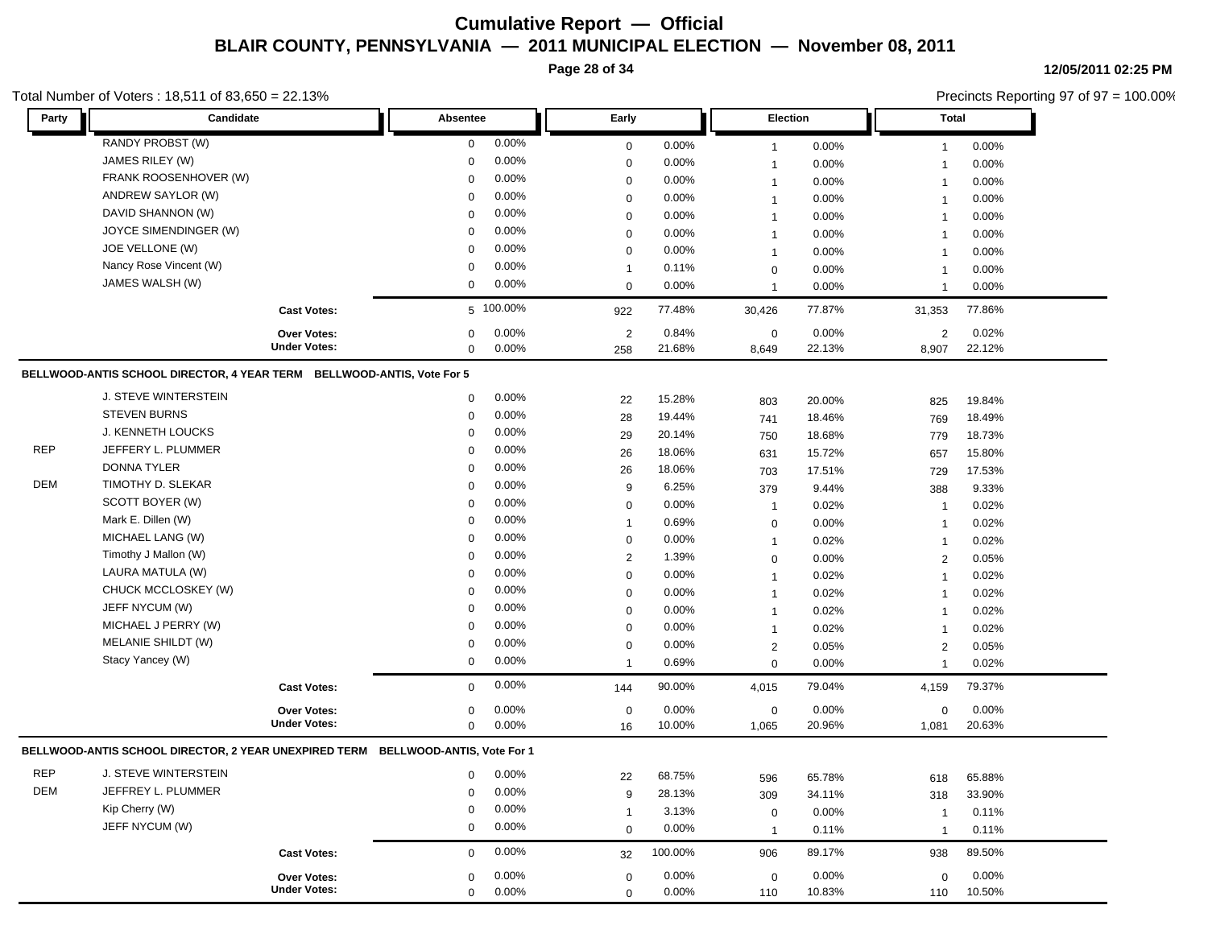**Page 28 of 34**

#### Total Number of Voters : 18,511 of 83,650 = 22.13%

**12/05/2011 02:25 PM**

Precincts Reporting 97 of 97 = 100.00%

| Party      | Candidate                                                                        |                     | Absentee     |           | Early            |         |                | Election | <b>Total</b>   |        |
|------------|----------------------------------------------------------------------------------|---------------------|--------------|-----------|------------------|---------|----------------|----------|----------------|--------|
|            | RANDY PROBST (W)                                                                 |                     | 0            | 0.00%     | $\boldsymbol{0}$ | 0.00%   | $\mathbf{1}$   | 0.00%    | $\mathbf{1}$   | 0.00%  |
|            | JAMES RILEY (W)                                                                  |                     | $\mathbf 0$  | 0.00%     | $\boldsymbol{0}$ | 0.00%   | $\mathbf{1}$   | 0.00%    | $\mathbf{1}$   | 0.00%  |
|            | FRANK ROOSENHOVER (W)                                                            |                     | $\mathbf 0$  | 0.00%     | $\mathbf 0$      | 0.00%   | $\mathbf{1}$   | 0.00%    | 1              | 0.00%  |
|            | ANDREW SAYLOR (W)                                                                |                     | 0            | 0.00%     | $\mathbf 0$      | 0.00%   | $\mathbf{1}$   | 0.00%    | $\overline{1}$ | 0.00%  |
|            | DAVID SHANNON (W)                                                                |                     | $\mathbf 0$  | 0.00%     | $\mathbf 0$      | 0.00%   | $\mathbf{1}$   | 0.00%    | $\mathbf{1}$   | 0.00%  |
|            | JOYCE SIMENDINGER (W)                                                            |                     | 0            | 0.00%     | $\boldsymbol{0}$ | 0.00%   | $\mathbf{1}$   | 0.00%    | $\mathbf{1}$   | 0.00%  |
|            | JOE VELLONE (W)                                                                  |                     | $\mathbf 0$  | 0.00%     | $\boldsymbol{0}$ | 0.00%   | $\mathbf{1}$   | 0.00%    | $\mathbf{1}$   | 0.00%  |
|            | Nancy Rose Vincent (W)                                                           |                     | $\mathsf 0$  | 0.00%     | $\mathbf{1}$     | 0.11%   | $\mathbf 0$    | 0.00%    | $\mathbf{1}$   | 0.00%  |
|            | JAMES WALSH (W)                                                                  |                     | 0            | 0.00%     | $\mathbf 0$      | 0.00%   | $\overline{1}$ | 0.00%    | $\overline{1}$ | 0.00%  |
|            |                                                                                  | <b>Cast Votes:</b>  |              | 5 100.00% | 922              | 77.48%  | 30,426         | 77.87%   | 31,353         | 77.86% |
|            |                                                                                  | Over Votes:         | 0            | 0.00%     | $\sqrt{2}$       | 0.84%   | $\mathbf 0$    | 0.00%    | $\overline{2}$ | 0.02%  |
|            |                                                                                  | <b>Under Votes:</b> | $\mathbf 0$  | 0.00%     | 258              | 21.68%  | 8,649          | 22.13%   | 8,907          | 22.12% |
|            | BELLWOOD-ANTIS SCHOOL DIRECTOR, 4 YEAR TERM BELLWOOD-ANTIS, Vote For 5           |                     |              |           |                  |         |                |          |                |        |
|            | J. STEVE WINTERSTEIN                                                             |                     | 0            | 0.00%     | 22               | 15.28%  | 803            | 20.00%   | 825            | 19.84% |
|            | <b>STEVEN BURNS</b>                                                              |                     | $\mathbf 0$  | 0.00%     | 28               | 19.44%  | 741            | 18.46%   | 769            | 18.49% |
|            | J. KENNETH LOUCKS                                                                |                     | $\mathsf 0$  | 0.00%     | 29               | 20.14%  | 750            | 18.68%   | 779            | 18.73% |
| <b>REP</b> | JEFFERY L. PLUMMER                                                               |                     | 0            | 0.00%     | 26               | 18.06%  | 631            | 15.72%   | 657            | 15.80% |
|            | <b>DONNA TYLER</b>                                                               |                     | $\mathbf 0$  | 0.00%     | 26               | 18.06%  | 703            | 17.51%   | 729            | 17.53% |
| <b>DEM</b> | TIMOTHY D. SLEKAR                                                                |                     | $\mathbf 0$  | 0.00%     | 9                | 6.25%   | 379            | 9.44%    | 388            | 9.33%  |
|            | SCOTT BOYER (W)                                                                  |                     | $\mathbf 0$  | 0.00%     | $\mathbf 0$      | 0.00%   | $\mathbf{1}$   | 0.02%    | $\mathbf{1}$   | 0.02%  |
|            | Mark E. Dillen (W)                                                               |                     | $\mathsf 0$  | 0.00%     | $\mathbf{1}$     | 0.69%   | $\mathbf 0$    | 0.00%    | $\mathbf{1}$   | 0.02%  |
|            | MICHAEL LANG (W)                                                                 |                     | $\mathbf 0$  | 0.00%     | $\mathbf 0$      | 0.00%   | $\mathbf{1}$   | 0.02%    | $\overline{1}$ | 0.02%  |
|            | Timothy J Mallon (W)                                                             |                     | 0            | 0.00%     | $\overline{2}$   | 1.39%   | $\mathbf 0$    | 0.00%    | $\sqrt{2}$     | 0.05%  |
|            | LAURA MATULA (W)                                                                 |                     | $\mathsf 0$  | 0.00%     | $\mathbf 0$      | 0.00%   | $\mathbf{1}$   | 0.02%    | $\mathbf{1}$   | 0.02%  |
|            | CHUCK MCCLOSKEY (W)                                                              |                     | $\mathbf 0$  | 0.00%     | $\mathbf 0$      | 0.00%   | $\mathbf{1}$   | 0.02%    | 1              | 0.02%  |
|            | JEFF NYCUM (W)                                                                   |                     | $\mathsf 0$  | 0.00%     | $\mathbf 0$      | 0.00%   | $\mathbf{1}$   | 0.02%    | $\mathbf{1}$   | 0.02%  |
|            | MICHAEL J PERRY (W)                                                              |                     | 0            | 0.00%     | $\mathbf 0$      | 0.00%   | $\mathbf{1}$   | 0.02%    | $\mathbf{1}$   | 0.02%  |
|            | MELANIE SHILDT (W)                                                               |                     | $\mathbf 0$  | 0.00%     | $\boldsymbol{0}$ | 0.00%   | $\overline{2}$ | 0.05%    | $\overline{2}$ | 0.05%  |
|            | Stacy Yancey (W)                                                                 |                     | $\mathbf 0$  | 0.00%     | $\mathbf{1}$     | 0.69%   | $\mathbf 0$    | 0.00%    | $\mathbf{1}$   | 0.02%  |
|            |                                                                                  | <b>Cast Votes:</b>  | 0            | 0.00%     | 144              | 90.00%  | 4,015          | 79.04%   | 4,159          | 79.37% |
|            |                                                                                  | <b>Over Votes:</b>  | 0            | 0.00%     | $\mathbf 0$      | 0.00%   | $\mathbf 0$    | 0.00%    | $\mathbf 0$    | 0.00%  |
|            |                                                                                  | <b>Under Votes:</b> | $\mathbf 0$  | 0.00%     | 16               | 10.00%  | 1,065          | 20.96%   | 1,081          | 20.63% |
|            | BELLWOOD-ANTIS SCHOOL DIRECTOR, 2 YEAR UNEXPIRED TERM BELLWOOD-ANTIS, Vote For 1 |                     |              |           |                  |         |                |          |                |        |
| <b>REP</b> | <b>J. STEVE WINTERSTEIN</b>                                                      |                     | $\mathsf 0$  | 0.00%     | 22               | 68.75%  | 596            | 65.78%   | 618            | 65.88% |
| <b>DEM</b> | JEFFREY L. PLUMMER                                                               |                     | $\mathbf 0$  | 0.00%     | 9                | 28.13%  | 309            | 34.11%   | 318            | 33.90% |
|            | Kip Cherry (W)                                                                   |                     | 0            | 0.00%     | $\mathbf{1}$     | 3.13%   | $\mathbf 0$    | 0.00%    | $\overline{1}$ | 0.11%  |
|            | JEFF NYCUM (W)                                                                   |                     | 0            | 0.00%     | $\Omega$         | 0.00%   | $\mathbf{1}$   | 0.11%    | $\mathbf{1}$   | 0.11%  |
|            |                                                                                  | <b>Cast Votes:</b>  | $\mathbf{0}$ | 0.00%     | 32               | 100.00% | 906            | 89.17%   | 938            | 89.50% |
|            |                                                                                  | <b>Over Votes:</b>  | 0            | 0.00%     | $\mathbf 0$      | 0.00%   | $\mathbf 0$    | 0.00%    | $\mathbf 0$    | 0.00%  |
|            |                                                                                  | <b>Under Votes:</b> | 0            | 0.00%     | $\mathbf 0$      | 0.00%   | 110            | 10.83%   | 110            | 10.50% |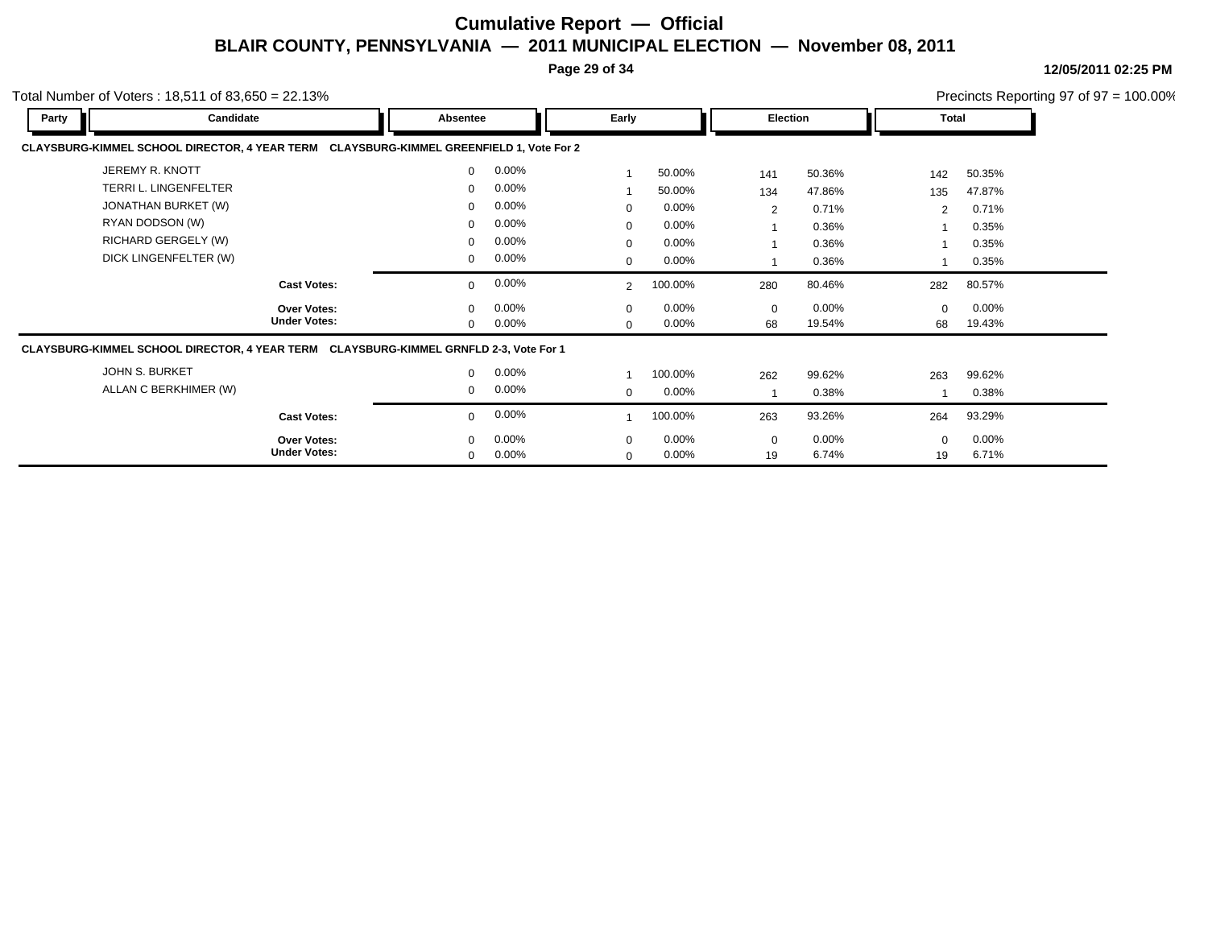**Page 29 of 34**

**12/05/2011 02:25 PM**

|       | otal Number of Voters: 18,511 of 83,650 = 22.13%                                        |              |          |                |         |     |                 |                |          | Precincts Reporting 97 of $97 = 100.00\%$ |
|-------|-----------------------------------------------------------------------------------------|--------------|----------|----------------|---------|-----|-----------------|----------------|----------|-------------------------------------------|
| Party | Candidate                                                                               | Absentee     |          | Early          |         |     | <b>Election</b> |                | Total    |                                           |
|       | CLAYSBURG-KIMMEL SCHOOL DIRECTOR, 4 YEAR TERM CLAYSBURG-KIMMEL GREENFIELD 1, Vote For 2 |              |          |                |         |     |                 |                |          |                                           |
|       | JEREMY R. KNOTT                                                                         | $\mathbf{0}$ | 0.00%    |                | 50.00%  | 141 | 50.36%          | 142            | 50.35%   |                                           |
|       | <b>TERRI L. LINGENFELTER</b>                                                            | 0            | $0.00\%$ |                | 50.00%  | 134 | 47.86%          | 135            | 47.87%   |                                           |
|       | JONATHAN BURKET (W)                                                                     |              | $0.00\%$ | $\mathbf 0$    | 0.00%   | 2   | 0.71%           | $\overline{2}$ | 0.71%    |                                           |
|       | RYAN DODSON (W)                                                                         | 0            | $0.00\%$ | $\Omega$       | 0.00%   |     | 0.36%           |                | 0.35%    |                                           |
|       | RICHARD GERGELY (W)                                                                     | 0            | 0.00%    | $\mathbf 0$    | 0.00%   |     | 0.36%           |                | 0.35%    |                                           |
|       | DICK LINGENFELTER (W)                                                                   | $\mathbf{0}$ | 0.00%    | 0              | 0.00%   |     | 0.36%           |                | 0.35%    |                                           |
|       | <b>Cast Votes:</b>                                                                      | $\mathbf{0}$ | $0.00\%$ | $\overline{2}$ | 100.00% | 280 | 80.46%          | 282            | 80.57%   |                                           |
|       | Over Votes:                                                                             |              | $0.00\%$ | $\mathbf 0$    | 0.00%   | 0   | $0.00\%$        | $\Omega$       | $0.00\%$ |                                           |
|       | <b>Under Votes:</b>                                                                     | $\Omega$     | 0.00%    | $\Omega$       | 0.00%   | 68  | 19.54%          | 68             | 19.43%   |                                           |
|       | CLAYSBURG-KIMMEL SCHOOL DIRECTOR, 4 YEAR TERM CLAYSBURG-KIMMEL GRNFLD 2-3, Vote For 1   |              |          |                |         |     |                 |                |          |                                           |
|       | <b>JOHN S. BURKET</b>                                                                   | $\mathbf{0}$ | 0.00%    |                | 100.00% | 262 | 99.62%          | 263            | 99.62%   |                                           |
|       | ALLAN C BERKHIMER (W)                                                                   | $\mathbf{0}$ | 0.00%    | $\mathbf 0$    | 0.00%   |     | 0.38%           |                | 0.38%    |                                           |
|       | <b>Cast Votes:</b>                                                                      | $\mathbf{0}$ | 0.00%    |                | 100.00% | 263 | 93.26%          | 264            | 93.29%   |                                           |
|       | <b>Over Votes:</b>                                                                      | $\Omega$     | $0.00\%$ | $\Omega$       | 0.00%   | 0   | $0.00\%$        | $\mathbf 0$    | $0.00\%$ |                                           |
|       | <b>Under Votes:</b>                                                                     | 0            | 0.00%    | $\Omega$       | 0.00%   | 19  | 6.74%           | 19             | 6.71%    |                                           |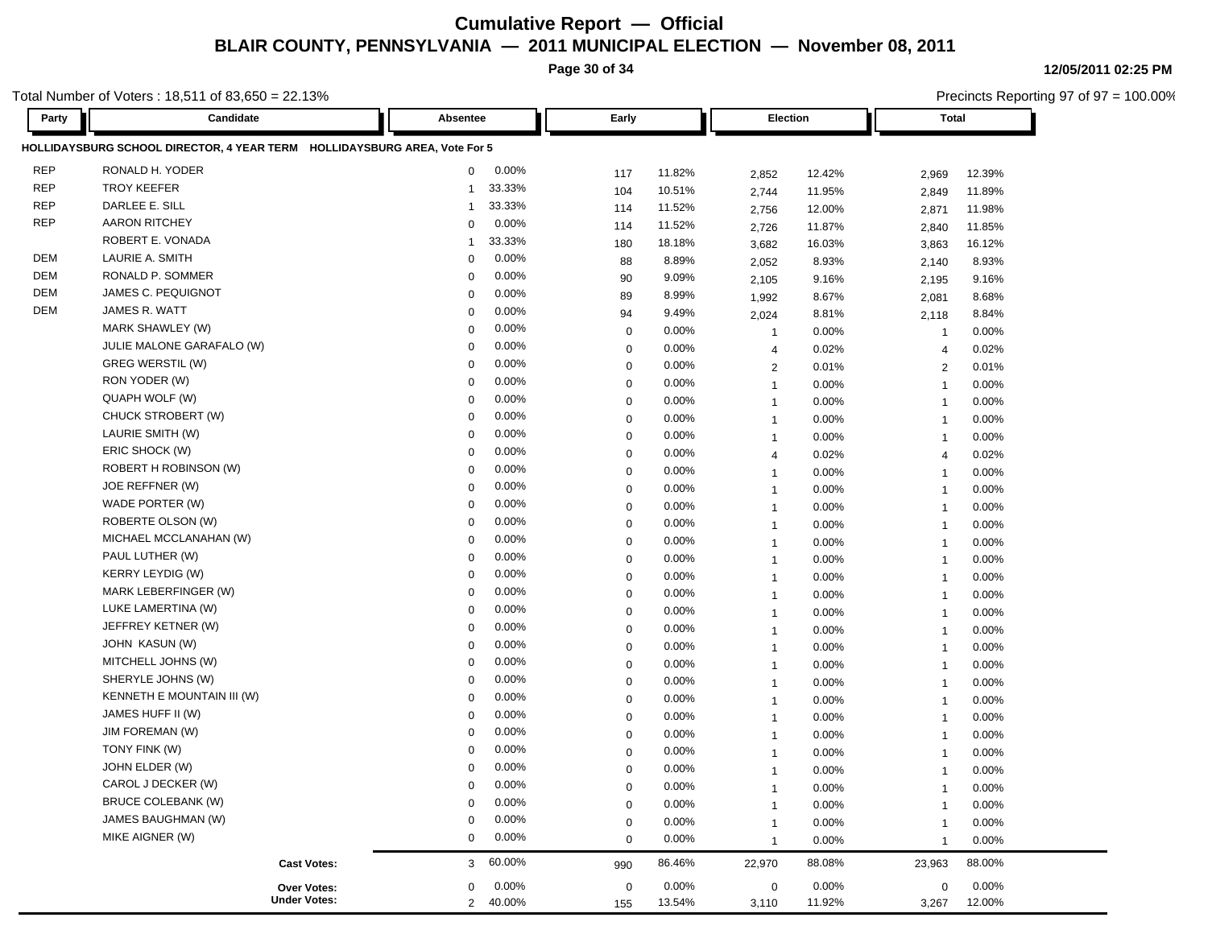**Page 30 of 34**

**12/05/2011 02:25 PM**

Precincts Reporting 97 of 97 = 100.00%

| Party      | Candidate                                                                 | Absentee              | Early        |        | Election       |          | <b>Total</b>            |          |
|------------|---------------------------------------------------------------------------|-----------------------|--------------|--------|----------------|----------|-------------------------|----------|
|            | HOLLIDAYSBURG SCHOOL DIRECTOR, 4 YEAR TERM HOLLIDAYSBURG AREA, Vote For 5 |                       |              |        |                |          |                         |          |
| <b>REP</b> | RONALD H. YODER                                                           | 0.00%<br>$\mathbf{0}$ | 117          | 11.82% | 2,852          | 12.42%   | 2,969                   | 12.39%   |
| <b>REP</b> | <b>TROY KEEFER</b>                                                        | 33.33%<br>-1          | 104          | 10.51% | 2,744          | 11.95%   | 2,849                   | 11.89%   |
| <b>REP</b> | DARLEE E. SILL                                                            | 33.33%<br>1           | 114          | 11.52% | 2,756          | 12.00%   | 2,871                   | 11.98%   |
| <b>REP</b> | <b>AARON RITCHEY</b>                                                      | 0.00%<br>$\Omega$     | 114          | 11.52% | 2,726          | 11.87%   | 2,840                   | 11.85%   |
|            | ROBERT E. VONADA                                                          | 33.33%<br>-1          | 180          | 18.18% | 3,682          | 16.03%   | 3,863                   | 16.12%   |
| <b>DEM</b> | LAURIE A. SMITH                                                           | 0.00%<br>$\mathbf 0$  | 88           | 8.89%  | 2,052          | 8.93%    | 2,140                   | 8.93%    |
| DEM        | RONALD P. SOMMER                                                          | 0.00%<br>$\Omega$     | 90           | 9.09%  | 2,105          | 9.16%    | 2,195                   | 9.16%    |
| DEM        | JAMES C. PEQUIGNOT                                                        | 0.00%<br>0            | 89           | 8.99%  | 1,992          | 8.67%    | 2,081                   | 8.68%    |
| <b>DEM</b> | JAMES R. WATT                                                             | 0.00%<br>$\Omega$     | 94           | 9.49%  | 2,024          | 8.81%    | 2,118                   | 8.84%    |
|            | MARK SHAWLEY (W)                                                          | 0.00%<br>$\Omega$     | 0            | 0.00%  | $\overline{1}$ | 0.00%    | $\overline{\mathbf{1}}$ | 0.00%    |
|            | JULIE MALONE GARAFALO (W)                                                 | 0.00%<br>$\mathbf 0$  | $\mathbf 0$  | 0.00%  | $\overline{4}$ | 0.02%    | $\overline{4}$          | 0.02%    |
|            | GREG WERSTIL (W)                                                          | 0.00%<br>0            | $\mathbf 0$  | 0.00%  | $\overline{2}$ | 0.01%    | 2                       | 0.01%    |
|            | RON YODER (W)                                                             | 0.00%<br>$\Omega$     | $\mathbf 0$  | 0.00%  | $\overline{1}$ | 0.00%    | $\overline{1}$          | 0.00%    |
|            | QUAPH WOLF (W)                                                            | 0.00%<br>0            | $\mathbf 0$  | 0.00%  | $\overline{1}$ | 0.00%    | $\overline{1}$          | 0.00%    |
|            | CHUCK STROBERT (W)                                                        | 0.00%<br>0            | 0            | 0.00%  | $\overline{1}$ | 0.00%    | $\overline{\mathbf{1}}$ | 0.00%    |
|            | LAURIE SMITH (W)                                                          | 0.00%<br>$\mathbf 0$  | 0            | 0.00%  | $\mathbf{1}$   | 0.00%    | $\overline{1}$          | 0.00%    |
|            | ERIC SHOCK (W)                                                            | 0.00%<br>0            | $\mathbf 0$  | 0.00%  | $\overline{4}$ | 0.02%    | $\overline{4}$          | 0.02%    |
|            | ROBERT H ROBINSON (W)                                                     | 0.00%<br>$\mathbf 0$  | 0            | 0.00%  | $\mathbf{1}$   | 0.00%    | $\overline{1}$          | 0.00%    |
|            | JOE REFFNER (W)                                                           | 0.00%<br>$\Omega$     | $\mathbf 0$  | 0.00%  | $\overline{1}$ | 0.00%    | $\overline{1}$          | 0.00%    |
|            | WADE PORTER (W)                                                           | 0.00%<br>0            | $\mathbf 0$  | 0.00%  | $\overline{1}$ | 0.00%    | -1                      | 0.00%    |
|            | ROBERTE OLSON (W)                                                         | 0.00%<br>$\Omega$     | $\mathbf 0$  | 0.00%  | $\overline{1}$ | 0.00%    | -1                      | 0.00%    |
|            | MICHAEL MCCLANAHAN (W)                                                    | 0.00%<br>$\Omega$     | 0            | 0.00%  | $\overline{1}$ | 0.00%    | $\overline{1}$          | 0.00%    |
|            | PAUL LUTHER (W)                                                           | 0.00%<br>0            | $\mathbf 0$  | 0.00%  | $\overline{1}$ | $0.00\%$ | $\overline{1}$          | $0.00\%$ |
|            | <b>KERRY LEYDIG (W)</b>                                                   | 0.00%<br>$\Omega$     | $\mathbf 0$  | 0.00%  | $\overline{1}$ | 0.00%    | $\overline{1}$          | 0.00%    |
|            | MARK LEBERFINGER (W)                                                      | 0.00%<br>$\Omega$     | $\mathbf 0$  | 0.00%  | $\overline{1}$ | 0.00%    | $\overline{1}$          | 0.00%    |
|            | LUKE LAMERTINA (W)                                                        | 0.00%<br>0            | $\mathbf 0$  | 0.00%  | $\overline{1}$ | 0.00%    | $\overline{\mathbf{1}}$ | 0.00%    |
|            | JEFFREY KETNER (W)                                                        | 0.00%<br>0            | $\mathbf 0$  | 0.00%  | $\overline{1}$ | 0.00%    | $\overline{\mathbf{1}}$ | 0.00%    |
|            | JOHN KASUN (W)                                                            | 0.00%<br>0            | 0            | 0.00%  | $\overline{1}$ | 0.00%    | $\overline{1}$          | 0.00%    |
|            | MITCHELL JOHNS (W)                                                        | 0.00%<br>0            | 0            | 0.00%  | $\mathbf{1}$   | 0.00%    | $\overline{1}$          | 0.00%    |
|            | SHERYLE JOHNS (W)                                                         | 0.00%<br>$\mathbf 0$  | 0            | 0.00%  | $\overline{1}$ | 0.00%    | $\overline{1}$          | 0.00%    |
|            | KENNETH E MOUNTAIN III (W)                                                | 0.00%<br>$\Omega$     | $\mathbf 0$  | 0.00%  | $\overline{1}$ | 0.00%    | $\overline{1}$          | 0.00%    |
|            | JAMES HUFF II (W)                                                         | 0.00%<br>$\Omega$     | $\mathbf 0$  | 0.00%  | $\overline{1}$ | 0.00%    | $\overline{1}$          | 0.00%    |
|            | <b>JIM FOREMAN (W)</b>                                                    | 0.00%<br>$\Omega$     | $\mathbf 0$  | 0.00%  | $\overline{1}$ | 0.00%    | -1                      | 0.00%    |
|            | TONY FINK (W)                                                             | 0.00%<br>$\Omega$     | 0            | 0.00%  | $\mathbf{1}$   | 0.00%    | $\overline{1}$          | 0.00%    |
|            | JOHN ELDER (W)                                                            | 0.00%<br>0            | $\mathbf 0$  | 0.00%  | $\mathbf{1}$   | 0.00%    | $\overline{\mathbf{1}}$ | 0.00%    |
|            | CAROL J DECKER (W)                                                        | 0.00%<br>$\Omega$     | $\mathbf{0}$ | 0.00%  |                | 0.00%    | $\overline{\mathbf{1}}$ | 0.00%    |
|            | <b>BRUCE COLEBANK (W)</b>                                                 | 0.00%<br>$\Omega$     | 0            | 0.00%  | $\mathbf{1}$   | 0.00%    | $\overline{1}$          | 0.00%    |
|            | JAMES BAUGHMAN (W)                                                        | 0.00%<br>$\Omega$     | $\mathbf 0$  | 0.00%  | $\mathbf{1}$   | 0.00%    |                         | 0.00%    |
|            | MIKE AIGNER (W)                                                           | 0.00%<br>0            | 0            | 0.00%  | $\overline{1}$ | 0.00%    | -1                      | 0.00%    |
|            | <b>Cast Votes:</b>                                                        | 60.00%<br>3           | 990          | 86.46% | 22,970         | 88.08%   | 23,963                  | 88.00%   |
|            | Over Votes:                                                               | $0.00\%$<br>$\Omega$  | 0            | 0.00%  | $\mathbf 0$    | 0.00%    | $\mathbf 0$             | $0.00\%$ |
|            | <b>Under Votes:</b>                                                       | 2 40.00%              | 155          | 13.54% | 3,110          | 11.92%   | 3,267                   | 12.00%   |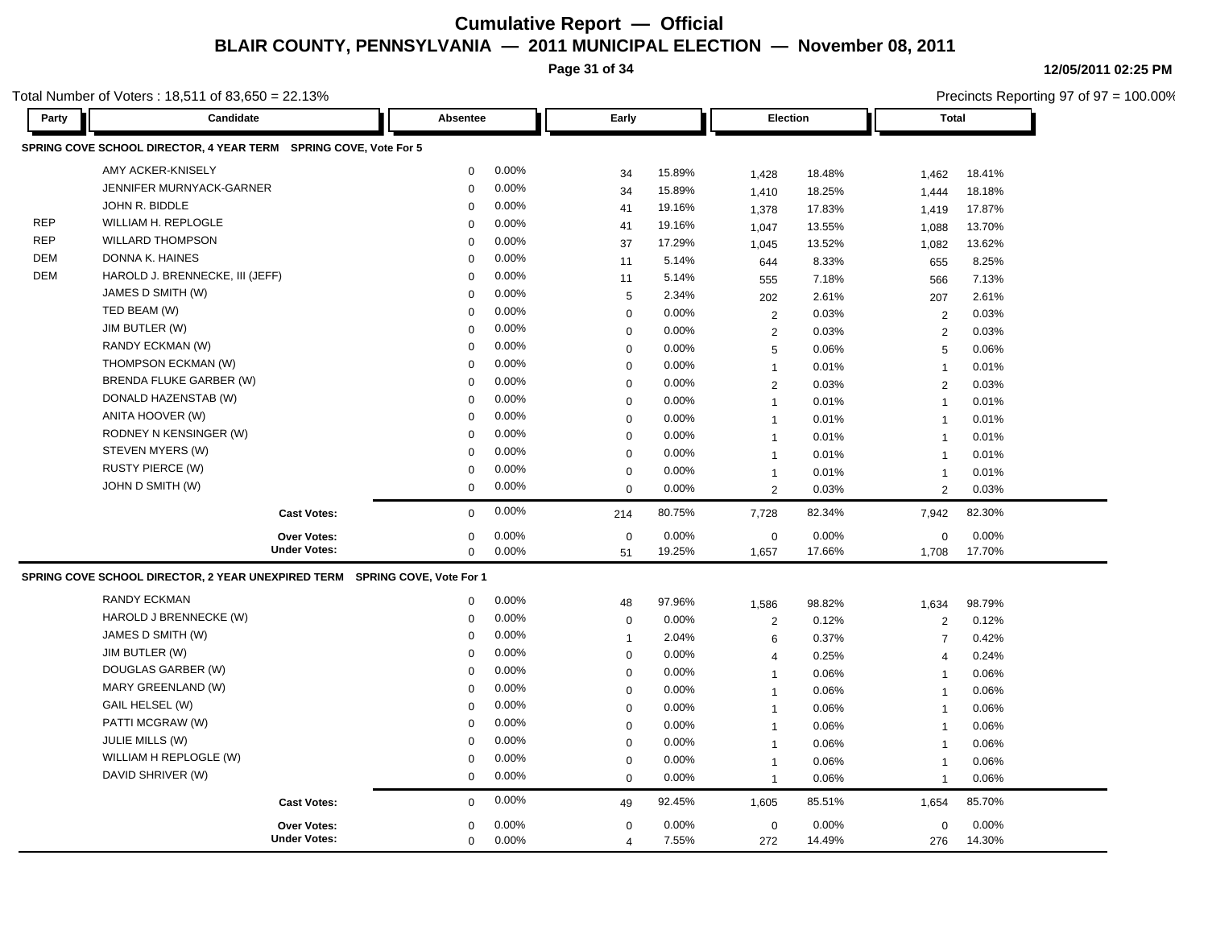**Page 31 of 34**

Precincts Reporting 97 of 97 = 100.00%

**12/05/2011 02:25 PM**

| Party      | Candidate                                                                  | Absentee    |       | Early          |        | <b>Election</b> |        | <b>Total</b>   |        |
|------------|----------------------------------------------------------------------------|-------------|-------|----------------|--------|-----------------|--------|----------------|--------|
|            | SPRING COVE SCHOOL DIRECTOR, 4 YEAR TERM SPRING COVE, Vote For 5           |             |       |                |        |                 |        |                |        |
|            | AMY ACKER-KNISELY                                                          | 0           | 0.00% | 34             | 15.89% | 1,428           | 18.48% | 1.462          | 18.41% |
|            | JENNIFER MURNYACK-GARNER                                                   | $\Omega$    | 0.00% | 34             | 15.89% | 1,410           | 18.25% | 1,444          | 18.18% |
|            | JOHN R. BIDDLE                                                             | $\Omega$    | 0.00% | 41             | 19.16% | 1,378           | 17.83% | 1,419          | 17.87% |
| <b>REP</b> | WILLIAM H. REPLOGLE                                                        | $\Omega$    | 0.00% | 41             | 19.16% | 1,047           | 13.55% | 1,088          | 13.70% |
| <b>REP</b> | <b>WILLARD THOMPSON</b>                                                    | $\Omega$    | 0.00% | 37             | 17.29% | 1,045           | 13.52% | 1,082          | 13.62% |
| DEM        | DONNA K. HAINES                                                            | $\Omega$    | 0.00% | 11             | 5.14%  | 644             | 8.33%  | 655            | 8.25%  |
| <b>DEM</b> | HAROLD J. BRENNECKE, III (JEFF)                                            | $\Omega$    | 0.00% | 11             | 5.14%  | 555             | 7.18%  | 566            | 7.13%  |
|            | JAMES D SMITH (W)                                                          | $\Omega$    | 0.00% | 5              | 2.34%  | 202             | 2.61%  | 207            | 2.61%  |
|            | TED BEAM (W)                                                               | $\Omega$    | 0.00% | $\mathbf 0$    | 0.00%  | $\overline{2}$  | 0.03%  | 2              | 0.03%  |
|            | JIM BUTLER (W)                                                             | 0           | 0.00% | $\mathbf 0$    | 0.00%  | 2               | 0.03%  | 2              | 0.03%  |
|            | RANDY ECKMAN (W)                                                           | $\Omega$    | 0.00% | $\mathbf 0$    | 0.00%  | 5               | 0.06%  | 5              | 0.06%  |
|            | THOMPSON ECKMAN (W)                                                        | 0           | 0.00% | $\mathbf 0$    | 0.00%  | $\mathbf{1}$    | 0.01%  | $\overline{1}$ | 0.01%  |
|            | BRENDA FLUKE GARBER (W)                                                    | $\Omega$    | 0.00% | $\mathsf 0$    | 0.00%  | 2               | 0.03%  | 2              | 0.03%  |
|            | DONALD HAZENSTAB (W)                                                       | 0           | 0.00% | 0              | 0.00%  | $\mathbf{1}$    | 0.01%  | $\overline{1}$ | 0.01%  |
|            | ANITA HOOVER (W)                                                           | $\Omega$    | 0.00% | $\mathbf 0$    | 0.00%  | $\overline{1}$  | 0.01%  | $\overline{1}$ | 0.01%  |
|            | RODNEY N KENSINGER (W)                                                     | 0           | 0.00% | 0              | 0.00%  | $\overline{1}$  | 0.01%  | $\overline{1}$ | 0.01%  |
|            | STEVEN MYERS (W)                                                           | $\Omega$    | 0.00% | $\mathsf 0$    | 0.00%  | $\overline{1}$  | 0.01%  | $\overline{1}$ | 0.01%  |
|            | <b>RUSTY PIERCE (W)</b>                                                    | 0           | 0.00% | 0              | 0.00%  | $\mathbf{1}$    | 0.01%  | $\overline{1}$ | 0.01%  |
|            | JOHN D SMITH (W)                                                           | 0           | 0.00% | $\mathbf 0$    | 0.00%  | $\overline{2}$  | 0.03%  | $\overline{2}$ | 0.03%  |
|            | <b>Cast Votes:</b>                                                         | 0           | 0.00% | 214            | 80.75% | 7,728           | 82.34% | 7,942          | 82.30% |
|            | <b>Over Votes:</b>                                                         | 0           | 0.00% | $\mathbf 0$    | 0.00%  | $\mathbf 0$     | 0.00%  | 0              | 0.00%  |
|            | <b>Under Votes:</b>                                                        | 0           | 0.00% | 51             | 19.25% | 1,657           | 17.66% | 1,708          | 17.70% |
|            | SPRING COVE SCHOOL DIRECTOR, 2 YEAR UNEXPIRED TERM SPRING COVE, Vote For 1 |             |       |                |        |                 |        |                |        |
|            | <b>RANDY ECKMAN</b>                                                        | 0           | 0.00% | 48             | 97.96% | 1,586           | 98.82% | 1,634          | 98.79% |
|            | HAROLD J BRENNECKE (W)                                                     | $\mathbf 0$ | 0.00% | 0              | 0.00%  | $\overline{2}$  | 0.12%  | 2              | 0.12%  |
|            | JAMES D SMITH (W)                                                          | $\Omega$    | 0.00% | $\mathbf{1}$   | 2.04%  | 6               | 0.37%  | $\overline{7}$ | 0.42%  |
|            | JIM BUTLER (W)                                                             | 0           | 0.00% | 0              | 0.00%  | $\overline{4}$  | 0.25%  | $\overline{4}$ | 0.24%  |
|            | DOUGLAS GARBER (W)                                                         | $\Omega$    | 0.00% | $\mathbf 0$    | 0.00%  | $\overline{1}$  | 0.06%  | $\mathbf{1}$   | 0.06%  |
|            | MARY GREENLAND (W)                                                         | $\Omega$    | 0.00% | 0              | 0.00%  | $\mathbf 1$     | 0.06%  | $\overline{1}$ | 0.06%  |
|            | GAIL HELSEL (W)                                                            | $\Omega$    | 0.00% | 0              | 0.00%  | $\overline{1}$  | 0.06%  | $\overline{1}$ | 0.06%  |
|            | PATTI MCGRAW (W)                                                           | $\Omega$    | 0.00% | 0              | 0.00%  | $\overline{1}$  | 0.06%  | $\overline{1}$ | 0.06%  |
|            | <b>JULIE MILLS (W)</b>                                                     | 0           | 0.00% | $\mathbf 0$    | 0.00%  | $\overline{1}$  | 0.06%  | $\overline{1}$ | 0.06%  |
|            | WILLIAM H REPLOGLE (W)                                                     | $\Omega$    | 0.00% | $\mathbf 0$    | 0.00%  | $\mathbf 1$     | 0.06%  | $\overline{1}$ | 0.06%  |
|            | DAVID SHRIVER (W)                                                          | 0           | 0.00% | $\mathbf 0$    | 0.00%  | $\overline{1}$  | 0.06%  | $\overline{1}$ | 0.06%  |
|            | <b>Cast Votes:</b>                                                         | $\Omega$    | 0.00% | 49             | 92.45% | 1,605           | 85.51% | 1,654          | 85.70% |
|            | <b>Over Votes:</b>                                                         | 0           | 0.00% | $\mathbf 0$    | 0.00%  | $\mathbf 0$     | 0.00%  | $\mathbf 0$    | 0.00%  |
|            | <b>Under Votes:</b>                                                        | 0           | 0.00% | $\overline{4}$ | 7.55%  | 272             | 14.49% | 276            | 14.30% |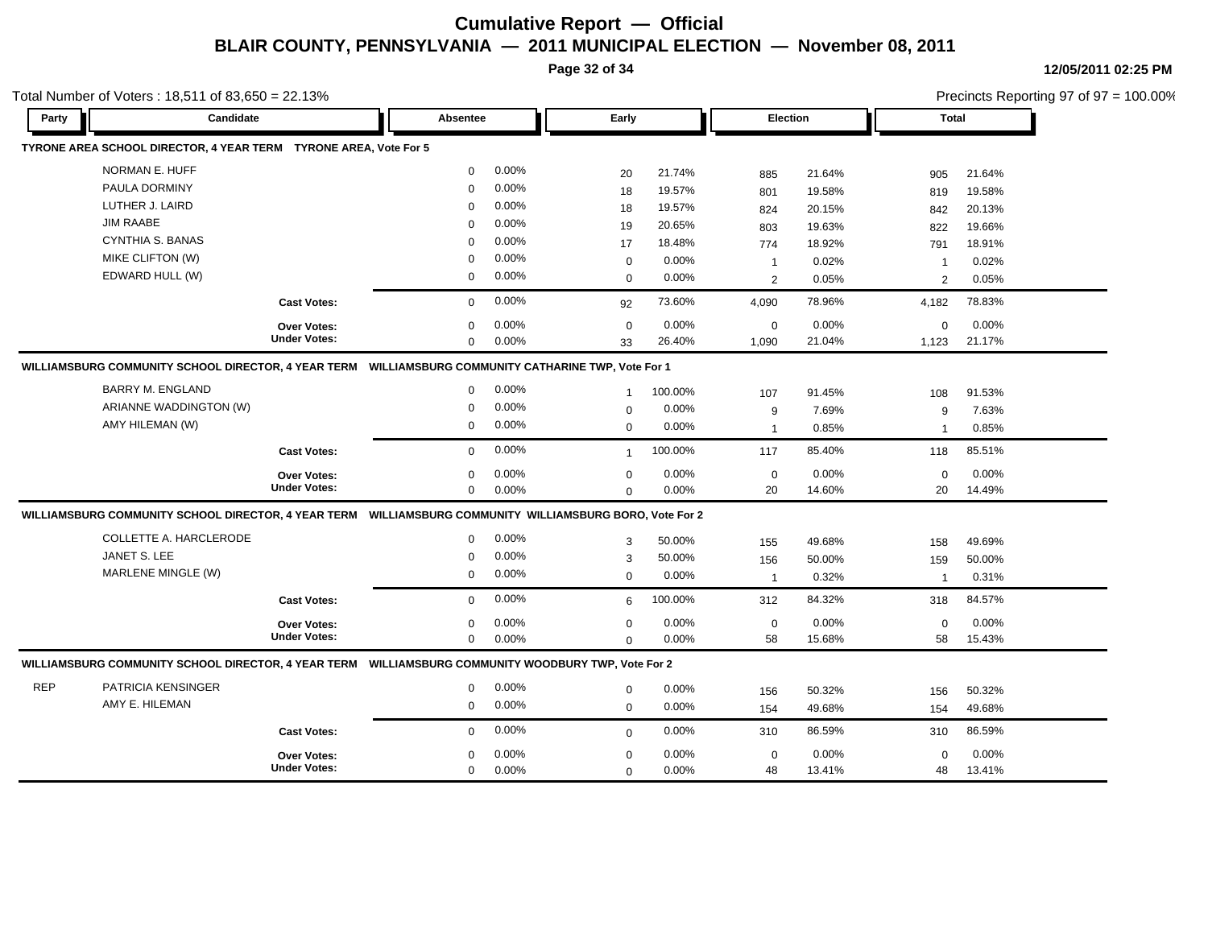**Page 32 of 34**

|            | Total Number of Voters: $18,511$ of $83,650 = 22.13\%$                                                   |                     |             |       |                |         |                 |        |                |          | Precincts Reporting 97 of 97 = 100.00% |
|------------|----------------------------------------------------------------------------------------------------------|---------------------|-------------|-------|----------------|---------|-----------------|--------|----------------|----------|----------------------------------------|
| Party      | Candidate                                                                                                |                     | Absentee    |       | Early          |         | <b>Election</b> |        | Total          |          |                                        |
|            | TYRONE AREA SCHOOL DIRECTOR, 4 YEAR TERM TYRONE AREA, Vote For 5                                         |                     |             |       |                |         |                 |        |                |          |                                        |
|            | NORMAN E. HUFF                                                                                           |                     | $\mathbf 0$ | 0.00% | 20             | 21.74%  | 885             | 21.64% | 905            | 21.64%   |                                        |
|            | PAULA DORMINY                                                                                            |                     | $\Omega$    | 0.00% | 18             | 19.57%  | 801             | 19.58% | 819            | 19.58%   |                                        |
|            | LUTHER J. LAIRD                                                                                          |                     | $\mathbf 0$ | 0.00% | 18             | 19.57%  | 824             | 20.15% | 842            | 20.13%   |                                        |
|            | <b>JIM RAABE</b>                                                                                         |                     | $\Omega$    | 0.00% | 19             | 20.65%  | 803             | 19.63% | 822            | 19.66%   |                                        |
|            | <b>CYNTHIA S. BANAS</b>                                                                                  |                     | $\Omega$    | 0.00% | 17             | 18.48%  | 774             | 18.92% | 791            | 18.91%   |                                        |
|            | MIKE CLIFTON (W)                                                                                         |                     | $\Omega$    | 0.00% | $\mathbf 0$    | 0.00%   | $\overline{1}$  | 0.02%  | $\mathbf 1$    | 0.02%    |                                        |
|            | EDWARD HULL (W)                                                                                          |                     | $\mathbf 0$ | 0.00% | $\mathbf 0$    | 0.00%   | 2               | 0.05%  | 2              | 0.05%    |                                        |
|            |                                                                                                          | <b>Cast Votes:</b>  | $\mathbf 0$ | 0.00% | 92             | 73.60%  | 4,090           | 78.96% | 4,182          | 78.83%   |                                        |
|            |                                                                                                          | Over Votes:         | $\mathbf 0$ | 0.00% | $\mathbf 0$    | 0.00%   | $\mathbf 0$     | 0.00%  | $\mathbf 0$    | $0.00\%$ |                                        |
|            |                                                                                                          | <b>Under Votes:</b> | $\mathbf 0$ | 0.00% | 33             | 26.40%  | 1,090           | 21.04% | 1,123          | 21.17%   |                                        |
|            | WILLIAMSBURG COMMUNITY SCHOOL DIRECTOR, 4 YEAR TERM WILLIAMSBURG COMMUNITY CATHARINE TWP, Vote For 1     |                     |             |       |                |         |                 |        |                |          |                                        |
|            | <b>BARRY M. ENGLAND</b>                                                                                  |                     | $\mathbf 0$ | 0.00% | $\mathbf{1}$   | 100.00% | 107             | 91.45% | 108            | 91.53%   |                                        |
|            | ARIANNE WADDINGTON (W)                                                                                   |                     | $\mathbf 0$ | 0.00% | $\mathbf 0$    | 0.00%   | 9               | 7.69%  | 9              | 7.63%    |                                        |
|            | AMY HILEMAN (W)                                                                                          |                     | $\mathbf 0$ | 0.00% | $\mathbf 0$    | 0.00%   | $\mathbf{1}$    | 0.85%  | $\overline{1}$ | 0.85%    |                                        |
|            |                                                                                                          | <b>Cast Votes:</b>  | $\Omega$    | 0.00% | $\overline{1}$ | 100.00% | 117             | 85.40% | 118            | 85.51%   |                                        |
|            |                                                                                                          | <b>Over Votes:</b>  | $\Omega$    | 0.00% | $\mathbf 0$    | 0.00%   | $\mathbf 0$     | 0.00%  | $\mathbf 0$    | 0.00%    |                                        |
|            |                                                                                                          | <b>Under Votes:</b> | $\mathbf 0$ | 0.00% | $\mathbf 0$    | 0.00%   | 20              | 14.60% | 20             | 14.49%   |                                        |
|            | WILLIAMSBURG COMMUNITY SCHOOL DIRECTOR, 4 YEAR TERM WILLIAMSBURG COMMUNITY WILLIAMSBURG BORO, Vote For 2 |                     |             |       |                |         |                 |        |                |          |                                        |
|            | <b>COLLETTE A. HARCLERODE</b>                                                                            |                     | $\mathbf 0$ | 0.00% | 3              | 50.00%  | 155             | 49.68% | 158            | 49.69%   |                                        |
|            | JANET S. LEE                                                                                             |                     | $\mathbf 0$ | 0.00% | 3              | 50.00%  | 156             | 50.00% | 159            | 50.00%   |                                        |
|            | MARLENE MINGLE (W)                                                                                       |                     | 0           | 0.00% | $\mathbf 0$    | 0.00%   | $\mathbf{1}$    | 0.32%  | $\overline{1}$ | 0.31%    |                                        |
|            |                                                                                                          | <b>Cast Votes:</b>  | $\mathbf 0$ | 0.00% | 6              | 100.00% | 312             | 84.32% | 318            | 84.57%   |                                        |
|            |                                                                                                          | Over Votes:         | $\mathbf 0$ | 0.00% | 0              | 0.00%   | $\mathbf 0$     | 0.00%  | $\mathbf 0$    | 0.00%    |                                        |
|            |                                                                                                          | <b>Under Votes:</b> | $\mathbf 0$ | 0.00% | $\Omega$       | 0.00%   | 58              | 15.68% | 58             | 15.43%   |                                        |
|            | WILLIAMSBURG COMMUNITY SCHOOL DIRECTOR, 4 YEAR TERM WILLIAMSBURG COMMUNITY WOODBURY TWP, Vote For 2      |                     |             |       |                |         |                 |        |                |          |                                        |
| <b>REP</b> | PATRICIA KENSINGER                                                                                       |                     | 0           | 0.00% | $\mathbf 0$    | 0.00%   | 156             | 50.32% | 156            | 50.32%   |                                        |
|            | AMY E. HILEMAN                                                                                           |                     | $\mathbf 0$ | 0.00% | $\mathbf 0$    | 0.00%   | 154             | 49.68% | 154            | 49.68%   |                                        |
|            |                                                                                                          | <b>Cast Votes:</b>  | $\mathbf 0$ | 0.00% | $\mathbf 0$    | 0.00%   | 310             | 86.59% | 310            | 86.59%   |                                        |
|            |                                                                                                          | <b>Over Votes:</b>  | $\Omega$    | 0.00% | $\mathbf 0$    | 0.00%   | $\mathbf 0$     | 0.00%  | $\mathbf 0$    | 0.00%    |                                        |
|            |                                                                                                          | <b>Under Votes:</b> | $\Omega$    | 0.00% | $\Omega$       | 0.00%   | 48              | 13.41% | 48             | 13.41%   |                                        |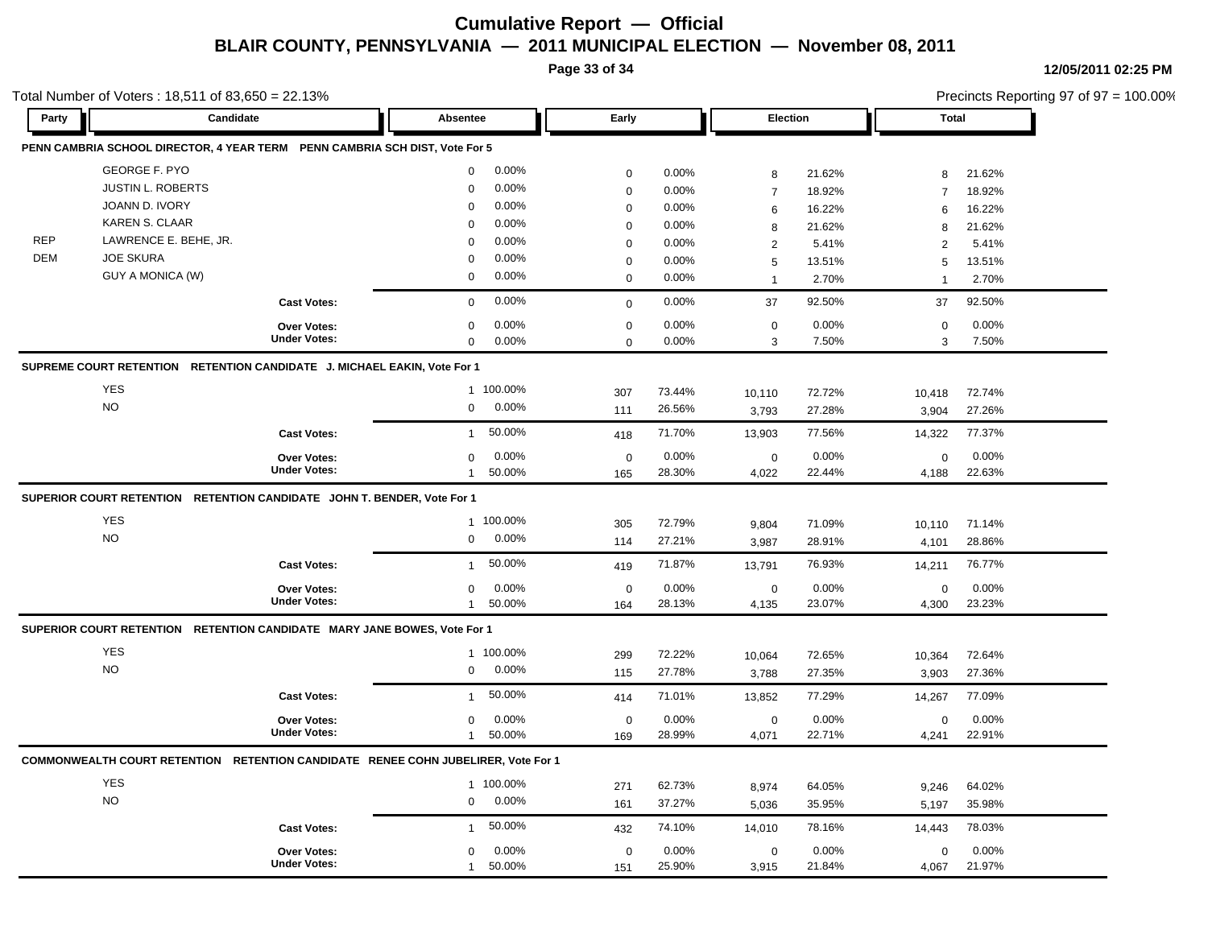**Page 33 of 34**

**12/05/2011 02:25 PM**

|            | otal Number of Voters: 18,511 of 83,650 = 22.13%                                  |                     |                |           |             |        |                |        |                | Precincts Reporting 97 of 97 = 100.00% |  |
|------------|-----------------------------------------------------------------------------------|---------------------|----------------|-----------|-------------|--------|----------------|--------|----------------|----------------------------------------|--|
| Party      | Candidate                                                                         |                     | Absentee       |           | Early       |        | Election       |        | <b>Total</b>   |                                        |  |
|            | PENN CAMBRIA SCHOOL DIRECTOR, 4 YEAR TERM PENN CAMBRIA SCH DIST, Vote For 5       |                     |                |           |             |        |                |        |                |                                        |  |
|            | <b>GEORGE F. PYO</b>                                                              |                     | $\mathbf{0}$   | 0.00%     | $\mathbf 0$ | 0.00%  | 8              | 21.62% | 8              | 21.62%                                 |  |
|            | JUSTIN L. ROBERTS                                                                 |                     | $\mathbf 0$    | 0.00%     | $\mathbf 0$ | 0.00%  | $\overline{7}$ | 18.92% | $\overline{7}$ | 18.92%                                 |  |
|            | JOANN D. IVORY                                                                    |                     | $\Omega$       | 0.00%     | $\mathbf 0$ | 0.00%  | 6              | 16.22% | 6              | 16.22%                                 |  |
|            | <b>KAREN S. CLAAR</b>                                                             |                     | $\Omega$       | 0.00%     | 0           | 0.00%  | 8              | 21.62% | 8              | 21.62%                                 |  |
| <b>REP</b> | LAWRENCE E. BEHE, JR.                                                             |                     | $\Omega$       | 0.00%     | $\mathbf 0$ | 0.00%  | $\overline{c}$ | 5.41%  | $\overline{2}$ | 5.41%                                  |  |
| DEM        | <b>JOE SKURA</b>                                                                  |                     | $\Omega$       | 0.00%     | $\mathbf 0$ | 0.00%  | 5              | 13.51% | 5              | 13.51%                                 |  |
|            | GUY A MONICA (W)                                                                  |                     | 0              | 0.00%     | $\mathbf 0$ | 0.00%  | $\overline{1}$ | 2.70%  | $\overline{1}$ | 2.70%                                  |  |
|            |                                                                                   | <b>Cast Votes:</b>  | $\mathbf 0$    | 0.00%     | $\mathbf 0$ | 0.00%  | 37             | 92.50% | 37             | 92.50%                                 |  |
|            |                                                                                   | Over Votes:         | 0              | 0.00%     | $\mathbf 0$ | 0.00%  | $\mathbf 0$    | 0.00%  | $\mathbf 0$    | 0.00%                                  |  |
|            |                                                                                   | <b>Under Votes:</b> | $\mathbf 0$    | 0.00%     | $\mathbf 0$ | 0.00%  | 3              | 7.50%  | $\mathbf{3}$   | 7.50%                                  |  |
|            | SUPREME COURT RETENTION RETENTION CANDIDATE J. MICHAEL EAKIN, Vote For 1          |                     |                |           |             |        |                |        |                |                                        |  |
|            | <b>YES</b>                                                                        |                     |                | 1 100.00% | 307         | 73.44% | 10,110         | 72.72% | 10,418         | 72.74%                                 |  |
|            | <b>NO</b>                                                                         |                     | $\mathbf 0$    | 0.00%     | 111         | 26.56% | 3,793          | 27.28% | 3,904          | 27.26%                                 |  |
|            |                                                                                   | <b>Cast Votes:</b>  | $\overline{1}$ | 50.00%    | 418         | 71.70% | 13,903         | 77.56% | 14,322         | 77.37%                                 |  |
|            |                                                                                   | <b>Over Votes:</b>  | $\mathbf 0$    | 0.00%     | $\mathbf 0$ | 0.00%  | $\pmb{0}$      | 0.00%  | $\pmb{0}$      | 0.00%                                  |  |
|            |                                                                                   | <b>Under Votes:</b> | $\overline{1}$ | 50.00%    | 165         | 28.30% | 4,022          | 22.44% | 4,188          | 22.63%                                 |  |
|            | SUPERIOR COURT RETENTION RETENTION CANDIDATE JOHN T. BENDER, Vote For 1           |                     |                |           |             |        |                |        |                |                                        |  |
|            | YES                                                                               |                     |                | 1 100.00% | 305         | 72.79% | 9,804          | 71.09% | 10,110         | 71.14%                                 |  |
|            | <b>NO</b>                                                                         |                     | 0              | 0.00%     | 114         | 27.21% | 3,987          | 28.91% | 4,101          | 28.86%                                 |  |
|            |                                                                                   | <b>Cast Votes:</b>  | $\overline{1}$ | 50.00%    | 419         | 71.87% | 13,791         | 76.93% | 14,211         | 76.77%                                 |  |
|            |                                                                                   | Over Votes:         | 0              | 0.00%     | $\mathbf 0$ | 0.00%  | $\mathbf 0$    | 0.00%  | $\mathbf 0$    | 0.00%                                  |  |
|            |                                                                                   | <b>Under Votes:</b> | $\mathbf{1}$   | 50.00%    | 164         | 28.13% | 4,135          | 23.07% | 4,300          | 23.23%                                 |  |
|            | SUPERIOR COURT RETENTION RETENTION CANDIDATE MARY JANE BOWES, Vote For 1          |                     |                |           |             |        |                |        |                |                                        |  |
|            | <b>YES</b>                                                                        |                     |                | 1 100.00% | 299         | 72.22% | 10,064         | 72.65% | 10,364         | 72.64%                                 |  |
|            | <b>NO</b>                                                                         |                     | 0              | 0.00%     | 115         | 27.78% | 3,788          | 27.35% | 3,903          | 27.36%                                 |  |
|            |                                                                                   | <b>Cast Votes:</b>  | $\overline{1}$ | 50.00%    | 414         | 71.01% | 13,852         | 77.29% | 14,267         | 77.09%                                 |  |
|            |                                                                                   | Over Votes:         | 0              | 0.00%     | $\mathbf 0$ | 0.00%  | $\mathbf 0$    | 0.00%  | $\mathbf 0$    | 0.00%                                  |  |
|            |                                                                                   | <b>Under Votes:</b> | $\mathbf{1}$   | 50.00%    | 169         | 28.99% | 4,071          | 22.71% | 4,241          | 22.91%                                 |  |
|            | COMMONWEALTH COURT RETENTION RETENTION CANDIDATE RENEE COHN JUBELIRER, Vote For 1 |                     |                |           |             |        |                |        |                |                                        |  |
|            | YES                                                                               |                     |                | 1 100.00% | 271         | 62.73% | 8,974          | 64.05% | 9,246          | 64.02%                                 |  |
|            | <b>NO</b>                                                                         |                     | 0              | 0.00%     | 161         | 37.27% | 5,036          | 35.95% | 5,197          | 35.98%                                 |  |
|            |                                                                                   | <b>Cast Votes:</b>  | $\mathbf{1}$   | 50.00%    | 432         | 74.10% | 14,010         | 78.16% | 14,443         | 78.03%                                 |  |
|            |                                                                                   | <b>Over Votes:</b>  | 0              | 0.00%     | $\pmb{0}$   | 0.00%  | $\pmb{0}$      | 0.00%  | $\mathbf 0$    | 0.00%                                  |  |
|            |                                                                                   | <b>Under Votes:</b> | $\mathbf{1}$   | 50.00%    | 151         | 25.90% | 3,915          | 21.84% | 4,067          | 21.97%                                 |  |